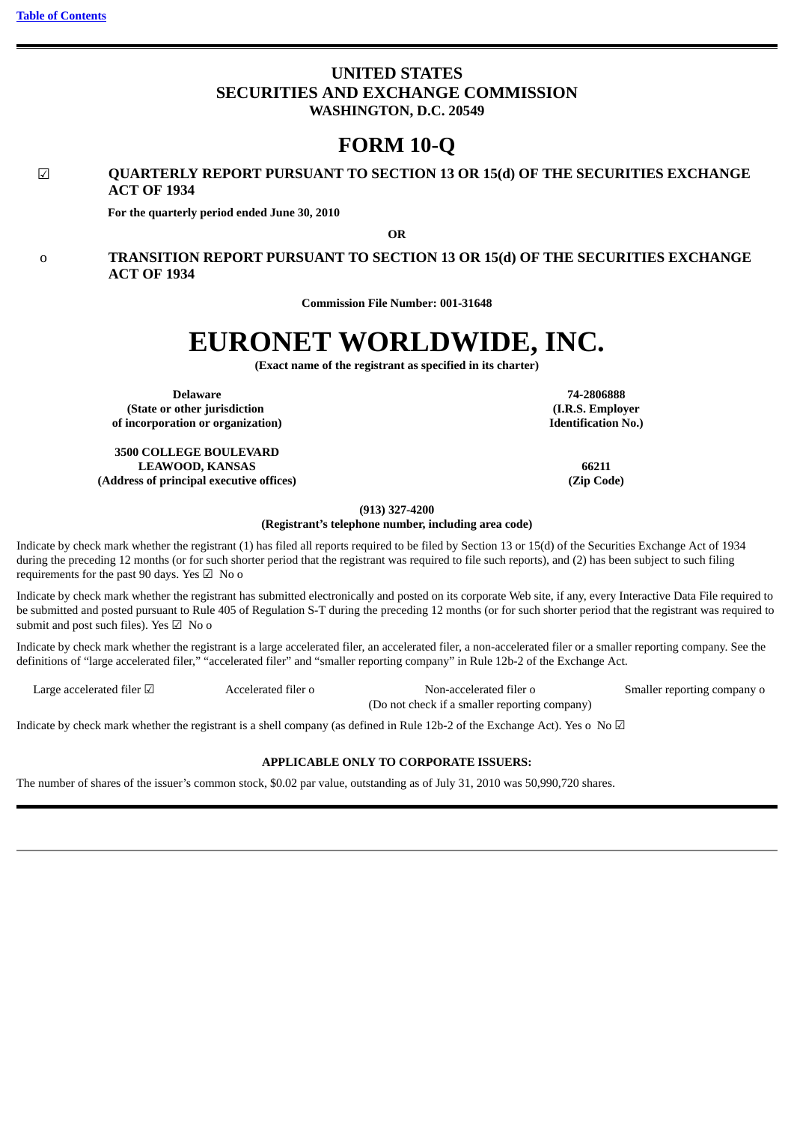# **UNITED STATES SECURITIES AND EXCHANGE COMMISSION WASHINGTON, D.C. 20549**

# **FORM 10-Q**

# ☑ **QUARTERLY REPORT PURSUANT TO SECTION 13 OR 15(d) OF THE SECURITIES EXCHANGE ACT OF 1934**

**For the quarterly period ended June 30, 2010**

**OR**

# o **TRANSITION REPORT PURSUANT TO SECTION 13 OR 15(d) OF THE SECURITIES EXCHANGE ACT OF 1934**

**Commission File Number: 001-31648**

# **EURONET WORLDWIDE, INC.**

**(Exact name of the registrant as specified in its charter)**

**Delaware (State or other jurisdiction of incorporation or organization)**

**3500 COLLEGE BOULEVARD LEAWOOD, KANSAS 66211 (Address of principal executive offices) (Zip Code)**

**74-2806888 (I.R.S. Employer Identification No.)**

**(913) 327-4200**

**(Registrant's telephone number, including area code)**

Indicate by check mark whether the registrant (1) has filed all reports required to be filed by Section 13 or 15(d) of the Securities Exchange Act of 1934 during the preceding 12 months (or for such shorter period that the registrant was required to file such reports), and (2) has been subject to such filing requirements for the past 90 days. Yes ☑ No o

Indicate by check mark whether the registrant has submitted electronically and posted on its corporate Web site, if any, every Interactive Data File required to be submitted and posted pursuant to Rule 405 of Regulation S-T during the preceding 12 months (or for such shorter period that the registrant was required to submit and post such files). Yes  $□$  No o

Indicate by check mark whether the registrant is a large accelerated filer, an accelerated filer, a non-accelerated filer or a smaller reporting company. See the definitions of "large accelerated filer," "accelerated filer" and "smaller reporting company" in Rule 12b-2 of the Exchange Act.

Large accelerated filer **☑** Accelerated filer o Non-accelerated filer o Smaller reporting company o (Do not check if a smaller reporting company)

Indicate by check mark whether the registrant is a shell company (as defined in Rule 12b-2 of the Exchange Act). Yes o No  $\Box$ 

# **APPLICABLE ONLY TO CORPORATE ISSUERS:**

The number of shares of the issuer's common stock, \$0.02 par value, outstanding as of July 31, 2010 was 50,990,720 shares.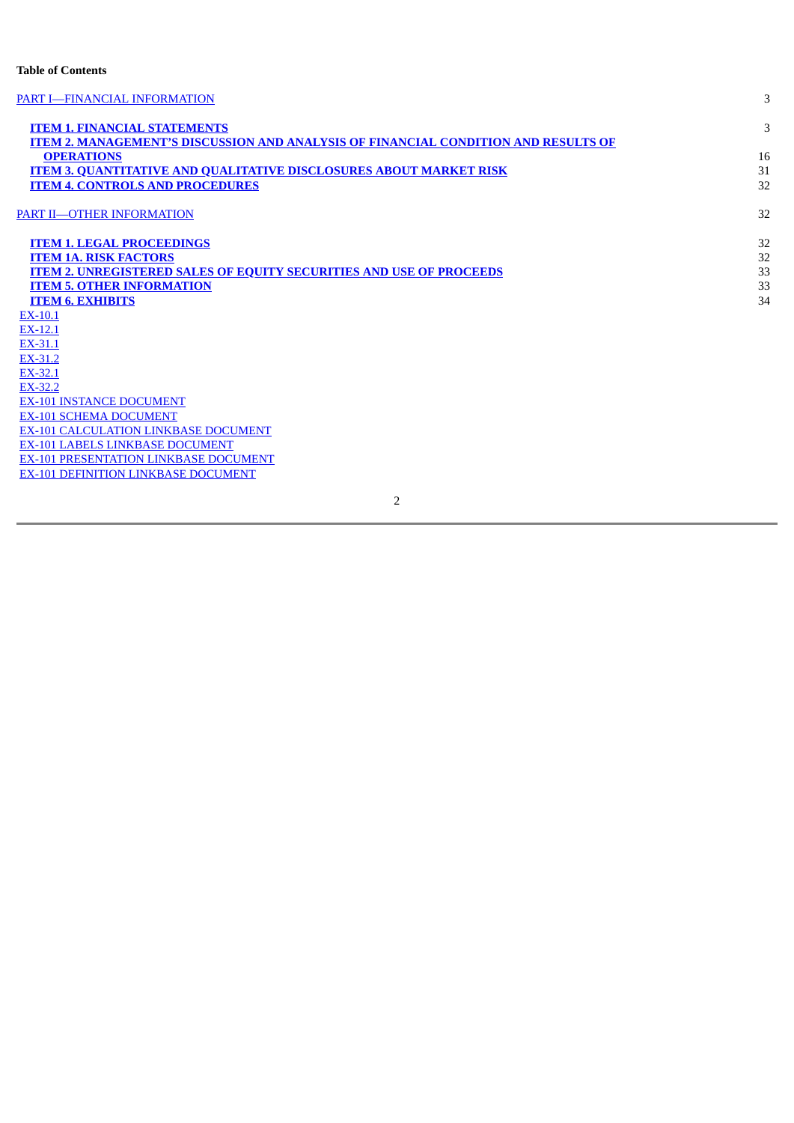# <span id="page-2-0"></span>**Table of Contents**

| PART I—FINANCIAL INFORMATION |  |
|------------------------------|--|
|------------------------------|--|

| <b>ITEM 1. FINANCIAL STATEMENTS</b>                                                       | 3  |
|-------------------------------------------------------------------------------------------|----|
| <b>ITEM 2. MANAGEMENT'S DISCUSSION AND ANALYSIS OF FINANCIAL CONDITION AND RESULTS OF</b> |    |
| <b>OPERATIONS</b>                                                                         | 16 |
| <u>ITEM 3. QUANTITATIVE AND QUALITATIVE DISCLOSURES ABOUT MARKET RISK</u>                 | 31 |
| <b>ITEM 4. CONTROLS AND PROCEDURES</b>                                                    | 32 |
|                                                                                           |    |
| <b>PART II—OTHER INFORMATION</b>                                                          | 32 |
| <b>ITEM 1. LEGAL PROCEEDINGS</b>                                                          | 32 |
| <b>ITEM 1A. RISK FACTORS</b>                                                              | 32 |
| <b>ITEM 2. UNREGISTERED SALES OF EQUITY SECURITIES AND USE OF PROCEEDS</b>                | 33 |
| <b>ITEM 5. OTHER INFORMATION</b>                                                          | 33 |
| <b>ITEM 6. EXHIBITS</b>                                                                   | 34 |
| EX-10.1                                                                                   |    |
| $EX-12.1$                                                                                 |    |
| EX-31.1                                                                                   |    |
| EX-31.2                                                                                   |    |
| EX-32.1                                                                                   |    |
| EX-32.2                                                                                   |    |
| <b>EX-101 INSTANCE DOCUMENT</b>                                                           |    |
| <b>EX-101 SCHEMA DOCUMENT</b>                                                             |    |

EX-101 LABELS LINKBASE DOCUMENT EX-101 PRESENTATION LINKBASE DOCUMENT

EX-101 CALCULATION LINKBASE DOCUMENT

EX-101 DEFINITION LINKBASE DOCUMENT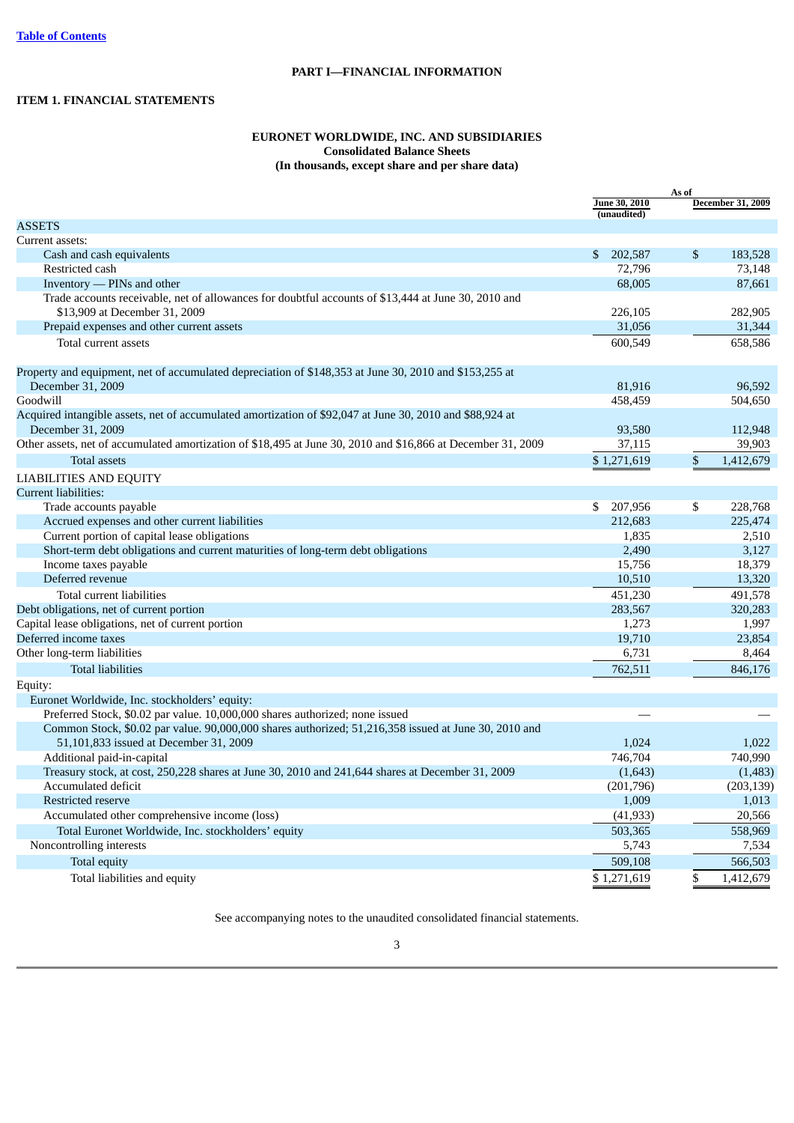# **PART I—FINANCIAL INFORMATION**

# <span id="page-3-1"></span><span id="page-3-0"></span>**ITEM 1. FINANCIAL STATEMENTS**

# **EURONET WORLDWIDE, INC. AND SUBSIDIARIES Consolidated Balance Sheets (In thousands, except share and per share data)**

|                                                                                                              |                              | As of                    |
|--------------------------------------------------------------------------------------------------------------|------------------------------|--------------------------|
|                                                                                                              | June 30, 2010<br>(unaudited) | <b>December 31, 2009</b> |
| <b>ASSETS</b>                                                                                                |                              |                          |
| Current assets:                                                                                              |                              |                          |
| Cash and cash equivalents                                                                                    | $\mathbb{S}$<br>202,587      | \$<br>183,528            |
| Restricted cash                                                                                              | 72,796                       | 73,148                   |
| Inventory — PINs and other                                                                                   | 68,005                       | 87,661                   |
| Trade accounts receivable, net of allowances for doubtful accounts of \$13,444 at June 30, 2010 and          |                              |                          |
| \$13,909 at December 31, 2009                                                                                | 226,105                      | 282,905                  |
| Prepaid expenses and other current assets                                                                    | 31,056                       | 31,344                   |
| Total current assets                                                                                         | 600,549                      | 658,586                  |
| Property and equipment, net of accumulated depreciation of \$148,353 at June 30, 2010 and \$153,255 at       |                              |                          |
| December 31, 2009                                                                                            | 81,916                       | 96,592                   |
| Goodwill                                                                                                     | 458,459                      | 504,650                  |
| Acquired intangible assets, net of accumulated amortization of \$92,047 at June 30, 2010 and \$88,924 at     |                              |                          |
| December 31, 2009                                                                                            | 93,580                       | 112,948                  |
| Other assets, net of accumulated amortization of \$18,495 at June 30, 2010 and \$16,866 at December 31, 2009 | 37,115                       | 39,903                   |
| <b>Total assets</b>                                                                                          | \$1,271,619                  | \$<br>1,412,679          |
|                                                                                                              |                              |                          |
| <b>LIABILITIES AND EQUITY</b>                                                                                |                              |                          |
| <b>Current liabilities:</b>                                                                                  |                              |                          |
| Trade accounts payable                                                                                       | \$<br>207,956                | \$<br>228,768            |
| Accrued expenses and other current liabilities                                                               | 212,683                      | 225,474                  |
| Current portion of capital lease obligations                                                                 | 1,835                        | 2,510                    |
| Short-term debt obligations and current maturities of long-term debt obligations                             | 2,490                        | 3,127                    |
| Income taxes payable                                                                                         | 15,756                       | 18,379                   |
| Deferred revenue                                                                                             | 10,510                       | 13,320                   |
| Total current liabilities                                                                                    | 451,230                      | 491,578                  |
| Debt obligations, net of current portion                                                                     | 283,567                      | 320,283                  |
| Capital lease obligations, net of current portion                                                            | 1,273                        | 1,997                    |
| Deferred income taxes                                                                                        | 19,710                       | 23,854                   |
| Other long-term liabilities                                                                                  | 6,731                        | 8,464                    |
| <b>Total liabilities</b>                                                                                     | 762,511                      | 846,176                  |
| Equity:                                                                                                      |                              |                          |
| Euronet Worldwide, Inc. stockholders' equity:                                                                |                              |                          |
| Preferred Stock, \$0.02 par value. 10,000,000 shares authorized; none issued                                 |                              |                          |
| Common Stock, \$0.02 par value. 90,000,000 shares authorized; 51,216,358 issued at June 30, 2010 and         |                              |                          |
| 51,101,833 issued at December 31, 2009                                                                       | 1,024                        | 1,022                    |
| Additional paid-in-capital                                                                                   | 746,704                      | 740,990                  |
| Treasury stock, at cost, 250,228 shares at June 30, 2010 and 241,644 shares at December 31, 2009             | (1,643)                      | (1,483)                  |
| Accumulated deficit                                                                                          | (201, 796)                   | (203, 139)               |
| Restricted reserve                                                                                           | 1,009                        | 1,013                    |
| Accumulated other comprehensive income (loss)                                                                | (41, 933)                    | 20,566                   |
| Total Euronet Worldwide, Inc. stockholders' equity                                                           | 503,365                      | 558,969                  |
| Noncontrolling interests                                                                                     | 5,743                        | 7,534                    |
| <b>Total equity</b>                                                                                          | 509,108                      | 566,503                  |
| Total liabilities and equity                                                                                 | \$1,271,619                  | \$<br>1,412,679          |
|                                                                                                              |                              |                          |

See accompanying notes to the unaudited consolidated financial statements.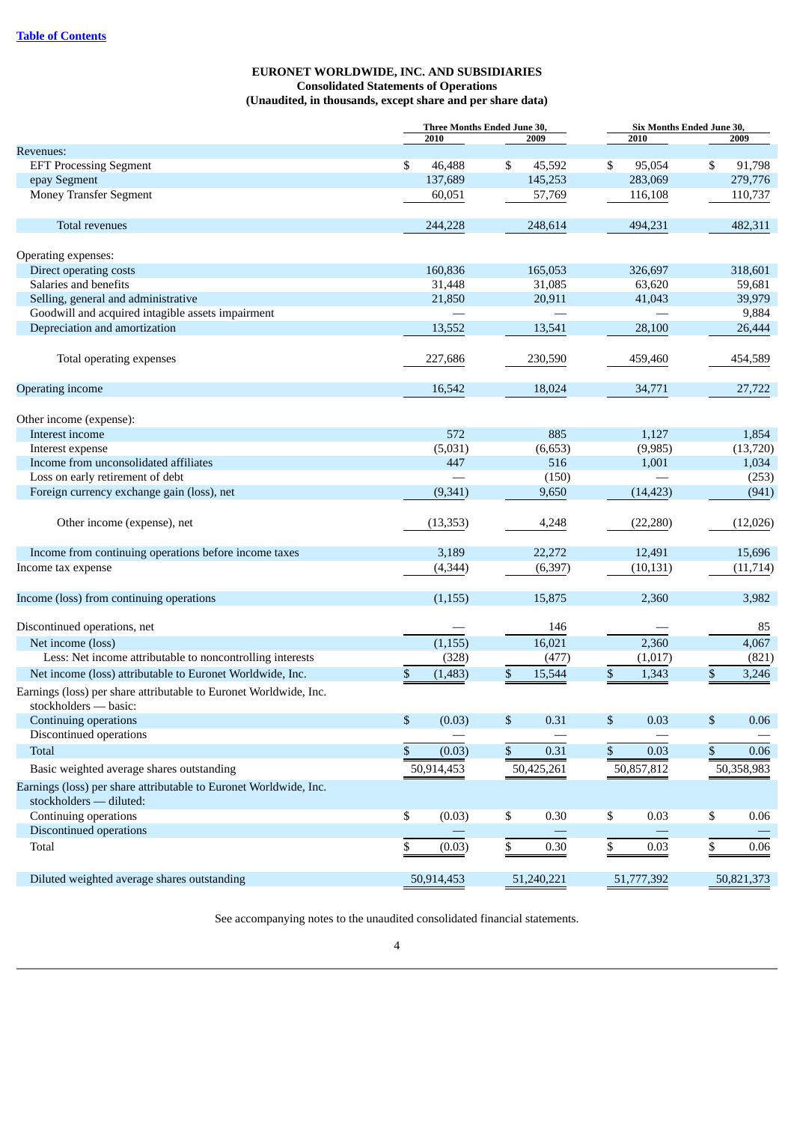# **EURONET WORLDWIDE, INC. AND SUBSIDIARIES Consolidated Statements of Operations (Unaudited, in thousands, except share and per share data)**

|                                                                                            |      | <b>Three Months Ended June 30,</b> |              | Six Months Ended June 30, |            |              |
|--------------------------------------------------------------------------------------------|------|------------------------------------|--------------|---------------------------|------------|--------------|
| Revenues:                                                                                  |      | 2010                               | 2009         |                           | 2010       | 2009         |
| <b>EFT Processing Segment</b>                                                              | \$   | 46,488                             | \$<br>45,592 | \$                        | 95,054     | \$<br>91,798 |
| epay Segment                                                                               |      | 137,689                            | 145,253      |                           | 283,069    | 279,776      |
| <b>Money Transfer Segment</b>                                                              |      | 60,051                             | 57,769       |                           | 116,108    | 110,737      |
| <b>Total revenues</b>                                                                      |      | 244,228                            | 248,614      |                           | 494,231    | 482,311      |
| Operating expenses:                                                                        |      |                                    |              |                           |            |              |
| Direct operating costs                                                                     |      | 160,836                            | 165,053      |                           | 326,697    | 318,601      |
| Salaries and benefits                                                                      |      | 31,448                             | 31,085       |                           | 63,620     | 59,681       |
| Selling, general and administrative                                                        |      | 21,850                             | 20,911       |                           | 41,043     | 39,979       |
| Goodwill and acquired intagible assets impairment                                          |      |                                    |              |                           |            | 9,884        |
| Depreciation and amortization                                                              |      | 13,552                             | 13,541       |                           | 28,100     | 26,444       |
| Total operating expenses                                                                   |      | 227,686                            | 230,590      |                           | 459,460    | 454,589      |
| Operating income                                                                           |      | 16,542                             | 18,024       |                           | 34,771     | 27,722       |
| Other income (expense):                                                                    |      |                                    |              |                           |            |              |
| Interest income                                                                            |      | 572                                | 885          |                           | 1,127      | 1,854        |
| Interest expense                                                                           |      | (5,031)                            | (6,653)      |                           | (9,985)    | (13,720)     |
| Income from unconsolidated affiliates                                                      |      | 447                                | 516          |                           | 1,001      | 1,034        |
| Loss on early retirement of debt                                                           |      |                                    | (150)        |                           |            | (253)        |
| Foreign currency exchange gain (loss), net                                                 |      | (9, 341)                           | 9,650        |                           | (14, 423)  | (941)        |
| Other income (expense), net                                                                |      | (13, 353)                          | 4,248        |                           | (22, 280)  | (12,026)     |
| Income from continuing operations before income taxes                                      |      | 3,189                              | 22,272       |                           | 12,491     | 15,696       |
| Income tax expense                                                                         |      | (4,344)                            | (6, 397)     |                           | (10, 131)  | (11,714)     |
| Income (loss) from continuing operations                                                   |      | (1, 155)                           | 15,875       |                           | 2,360      | 3,982        |
| Discontinued operations, net                                                               |      |                                    | 146          |                           |            | 85           |
| Net income (loss)                                                                          |      | (1, 155)                           | 16,021       |                           | 2,360      | 4,067        |
| Less: Net income attributable to noncontrolling interests                                  |      | (328)                              | (477)        |                           | (1,017)    | (821)        |
| Net income (loss) attributable to Euronet Worldwide, Inc.                                  | $\$$ | (1,483)                            | \$<br>15,544 | \$                        | 1,343      | \$<br>3,246  |
| Earnings (loss) per share attributable to Euronet Worldwide, Inc.<br>stockholders - basic: |      |                                    |              |                           |            |              |
| Continuing operations                                                                      | \$   | (0.03)                             | \$<br>0.31   | \$                        | 0.03       | \$<br>0.06   |
| Discontinued operations                                                                    |      |                                    |              |                           |            |              |
| Total                                                                                      | \$   | (0.03)                             | \$<br>0.31   | \$                        | 0.03       | \$<br>0.06   |
| Basic weighted average shares outstanding                                                  |      | 50,914,453                         | 50,425,261   |                           | 50,857,812 | 50,358,983   |
| Earnings (loss) per share attributable to Euronet Worldwide, Inc.                          |      |                                    |              |                           |            |              |
| stockholders - diluted:                                                                    |      |                                    |              |                           |            |              |
| Continuing operations                                                                      | \$   | (0.03)                             | \$<br>0.30   | \$                        | 0.03       | \$<br>0.06   |
| <b>Discontinued operations</b>                                                             |      |                                    |              |                           |            |              |
| Total                                                                                      | \$   | (0.03)                             | \$<br>0.30   | \$                        | 0.03       | \$<br>0.06   |
| Diluted weighted average shares outstanding                                                |      | 50,914,453                         | 51,240,221   |                           | 51,777,392 | 50,821,373   |
|                                                                                            |      |                                    |              |                           |            |              |

See accompanying notes to the unaudited consolidated financial statements.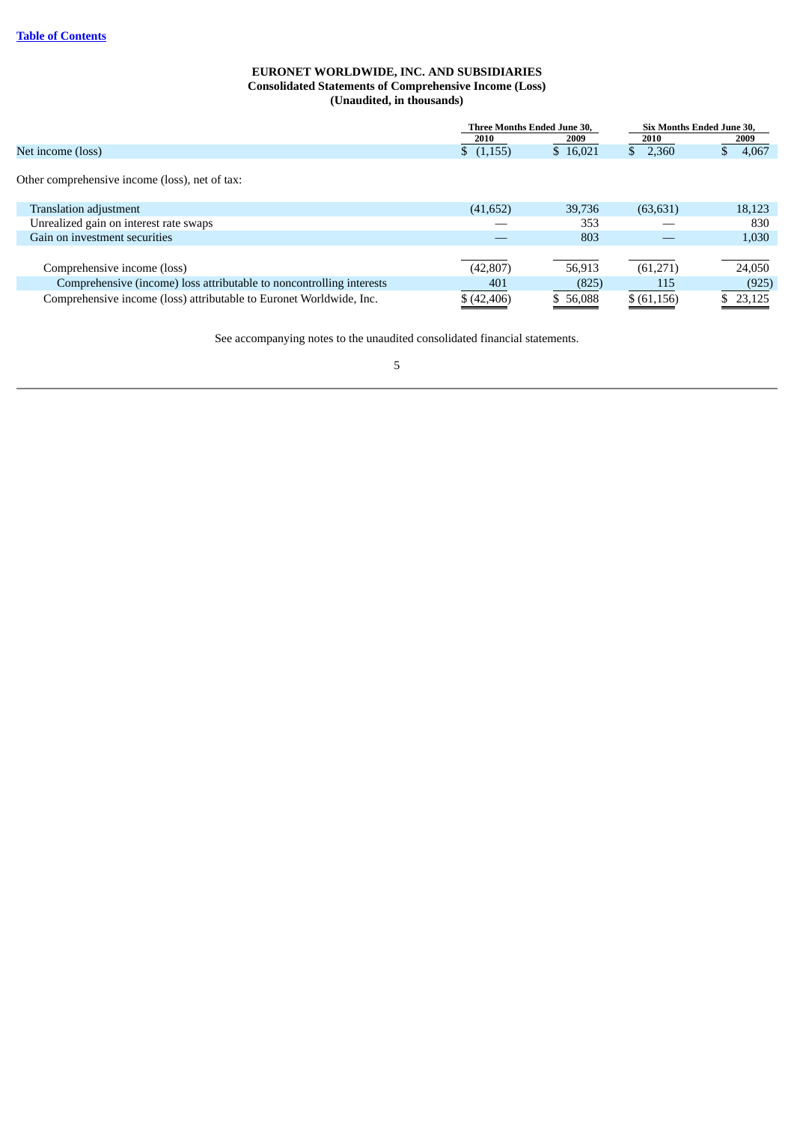# **EURONET WORLDWIDE, INC. AND SUBSIDIARIES Consolidated Statements of Comprehensive Income (Loss) (Unaudited, in thousands)**

|                   |                  | Three Months Ended June 30. |       | <b>Six Months Ended June 30.</b> |
|-------------------|------------------|-----------------------------|-------|----------------------------------|
|                   | 2010             | 2009                        | 2010  | 2009                             |
| Net income (loss) | $\sim$ $ -$<br>. | 16.021                      | 2,360 | 4,067                            |
|                   |                  |                             |       |                                  |

Other comprehensive income (loss), net of tax:

| (41, 652)    | 39,736    | (63, 631)    | 18,123   |
|--------------|-----------|--------------|----------|
|              | 353       |              | 830      |
|              | 803       |              | 1,030    |
|              |           |              |          |
| (42, 807)    | 56.913    | (61,271)     | 24,050   |
| 401          | (825)     | 115          | (925)    |
| \$ (42, 406) | \$ 56,088 | \$ (61, 156) | \$23,125 |
|              |           |              |          |

See accompanying notes to the unaudited consolidated financial statements.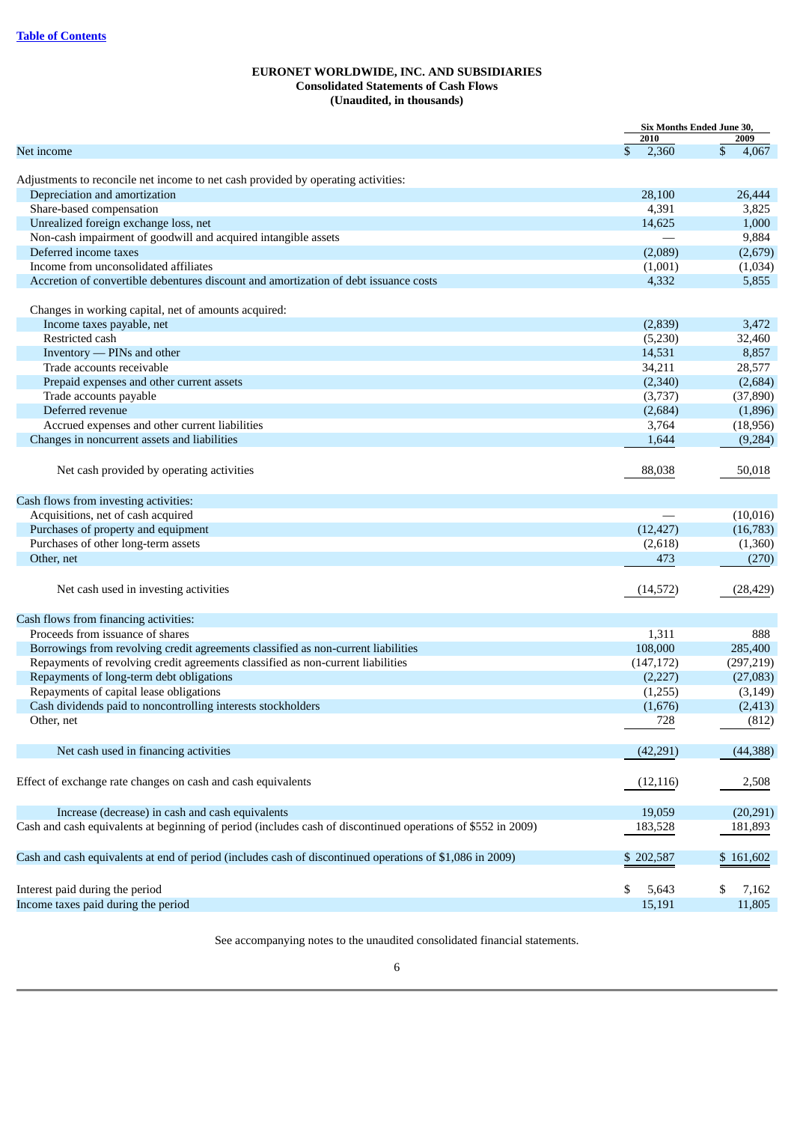# **EURONET WORLDWIDE, INC. AND SUBSIDIARIES Consolidated Statements of Cash Flows (Unaudited, in thousands)**

|                                                                                                              |                       | <b>Six Months Ended June 30.</b> |
|--------------------------------------------------------------------------------------------------------------|-----------------------|----------------------------------|
| Net income                                                                                                   | 2010<br>2,360<br>\$   | 2009<br>\$<br>4,067              |
|                                                                                                              |                       |                                  |
| Adjustments to reconcile net income to net cash provided by operating activities:                            |                       |                                  |
| Depreciation and amortization                                                                                | 28,100                | 26,444                           |
| Share-based compensation                                                                                     | 4,391                 | 3,825                            |
| Unrealized foreign exchange loss, net                                                                        | 14,625                | 1,000                            |
| Non-cash impairment of goodwill and acquired intangible assets                                               |                       | 9,884                            |
| Deferred income taxes                                                                                        | (2,089)               | (2,679)                          |
| Income from unconsolidated affiliates                                                                        | (1,001)               | (1,034)                          |
| Accretion of convertible debentures discount and amortization of debt issuance costs                         | 4,332                 | 5,855                            |
| Changes in working capital, net of amounts acquired:                                                         |                       |                                  |
| Income taxes payable, net                                                                                    | (2,839)               | 3,472                            |
| Restricted cash                                                                                              | (5,230)               | 32,460                           |
| Inventory — PINs and other                                                                                   | 14,531                | 8,857                            |
| Trade accounts receivable                                                                                    | 34,211                | 28,577                           |
| Prepaid expenses and other current assets                                                                    | (2,340)               | (2,684)                          |
| Trade accounts payable                                                                                       | (3,737)               | (37, 890)                        |
| Deferred revenue                                                                                             | (2,684)               | (1,896)                          |
|                                                                                                              |                       |                                  |
| Accrued expenses and other current liabilities                                                               | 3,764                 | (18,956)                         |
| Changes in noncurrent assets and liabilities                                                                 | 1,644                 | (9, 284)                         |
| Net cash provided by operating activities                                                                    | 88,038                | 50,018                           |
| Cash flows from investing activities:                                                                        |                       |                                  |
| Acquisitions, net of cash acquired                                                                           |                       | (10, 016)                        |
| Purchases of property and equipment                                                                          | (12, 427)             | (16, 783)                        |
| Purchases of other long-term assets                                                                          | (2,618)               | (1,360)                          |
| Other, net                                                                                                   | 473                   | (270)                            |
| Net cash used in investing activities                                                                        | (14, 572)             | (28, 429)                        |
| Cash flows from financing activities:                                                                        |                       |                                  |
| Proceeds from issuance of shares                                                                             | 1,311                 | 888                              |
| Borrowings from revolving credit agreements classified as non-current liabilities                            | 108,000               | 285,400                          |
| Repayments of revolving credit agreements classified as non-current liabilities                              | (147, 172)            | (297, 219)                       |
| Repayments of long-term debt obligations                                                                     | (2,227)               | (27,083)                         |
| Repayments of capital lease obligations                                                                      | (1,255)               | (3, 149)                         |
| Cash dividends paid to noncontrolling interests stockholders                                                 | (1,676)               | (2, 413)                         |
| Other, net                                                                                                   | 728                   | (812)                            |
|                                                                                                              |                       |                                  |
| Net cash used in financing activities                                                                        | (42,291)              | (44, 388)                        |
| Effect of exchange rate changes on cash and cash equivalents                                                 | (12, 116)             | 2,508                            |
| Increase (decrease) in cash and cash equivalents                                                             | 19,059                | (20, 291)                        |
| Cash and cash equivalents at beginning of period (includes cash of discontinued operations of \$552 in 2009) | 183,528               | 181,893                          |
| Cash and cash equivalents at end of period (includes cash of discontinued operations of \$1,086 in 2009)     | \$202,587             | \$161,602                        |
| Interest paid during the period<br>Income taxes paid during the period                                       | \$<br>5,643<br>15,191 | \$<br>7,162<br>11,805            |
|                                                                                                              |                       |                                  |

See accompanying notes to the unaudited consolidated financial statements.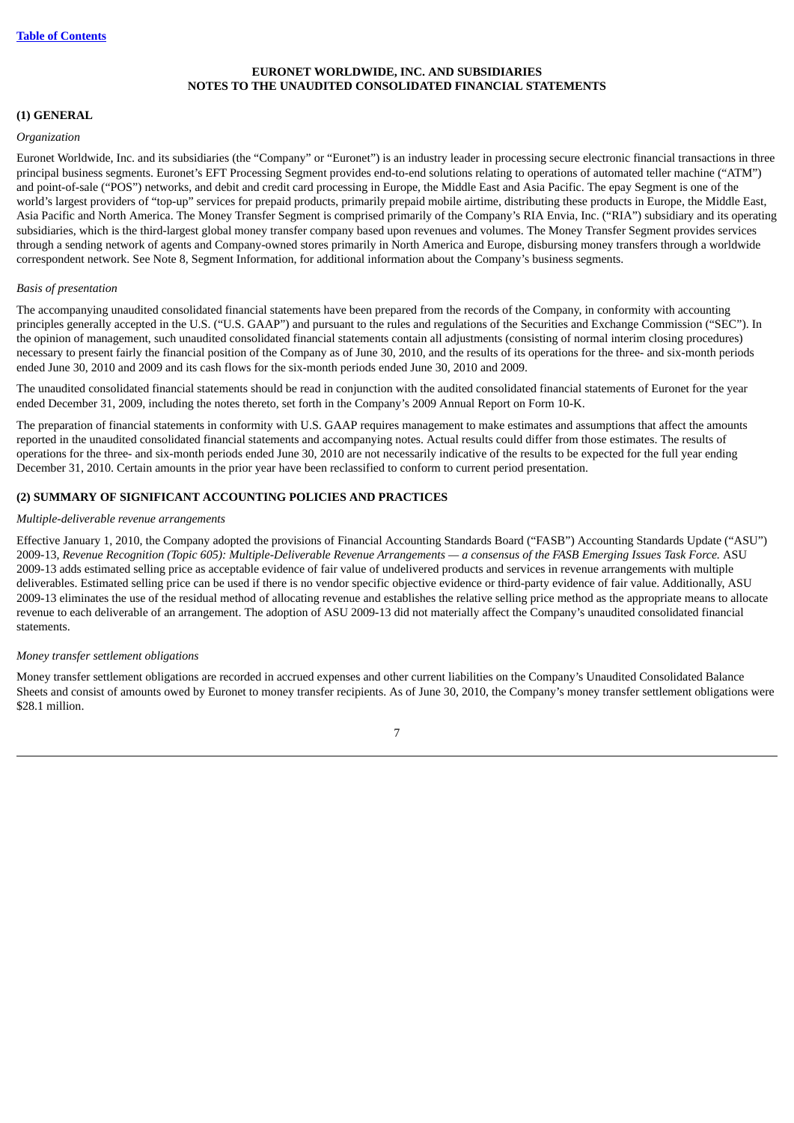# **EURONET WORLDWIDE, INC. AND SUBSIDIARIES NOTES TO THE UNAUDITED CONSOLIDATED FINANCIAL STATEMENTS**

# **(1) GENERAL**

#### *Organization*

Euronet Worldwide, Inc. and its subsidiaries (the "Company" or "Euronet") is an industry leader in processing secure electronic financial transactions in three principal business segments. Euronet's EFT Processing Segment provides end-to-end solutions relating to operations of automated teller machine ("ATM") and point-of-sale ("POS") networks, and debit and credit card processing in Europe, the Middle East and Asia Pacific. The epay Segment is one of the world's largest providers of "top-up" services for prepaid products, primarily prepaid mobile airtime, distributing these products in Europe, the Middle East, Asia Pacific and North America. The Money Transfer Segment is comprised primarily of the Company's RIA Envia, Inc. ("RIA") subsidiary and its operating subsidiaries, which is the third-largest global money transfer company based upon revenues and volumes. The Money Transfer Segment provides services through a sending network of agents and Company-owned stores primarily in North America and Europe, disbursing money transfers through a worldwide correspondent network. See Note 8, Segment Information, for additional information about the Company's business segments.

# *Basis of presentation*

The accompanying unaudited consolidated financial statements have been prepared from the records of the Company, in conformity with accounting principles generally accepted in the U.S. ("U.S. GAAP") and pursuant to the rules and regulations of the Securities and Exchange Commission ("SEC"). In the opinion of management, such unaudited consolidated financial statements contain all adjustments (consisting of normal interim closing procedures) necessary to present fairly the financial position of the Company as of June 30, 2010, and the results of its operations for the three- and six-month periods ended June 30, 2010 and 2009 and its cash flows for the six-month periods ended June 30, 2010 and 2009.

The unaudited consolidated financial statements should be read in conjunction with the audited consolidated financial statements of Euronet for the year ended December 31, 2009, including the notes thereto, set forth in the Company's 2009 Annual Report on Form 10-K.

The preparation of financial statements in conformity with U.S. GAAP requires management to make estimates and assumptions that affect the amounts reported in the unaudited consolidated financial statements and accompanying notes. Actual results could differ from those estimates. The results of operations for the three- and six-month periods ended June 30, 2010 are not necessarily indicative of the results to be expected for the full year ending December 31, 2010. Certain amounts in the prior year have been reclassified to conform to current period presentation.

# **(2) SUMMARY OF SIGNIFICANT ACCOUNTING POLICIES AND PRACTICES**

### *Multiple-deliverable revenue arrangements*

Effective January 1, 2010, the Company adopted the provisions of Financial Accounting Standards Board ("FASB") Accounting Standards Update ("ASU") 2009-13, Revenue Recognition (Topic 605): Multiple-Deliverable Revenue Arrangements — a consensus of the FASB Emerging Issues Task Force, ASU 2009-13 adds estimated selling price as acceptable evidence of fair value of undelivered products and services in revenue arrangements with multiple deliverables. Estimated selling price can be used if there is no vendor specific objective evidence or third-party evidence of fair value. Additionally, ASU 2009-13 eliminates the use of the residual method of allocating revenue and establishes the relative selling price method as the appropriate means to allocate revenue to each deliverable of an arrangement. The adoption of ASU 2009-13 did not materially affect the Company's unaudited consolidated financial statements.

# *Money transfer settlement obligations*

Money transfer settlement obligations are recorded in accrued expenses and other current liabilities on the Company's Unaudited Consolidated Balance Sheets and consist of amounts owed by Euronet to money transfer recipients. As of June 30, 2010, the Company's money transfer settlement obligations were \$28.1 million.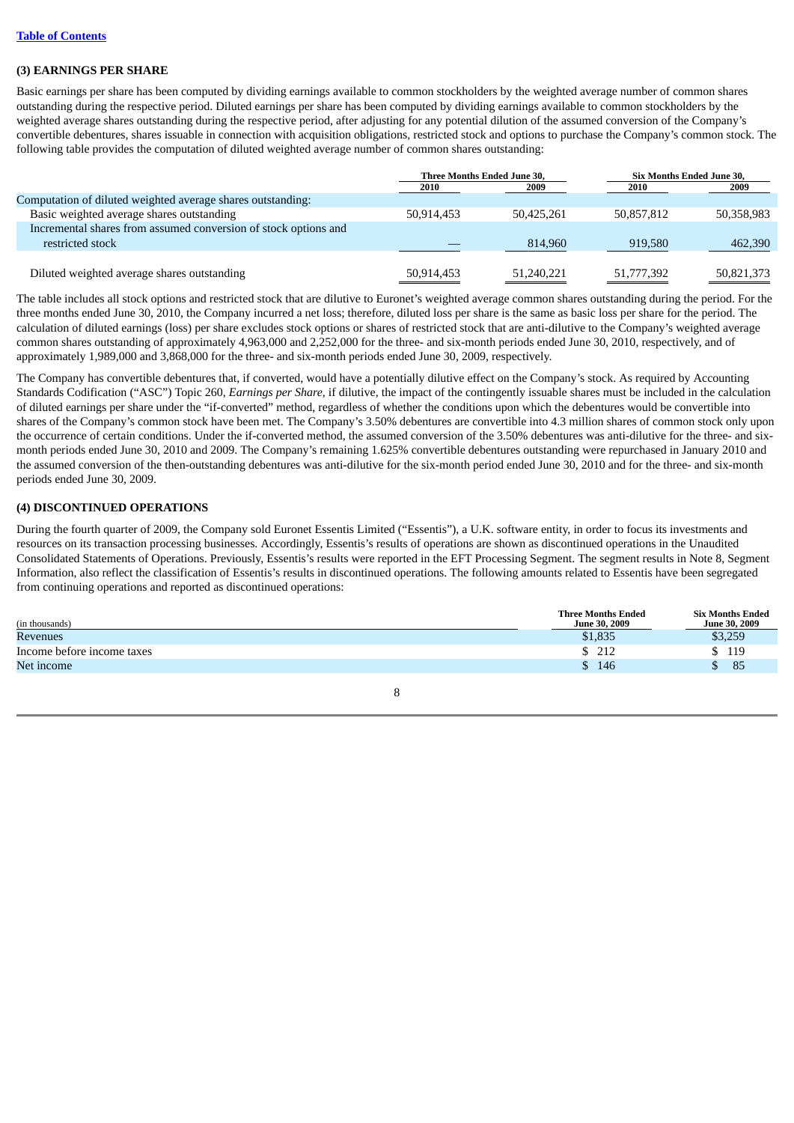# **(3) EARNINGS PER SHARE**

Basic earnings per share has been computed by dividing earnings available to common stockholders by the weighted average number of common shares outstanding during the respective period. Diluted earnings per share has been computed by dividing earnings available to common stockholders by the weighted average shares outstanding during the respective period, after adjusting for any potential dilution of the assumed conversion of the Company's convertible debentures, shares issuable in connection with acquisition obligations, restricted stock and options to purchase the Company's common stock. The following table provides the computation of diluted weighted average number of common shares outstanding:

|                                                                 | Three Months Ended June 30, |            | <b>Six Months Ended June 30.</b> |            |
|-----------------------------------------------------------------|-----------------------------|------------|----------------------------------|------------|
|                                                                 | 2010                        | 2009       |                                  | 2009       |
| Computation of diluted weighted average shares outstanding:     |                             |            |                                  |            |
| Basic weighted average shares outstanding                       | 50.914.453                  | 50.425.261 | 50.857.812                       | 50,358,983 |
| Incremental shares from assumed conversion of stock options and |                             |            |                                  |            |
| restricted stock                                                |                             | 814,960    | 919,580                          | 462,390    |
|                                                                 |                             |            |                                  |            |
| Diluted weighted average shares outstanding                     | 50,914,453                  | 51,240,221 | 51,777,392                       | 50,821,373 |

The table includes all stock options and restricted stock that are dilutive to Euronet's weighted average common shares outstanding during the period. For the three months ended June 30, 2010, the Company incurred a net loss; therefore, diluted loss per share is the same as basic loss per share for the period. The calculation of diluted earnings (loss) per share excludes stock options or shares of restricted stock that are anti-dilutive to the Company's weighted average common shares outstanding of approximately 4,963,000 and 2,252,000 for the three- and six-month periods ended June 30, 2010, respectively, and of approximately 1,989,000 and 3,868,000 for the three- and six-month periods ended June 30, 2009, respectively.

The Company has convertible debentures that, if converted, would have a potentially dilutive effect on the Company's stock. As required by Accounting Standards Codification ("ASC") Topic 260, *Earnings per Share,* if dilutive, the impact of the contingently issuable shares must be included in the calculation of diluted earnings per share under the "if-converted" method, regardless of whether the conditions upon which the debentures would be convertible into shares of the Company's common stock have been met. The Company's 3.50% debentures are convertible into 4.3 million shares of common stock only upon the occurrence of certain conditions. Under the if-converted method, the assumed conversion of the 3.50% debentures was anti-dilutive for the three- and sixmonth periods ended June 30, 2010 and 2009. The Company's remaining 1.625% convertible debentures outstanding were repurchased in January 2010 and the assumed conversion of the then-outstanding debentures was anti-dilutive for the six-month period ended June 30, 2010 and for the three- and six-month periods ended June 30, 2009.

#### **(4) DISCONTINUED OPERATIONS**

During the fourth quarter of 2009, the Company sold Euronet Essentis Limited ("Essentis"), a U.K. software entity, in order to focus its investments and resources on its transaction processing businesses. Accordingly, Essentis's results of operations are shown as discontinued operations in the Unaudited Consolidated Statements of Operations. Previously, Essentis's results were reported in the EFT Processing Segment. The segment results in Note 8, Segment Information, also reflect the classification of Essentis's results in discontinued operations. The following amounts related to Essentis have been segregated from continuing operations and reported as discontinued operations:

| (in thousands)             | <b>Three Months Ended</b><br><b>June 30, 2009</b> | <b>Six Months Ended</b><br><b>June 30, 2009</b> |
|----------------------------|---------------------------------------------------|-------------------------------------------------|
| <b>Revenues</b>            | \$1,835                                           | \$3,259                                         |
| Income before income taxes | \$212                                             | 119                                             |
| Net income                 | 146                                               | 85                                              |
|                            |                                                   |                                                 |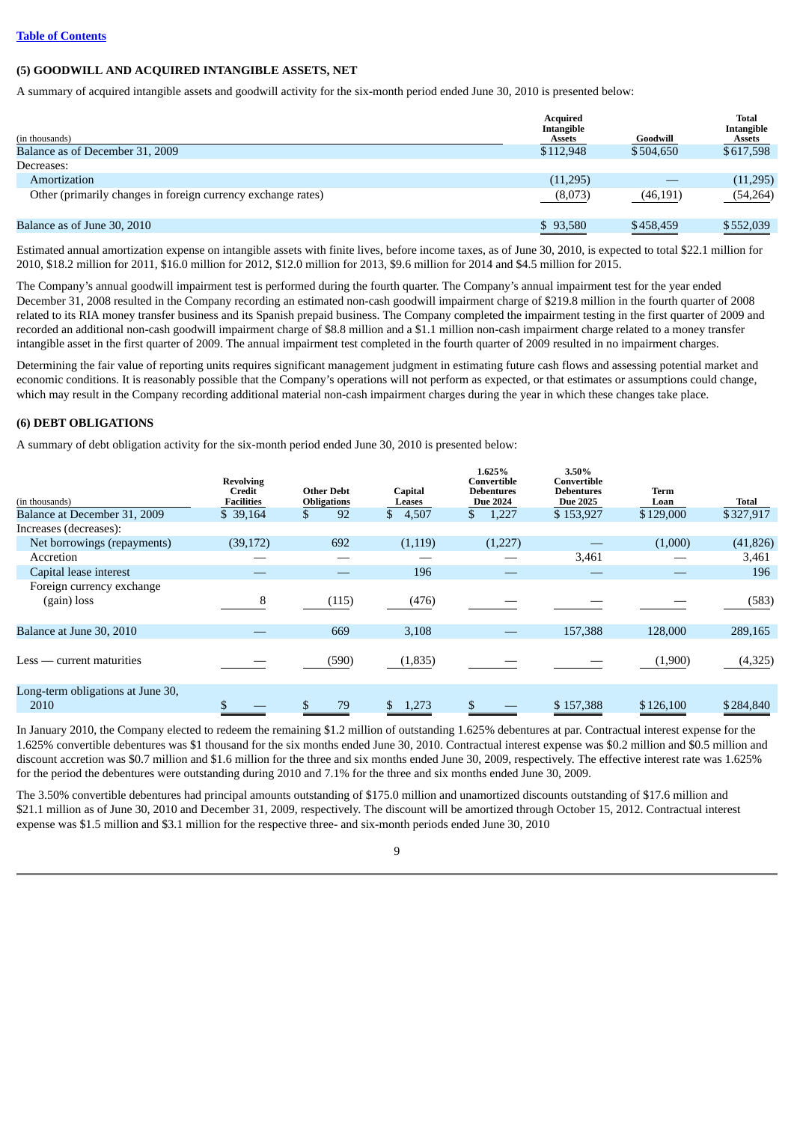# **(5) GOODWILL AND ACQUIRED INTANGIBLE ASSETS, NET**

A summary of acquired intangible assets and goodwill activity for the six-month period ended June 30, 2010 is presented below:

| (in thousands)                                               | <b>Acquired</b><br>Intangible<br><b>Assets</b> | Goodwill  | <b>Total</b><br>Intangible<br>Assets  |
|--------------------------------------------------------------|------------------------------------------------|-----------|---------------------------------------|
| Balance as of December 31, 2009                              | \$112,948                                      | \$504,650 | \$617,598                             |
| Decreases:                                                   |                                                |           |                                       |
| Amortization                                                 | (11,295)                                       |           | (11,295)                              |
| Other (primarily changes in foreign currency exchange rates) | (8,073)                                        | (46, 191) | (54,264)                              |
| Balance as of June 30, 2010                                  | \$93,580                                       | \$458,459 | \$552,039<br><b>STATE OF BUILDING</b> |

Estimated annual amortization expense on intangible assets with finite lives, before income taxes, as of June 30, 2010, is expected to total \$22.1 million for 2010, \$18.2 million for 2011, \$16.0 million for 2012, \$12.0 million for 2013, \$9.6 million for 2014 and \$4.5 million for 2015.

The Company's annual goodwill impairment test is performed during the fourth quarter. The Company's annual impairment test for the year ended December 31, 2008 resulted in the Company recording an estimated non-cash goodwill impairment charge of \$219.8 million in the fourth quarter of 2008 related to its RIA money transfer business and its Spanish prepaid business. The Company completed the impairment testing in the first quarter of 2009 and recorded an additional non-cash goodwill impairment charge of \$8.8 million and a \$1.1 million non-cash impairment charge related to a money transfer intangible asset in the first quarter of 2009. The annual impairment test completed in the fourth quarter of 2009 resulted in no impairment charges.

Determining the fair value of reporting units requires significant management judgment in estimating future cash flows and assessing potential market and economic conditions. It is reasonably possible that the Company's operations will not perform as expected, or that estimates or assumptions could change, which may result in the Company recording additional material non-cash impairment charges during the year in which these changes take place.

## **(6) DEBT OBLIGATIONS**

A summary of debt obligation activity for the six-month period ended June 30, 2010 is presented below:

| (in thousands)                             | <b>Revolving</b><br>Credit<br>Facilities | <b>Other Debt</b><br><b>Obligations</b> | Capital<br>Leases       | 1.625%<br>Convertible<br><b>Debentures</b><br><b>Due 2024</b> | 3.50%<br>Convertible<br><b>Debentures</b><br><b>Due 2025</b> | Term<br>Loan | Total     |
|--------------------------------------------|------------------------------------------|-----------------------------------------|-------------------------|---------------------------------------------------------------|--------------------------------------------------------------|--------------|-----------|
| Balance at December 31, 2009               | \$ 39,164                                | \$<br>92                                | 4,507<br>$\mathbb{S}^-$ | 1,227<br>$\mathbb{S}$                                         | \$153,927                                                    | \$129,000    | \$327,917 |
| Increases (decreases):                     |                                          |                                         |                         |                                                               |                                                              |              |           |
| Net borrowings (repayments)                | (39, 172)                                | 692                                     | (1,119)                 | (1,227)                                                       |                                                              | (1,000)      | (41, 826) |
| Accretion                                  |                                          |                                         |                         |                                                               | 3,461                                                        |              | 3,461     |
| Capital lease interest                     |                                          |                                         | 196                     |                                                               |                                                              |              | 196       |
| Foreign currency exchange<br>$(gain)$ loss | 8                                        | (115)                                   | (476)                   |                                                               |                                                              |              | (583)     |
| Balance at June 30, 2010                   |                                          | 669                                     | 3,108                   |                                                               | 157,388                                                      | 128,000      | 289,165   |
| Less — current maturities                  |                                          | (590)                                   | (1,835)                 |                                                               |                                                              | (1,900)      | (4,325)   |
| Long-term obligations at June 30,<br>2010  | \$                                       | \$<br>79                                | 1,273<br>\$.            |                                                               | \$157,388                                                    | \$126,100    | \$284,840 |

In January 2010, the Company elected to redeem the remaining \$1.2 million of outstanding 1.625% debentures at par. Contractual interest expense for the 1.625% convertible debentures was \$1 thousand for the six months ended June 30, 2010. Contractual interest expense was \$0.2 million and \$0.5 million and discount accretion was \$0.7 million and \$1.6 million for the three and six months ended June 30, 2009, respectively. The effective interest rate was 1.625% for the period the debentures were outstanding during 2010 and 7.1% for the three and six months ended June 30, 2009.

The 3.50% convertible debentures had principal amounts outstanding of \$175.0 million and unamortized discounts outstanding of \$17.6 million and \$21.1 million as of June 30, 2010 and December 31, 2009, respectively. The discount will be amortized through October 15, 2012. Contractual interest expense was \$1.5 million and \$3.1 million for the respective three- and six-month periods ended June 30, 2010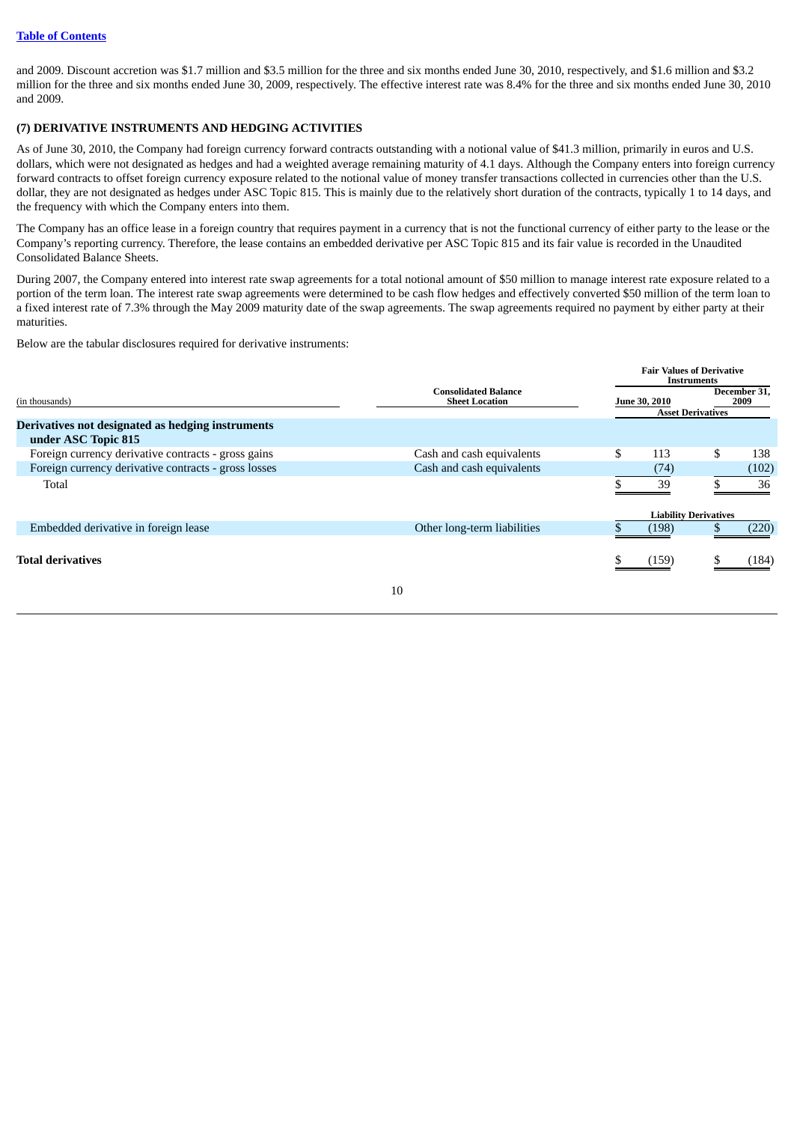and 2009. Discount accretion was \$1.7 million and \$3.5 million for the three and six months ended June 30, 2010, respectively, and \$1.6 million and \$3.2 million for the three and six months ended June 30, 2009, respectively. The effective interest rate was 8.4% for the three and six months ended June 30, 2010 and 2009.

# **(7) DERIVATIVE INSTRUMENTS AND HEDGING ACTIVITIES**

As of June 30, 2010, the Company had foreign currency forward contracts outstanding with a notional value of \$41.3 million, primarily in euros and U.S. dollars, which were not designated as hedges and had a weighted average remaining maturity of 4.1 days. Although the Company enters into foreign currency forward contracts to offset foreign currency exposure related to the notional value of money transfer transactions collected in currencies other than the U.S. dollar, they are not designated as hedges under ASC Topic 815. This is mainly due to the relatively short duration of the contracts, typically 1 to 14 days, and the frequency with which the Company enters into them.

The Company has an office lease in a foreign country that requires payment in a currency that is not the functional currency of either party to the lease or the Company's reporting currency. Therefore, the lease contains an embedded derivative per ASC Topic 815 and its fair value is recorded in the Unaudited Consolidated Balance Sheets.

During 2007, the Company entered into interest rate swap agreements for a total notional amount of \$50 million to manage interest rate exposure related to a portion of the term loan. The interest rate swap agreements were determined to be cash flow hedges and effectively converted \$50 million of the term loan to a fixed interest rate of 7.3% through the May 2009 maturity date of the swap agreements. The swap agreements required no payment by either party at their maturities.

Below are the tabular disclosures required for derivative instruments:

|                                                      |                                                      |                      | <b>Fair Values of Derivative</b> | <b>Instruments</b>       |       |
|------------------------------------------------------|------------------------------------------------------|----------------------|----------------------------------|--------------------------|-------|
| (in thousands)                                       | <b>Consolidated Balance</b><br><b>Sheet Location</b> | <b>June 30, 2010</b> |                                  | December 31,<br>2009     |       |
| Derivatives not designated as hedging instruments    |                                                      |                      |                                  | <b>Asset Derivatives</b> |       |
| under ASC Topic 815                                  |                                                      |                      |                                  |                          |       |
| Foreign currency derivative contracts - gross gains  | Cash and cash equivalents                            | \$                   | 113                              |                          | 138   |
| Foreign currency derivative contracts - gross losses | Cash and cash equivalents                            |                      | (74)                             |                          | (102) |
| Total                                                |                                                      |                      | 39                               |                          | 36    |
|                                                      |                                                      |                      | <b>Liability Derivatives</b>     |                          |       |
| Embedded derivative in foreign lease                 | Other long-term liabilities                          |                      | (198)                            |                          | (220) |
| <b>Total derivatives</b>                             |                                                      |                      | (159)                            |                          | (184) |
|                                                      | 10                                                   |                      |                                  |                          |       |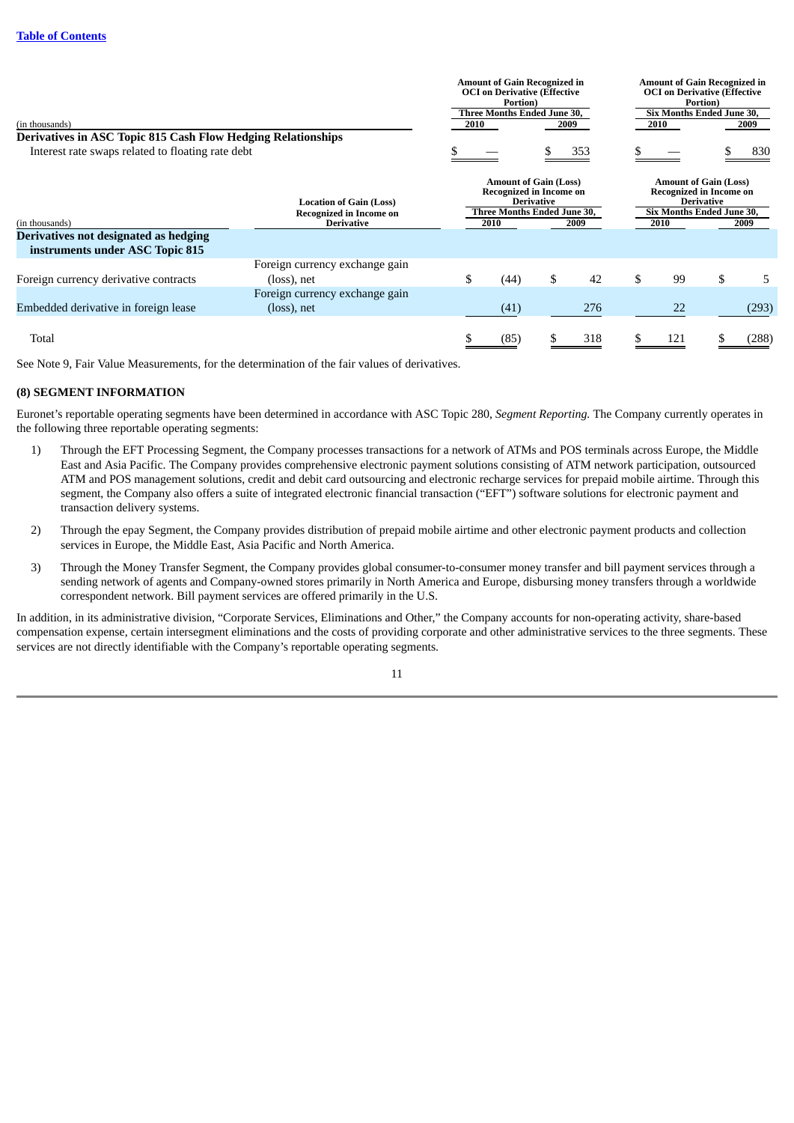| (in thousands)<br>Derivatives in ASC Topic 815 Cash Flow Hedging Relationships |                                                                                                | <b>Amount of Gain Recognized in</b><br><b>OCI</b> on Derivative (Effective<br>Portion)<br><b>Three Months Ended June 30,</b><br>2010<br>2009 |  |              |                                                                                                                          |           | <b>Amount of Gain Recognized in</b><br><b>OCI on Derivative (Effective</b><br><b>Portion</b> )<br>Six Months Ended June 30,<br>2010<br>2009 |             |    |            |
|--------------------------------------------------------------------------------|------------------------------------------------------------------------------------------------|----------------------------------------------------------------------------------------------------------------------------------------------|--|--------------|--------------------------------------------------------------------------------------------------------------------------|-----------|---------------------------------------------------------------------------------------------------------------------------------------------|-------------|----|------------|
| Interest rate swaps related to floating rate debt<br>(in thousands)            | <b>Location of Gain (Loss)</b><br><b>Recognized in Income on</b><br><b>Derivative</b>          | 353<br><b>Amount of Gain (Loss)</b><br><b>Recognized in Income on</b><br><b>Derivative</b><br>Three Months Ended June 30,<br>2009<br>2010    |  |              | <b>Amount of Gain (Loss)</b><br><b>Recognized in Income on</b><br><b>Derivative</b><br>Six Months Ended June 30,<br>2010 |           |                                                                                                                                             | 830<br>2009 |    |            |
| Derivatives not designated as hedging<br>instruments under ASC Topic 815       |                                                                                                |                                                                                                                                              |  |              |                                                                                                                          |           |                                                                                                                                             |             |    |            |
| Foreign currency derivative contracts<br>Embedded derivative in foreign lease  | Foreign currency exchange gain<br>(loss), net<br>Foreign currency exchange gain<br>(loss), net | \$                                                                                                                                           |  | (44)<br>(41) | \$                                                                                                                       | 42<br>276 |                                                                                                                                             | 99<br>22    | \$ | 5<br>(293) |
| Total                                                                          |                                                                                                |                                                                                                                                              |  | (85)         |                                                                                                                          | 318       |                                                                                                                                             |             |    | (288)      |

See Note 9, Fair Value Measurements, for the determination of the fair values of derivatives.

# **(8) SEGMENT INFORMATION**

Euronet's reportable operating segments have been determined in accordance with ASC Topic 280, *Segment Reporting.* The Company currently operates in the following three reportable operating segments:

- 1) Through the EFT Processing Segment, the Company processes transactions for a network of ATMs and POS terminals across Europe, the Middle East and Asia Pacific. The Company provides comprehensive electronic payment solutions consisting of ATM network participation, outsourced ATM and POS management solutions, credit and debit card outsourcing and electronic recharge services for prepaid mobile airtime. Through this segment, the Company also offers a suite of integrated electronic financial transaction ("EFT") software solutions for electronic payment and transaction delivery systems.
- 2) Through the epay Segment, the Company provides distribution of prepaid mobile airtime and other electronic payment products and collection services in Europe, the Middle East, Asia Pacific and North America.
- 3) Through the Money Transfer Segment, the Company provides global consumer-to-consumer money transfer and bill payment services through a sending network of agents and Company-owned stores primarily in North America and Europe, disbursing money transfers through a worldwide correspondent network. Bill payment services are offered primarily in the U.S.

In addition, in its administrative division, "Corporate Services, Eliminations and Other," the Company accounts for non-operating activity, share-based compensation expense, certain intersegment eliminations and the costs of providing corporate and other administrative services to the three segments. These services are not directly identifiable with the Company's reportable operating segments.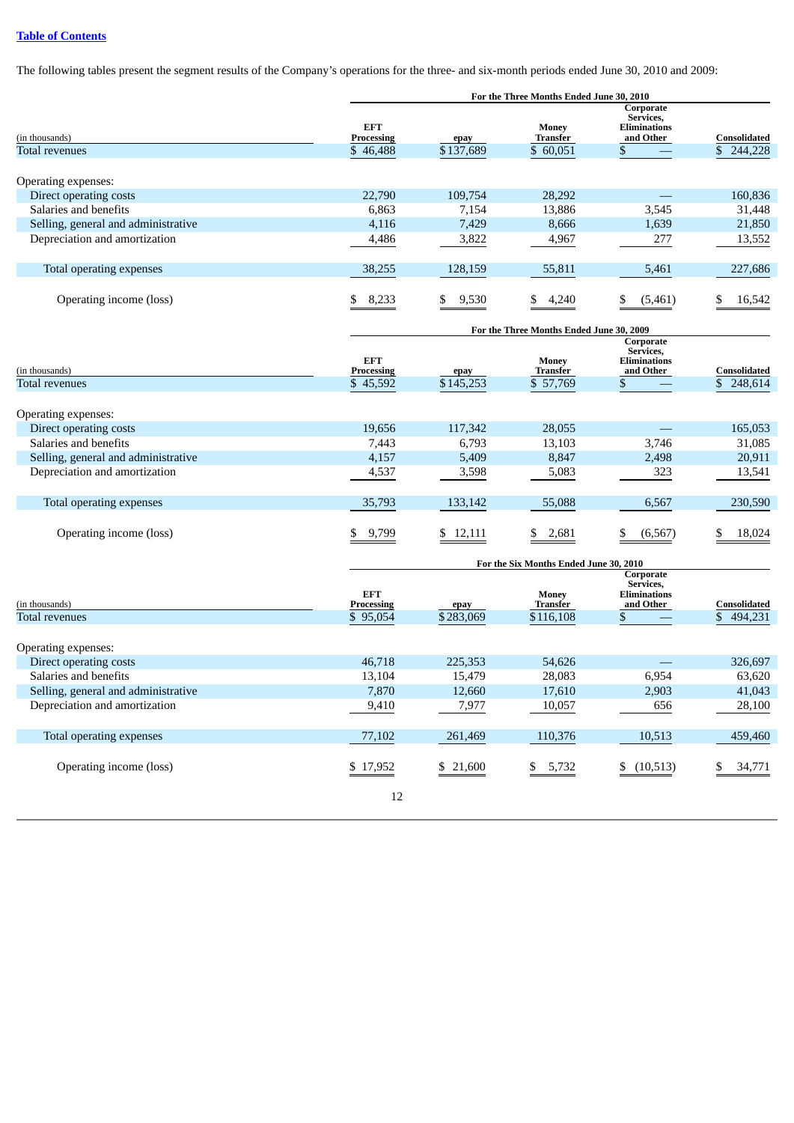# **Table of [Contents](#page-2-0)**

The following tables present the segment results of the Company's operations for the three- and six-month periods ended June 30, 2010 and 2009:

|                                     | For the Three Months Ended June 30, 2010 |           |                          |                                                            |               |  |  |  |  |  |
|-------------------------------------|------------------------------------------|-----------|--------------------------|------------------------------------------------------------|---------------|--|--|--|--|--|
| (in thousands)                      | EFT<br>Processing                        | epay      | <b>Money</b><br>Transfer | Corporate<br>Services,<br><b>Eliminations</b><br>and Other | Consolidated  |  |  |  |  |  |
| Total revenues                      | \$46,488                                 | \$137,689 | \$60,051                 |                                                            | 244,228<br>\$ |  |  |  |  |  |
| Operating expenses:                 |                                          |           |                          |                                                            |               |  |  |  |  |  |
| Direct operating costs              | 22,790                                   | 109,754   | 28,292                   |                                                            | 160,836       |  |  |  |  |  |
| Salaries and benefits               | 6,863                                    | 7,154     | 13,886                   | 3,545                                                      | 31,448        |  |  |  |  |  |
| Selling, general and administrative | 4.116                                    | 7.429     | 8.666                    | 1,639                                                      | 21,850        |  |  |  |  |  |
| Depreciation and amortization       | 4,486                                    | 3,822     | 4,967                    | 277                                                        | 13,552        |  |  |  |  |  |
|                                     |                                          |           |                          |                                                            |               |  |  |  |  |  |
| Total operating expenses            | 38,255                                   | 128,159   | 55,811                   | 5,461                                                      | 227,686       |  |  |  |  |  |
| Operating income (loss)             | 8,233                                    | 9,530     | 4,240                    | (5,461)                                                    | 16,542        |  |  |  |  |  |

|                                     |                          |                       | For the Three Months Ended June 30, 2009 |                                                            |               |
|-------------------------------------|--------------------------|-----------------------|------------------------------------------|------------------------------------------------------------|---------------|
| (in thousands)                      | <b>EFT</b><br>Processing | epay                  | Money<br>Transfer                        | Corporate<br>Services,<br><b>Eliminations</b><br>and Other | Consolidated  |
| <b>Total revenues</b>               | \$45,592                 | $\overline{$145,253}$ | \$57,769                                 | \$                                                         | 248,614<br>\$ |
| Operating expenses:                 |                          |                       |                                          |                                                            |               |
| Direct operating costs              | 19,656                   | 117,342               | 28,055                                   |                                                            | 165,053       |
| Salaries and benefits               | 7,443                    | 6,793                 | 13,103                                   | 3,746                                                      | 31,085        |
| Selling, general and administrative | 4,157                    | 5,409                 | 8,847                                    | 2,498                                                      | 20,911        |
| Depreciation and amortization       | 4,537                    | 3,598                 | 5,083                                    | 323                                                        | 13,541        |
|                                     |                          |                       |                                          |                                                            |               |
| Total operating expenses            | 35,793                   | 133,142               | 55,088                                   | 6,567                                                      | 230,590       |
|                                     |                          |                       |                                          |                                                            |               |
| Operating income (loss)             | 9,799<br>\$              | \$12,111              | 2,681<br>\$                              | \$<br>(6, 567)                                             | 18,024<br>\$  |
|                                     |                          |                       |                                          |                                                            |               |
|                                     |                          |                       | For the Six Months Ended June 30, 2010   |                                                            |               |
| (in thousands)                      | <b>EFT</b><br>Processing | epay                  | Money<br><b>Transfer</b>                 | Corporate<br>Services,<br><b>Eliminations</b><br>and Other | Consolidated  |
| <b>Total revenues</b>               | \$95,054                 | \$283,069             | \$116,108                                | \$                                                         | \$<br>494,231 |
| Operating expenses:                 |                          |                       |                                          |                                                            |               |
| Direct operating costs              | 46,718                   | 225,353               | 54,626                                   |                                                            | 326,697       |
| Salaries and benefits               | 13,104                   | 15,479                | 28,083                                   | 6,954                                                      | 63,620        |
| Selling, general and administrative | 7,870                    | 12,660                | 17,610                                   | 2,903                                                      | 41,043        |
| Depreciation and amortization       | 9,410                    | 7,977                 | 10,057                                   | 656                                                        | 28,100        |
|                                     |                          |                       |                                          |                                                            |               |
| Total operating expenses            | 77,102                   | 261,469               | 110,376                                  | 10,513                                                     | 459,460       |

Operating income (loss) <br>
8 17,952 <br>
8 21,600 <br>
8 5,732 <br>
8 (10,513) <br>
8 34,771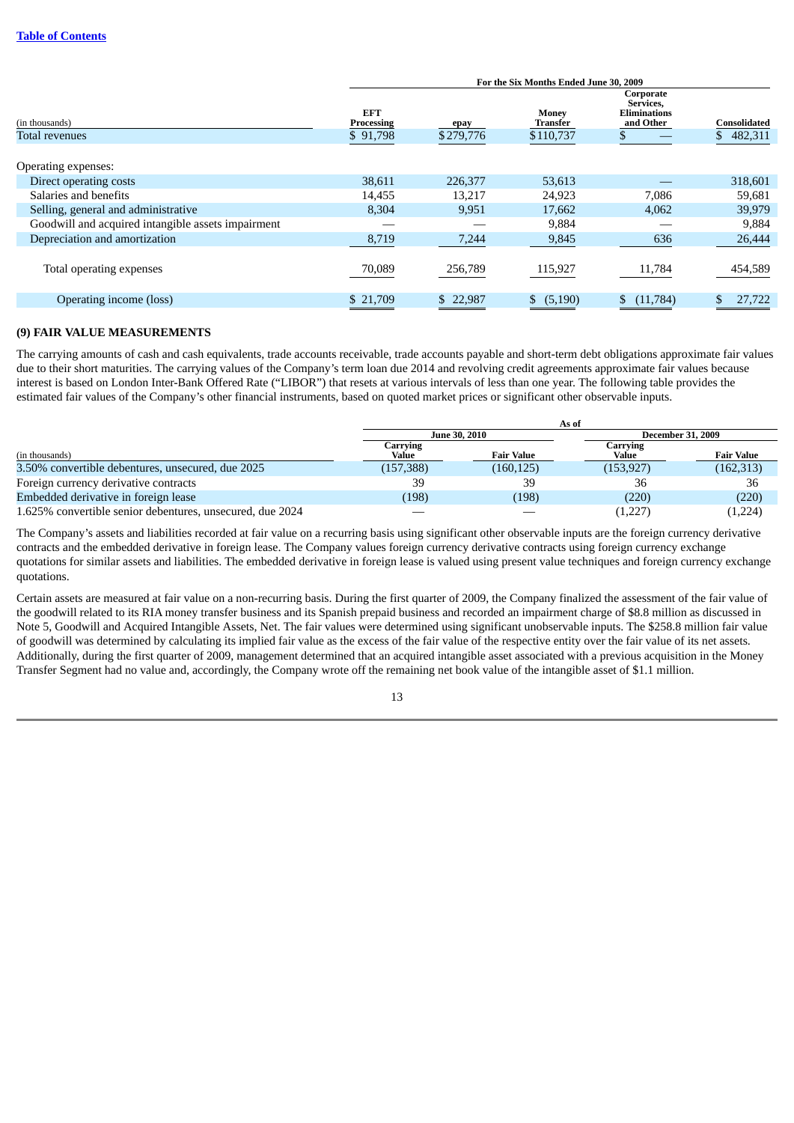|                                                    |                          | For the Six Months Ended June 30, 2009 |                   |                                                            |              |  |  |  |  |  |  |
|----------------------------------------------------|--------------------------|----------------------------------------|-------------------|------------------------------------------------------------|--------------|--|--|--|--|--|--|
| (in thousands)                                     | <b>EFT</b><br>Processing | epay                                   | Money<br>Transfer | Corporate<br>Services.<br><b>Eliminations</b><br>and Other | Consolidated |  |  |  |  |  |  |
| Total revenues                                     | \$91,798                 | \$279,776                              | \$110,737         |                                                            | 482,311      |  |  |  |  |  |  |
| Operating expenses:                                |                          |                                        |                   |                                                            |              |  |  |  |  |  |  |
| Direct operating costs                             | 38,611                   | 226,377                                | 53,613            |                                                            | 318,601      |  |  |  |  |  |  |
| Salaries and benefits                              | 14,455                   | 13,217                                 | 24,923            | 7,086                                                      | 59,681       |  |  |  |  |  |  |
| Selling, general and administrative                | 8,304                    | 9,951                                  | 17,662            | 4,062                                                      | 39,979       |  |  |  |  |  |  |
| Goodwill and acquired intangible assets impairment |                          |                                        | 9,884             |                                                            | 9,884        |  |  |  |  |  |  |
| Depreciation and amortization                      | 8,719                    | 7,244                                  | 9,845             | 636                                                        | 26,444       |  |  |  |  |  |  |
| Total operating expenses                           | 70,089                   | 256,789                                | 115,927           | 11,784                                                     | 454,589      |  |  |  |  |  |  |
| Operating income (loss)                            | \$21,709                 | \$22,987                               | (5,190)<br>\$     | (11,784)<br>S.                                             | 27,722       |  |  |  |  |  |  |

# **(9) FAIR VALUE MEASUREMENTS**

The carrying amounts of cash and cash equivalents, trade accounts receivable, trade accounts payable and short-term debt obligations approximate fair values due to their short maturities. The carrying values of the Company's term loan due 2014 and revolving credit agreements approximate fair values because interest is based on London Inter-Bank Offered Rate ("LIBOR") that resets at various intervals of less than one year. The following table provides the estimated fair values of the Company's other financial instruments, based on quoted market prices or significant other observable inputs.

|                                                           | As of                |                   |                          |                   |  |  |  |  |  |
|-----------------------------------------------------------|----------------------|-------------------|--------------------------|-------------------|--|--|--|--|--|
|                                                           | <b>June 30, 2010</b> |                   | <b>December 31, 2009</b> |                   |  |  |  |  |  |
| (in thousands)                                            | Carrving<br>Value    | <b>Fair Value</b> | Carrving<br>Value        | <b>Fair Value</b> |  |  |  |  |  |
| 3.50% convertible debentures, unsecured, due 2025         | (157, 388)           | (160, 125)        | (153, 927)               | (162, 313)        |  |  |  |  |  |
| Foreign currency derivative contracts                     | 39                   | 39                | 36                       | 36                |  |  |  |  |  |
| Embedded derivative in foreign lease                      | (198)                | (198)             | (220)                    | (220)             |  |  |  |  |  |
| 1.625% convertible senior debentures, unsecured, due 2024 |                      |                   | (1,227)                  | (1,224)           |  |  |  |  |  |

The Company's assets and liabilities recorded at fair value on a recurring basis using significant other observable inputs are the foreign currency derivative contracts and the embedded derivative in foreign lease. The Company values foreign currency derivative contracts using foreign currency exchange quotations for similar assets and liabilities. The embedded derivative in foreign lease is valued using present value techniques and foreign currency exchange quotations.

Certain assets are measured at fair value on a non-recurring basis. During the first quarter of 2009, the Company finalized the assessment of the fair value of the goodwill related to its RIA money transfer business and its Spanish prepaid business and recorded an impairment charge of \$8.8 million as discussed in Note 5, Goodwill and Acquired Intangible Assets, Net. The fair values were determined using significant unobservable inputs. The \$258.8 million fair value of goodwill was determined by calculating its implied fair value as the excess of the fair value of the respective entity over the fair value of its net assets. Additionally, during the first quarter of 2009, management determined that an acquired intangible asset associated with a previous acquisition in the Money Transfer Segment had no value and, accordingly, the Company wrote off the remaining net book value of the intangible asset of \$1.1 million.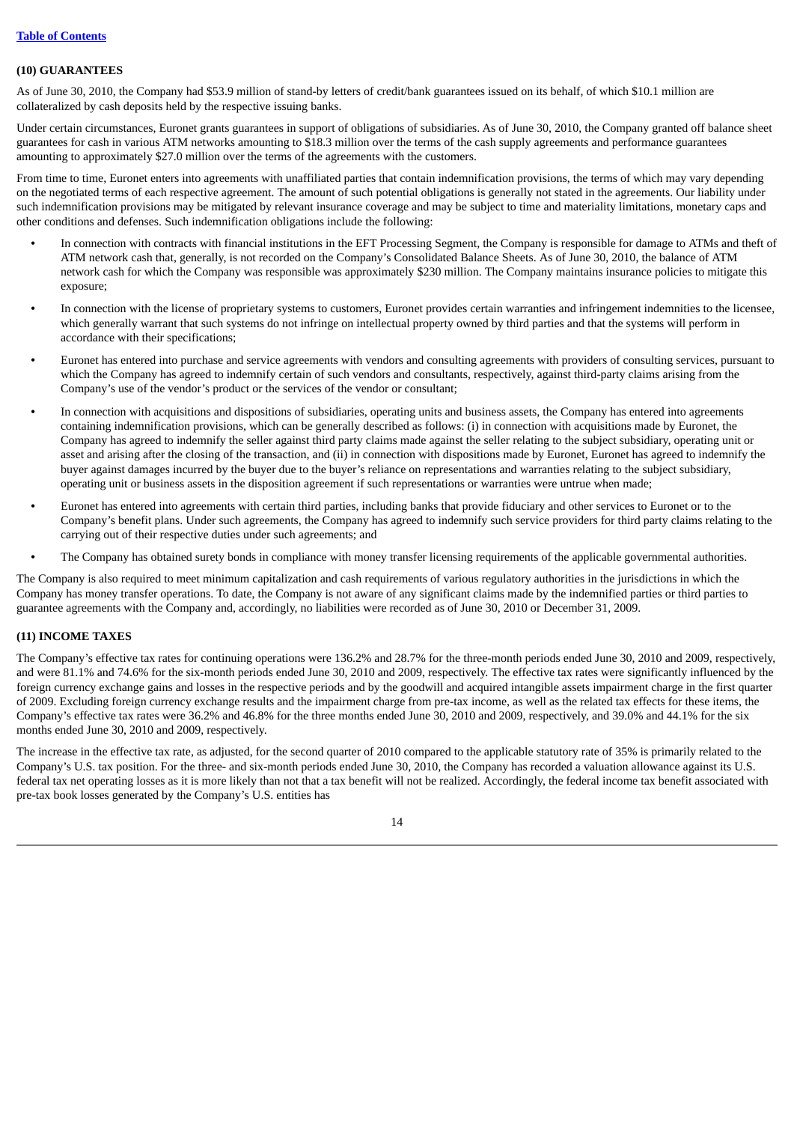# **(10) GUARANTEES**

As of June 30, 2010, the Company had \$53.9 million of stand-by letters of credit/bank guarantees issued on its behalf, of which \$10.1 million are collateralized by cash deposits held by the respective issuing banks.

Under certain circumstances, Euronet grants guarantees in support of obligations of subsidiaries. As of June 30, 2010, the Company granted off balance sheet guarantees for cash in various ATM networks amounting to \$18.3 million over the terms of the cash supply agreements and performance guarantees amounting to approximately \$27.0 million over the terms of the agreements with the customers.

From time to time, Euronet enters into agreements with unaffiliated parties that contain indemnification provisions, the terms of which may vary depending on the negotiated terms of each respective agreement. The amount of such potential obligations is generally not stated in the agreements. Our liability under such indemnification provisions may be mitigated by relevant insurance coverage and may be subject to time and materiality limitations, monetary caps and other conditions and defenses. Such indemnification obligations include the following:

- **•** In connection with contracts with financial institutions in the EFT Processing Segment, the Company is responsible for damage to ATMs and theft of ATM network cash that, generally, is not recorded on the Company's Consolidated Balance Sheets. As of June 30, 2010, the balance of ATM network cash for which the Company was responsible was approximately \$230 million. The Company maintains insurance policies to mitigate this exposure;
- **•** In connection with the license of proprietary systems to customers, Euronet provides certain warranties and infringement indemnities to the licensee, which generally warrant that such systems do not infringe on intellectual property owned by third parties and that the systems will perform in accordance with their specifications;
- **•** Euronet has entered into purchase and service agreements with vendors and consulting agreements with providers of consulting services, pursuant to which the Company has agreed to indemnify certain of such vendors and consultants, respectively, against third-party claims arising from the Company's use of the vendor's product or the services of the vendor or consultant;
- **•** In connection with acquisitions and dispositions of subsidiaries, operating units and business assets, the Company has entered into agreements containing indemnification provisions, which can be generally described as follows: (i) in connection with acquisitions made by Euronet, the Company has agreed to indemnify the seller against third party claims made against the seller relating to the subject subsidiary, operating unit or asset and arising after the closing of the transaction, and (ii) in connection with dispositions made by Euronet, Euronet has agreed to indemnify the buyer against damages incurred by the buyer due to the buyer's reliance on representations and warranties relating to the subject subsidiary, operating unit or business assets in the disposition agreement if such representations or warranties were untrue when made;
- **•** Euronet has entered into agreements with certain third parties, including banks that provide fiduciary and other services to Euronet or to the Company's benefit plans. Under such agreements, the Company has agreed to indemnify such service providers for third party claims relating to the carrying out of their respective duties under such agreements; and
- **•** The Company has obtained surety bonds in compliance with money transfer licensing requirements of the applicable governmental authorities.

The Company is also required to meet minimum capitalization and cash requirements of various regulatory authorities in the jurisdictions in which the Company has money transfer operations. To date, the Company is not aware of any significant claims made by the indemnified parties or third parties to guarantee agreements with the Company and, accordingly, no liabilities were recorded as of June 30, 2010 or December 31, 2009.

# **(11) INCOME TAXES**

The Company's effective tax rates for continuing operations were 136.2% and 28.7% for the three-month periods ended June 30, 2010 and 2009, respectively, and were 81.1% and 74.6% for the six-month periods ended June 30, 2010 and 2009, respectively. The effective tax rates were significantly influenced by the foreign currency exchange gains and losses in the respective periods and by the goodwill and acquired intangible assets impairment charge in the first quarter of 2009. Excluding foreign currency exchange results and the impairment charge from pre-tax income, as well as the related tax effects for these items, the Company's effective tax rates were 36.2% and 46.8% for the three months ended June 30, 2010 and 2009, respectively, and 39.0% and 44.1% for the six months ended June 30, 2010 and 2009, respectively.

The increase in the effective tax rate, as adjusted, for the second quarter of 2010 compared to the applicable statutory rate of 35% is primarily related to the Company's U.S. tax position. For the three- and six-month periods ended June 30, 2010, the Company has recorded a valuation allowance against its U.S. federal tax net operating losses as it is more likely than not that a tax benefit will not be realized. Accordingly, the federal income tax benefit associated with pre-tax book losses generated by the Company's U.S. entities has

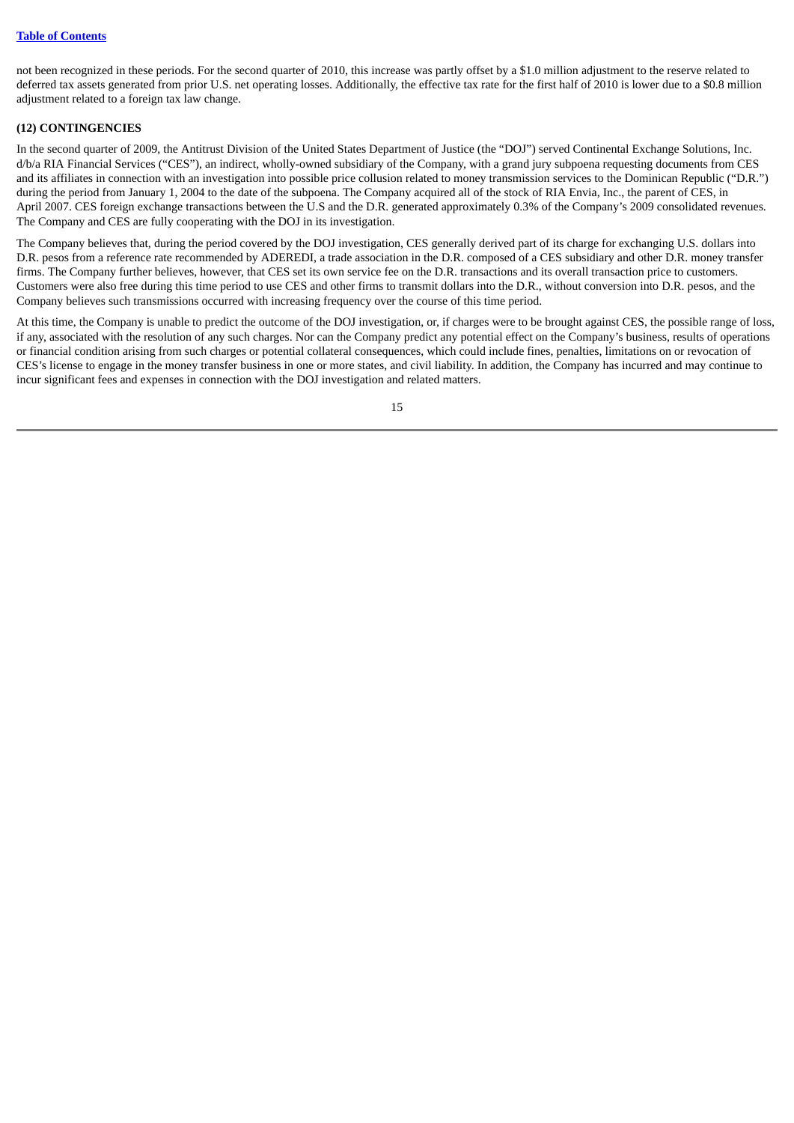not been recognized in these periods. For the second quarter of 2010, this increase was partly offset by a \$1.0 million adjustment to the reserve related to deferred tax assets generated from prior U.S. net operating losses. Additionally, the effective tax rate for the first half of 2010 is lower due to a \$0.8 million adjustment related to a foreign tax law change.

# **(12) CONTINGENCIES**

In the second quarter of 2009, the Antitrust Division of the United States Department of Justice (the "DOJ") served Continental Exchange Solutions, Inc. d/b/a RIA Financial Services ("CES"), an indirect, wholly-owned subsidiary of the Company, with a grand jury subpoena requesting documents from CES and its affiliates in connection with an investigation into possible price collusion related to money transmission services to the Dominican Republic ("D.R.") during the period from January 1, 2004 to the date of the subpoena. The Company acquired all of the stock of RIA Envia, Inc., the parent of CES, in April 2007. CES foreign exchange transactions between the U.S and the D.R. generated approximately 0.3% of the Company's 2009 consolidated revenues. The Company and CES are fully cooperating with the DOJ in its investigation.

The Company believes that, during the period covered by the DOJ investigation, CES generally derived part of its charge for exchanging U.S. dollars into D.R. pesos from a reference rate recommended by ADEREDI, a trade association in the D.R. composed of a CES subsidiary and other D.R. money transfer firms. The Company further believes, however, that CES set its own service fee on the D.R. transactions and its overall transaction price to customers. Customers were also free during this time period to use CES and other firms to transmit dollars into the D.R., without conversion into D.R. pesos, and the Company believes such transmissions occurred with increasing frequency over the course of this time period.

At this time, the Company is unable to predict the outcome of the DOJ investigation, or, if charges were to be brought against CES, the possible range of loss, if any, associated with the resolution of any such charges. Nor can the Company predict any potential effect on the Company's business, results of operations or financial condition arising from such charges or potential collateral consequences, which could include fines, penalties, limitations on or revocation of CES's license to engage in the money transfer business in one or more states, and civil liability. In addition, the Company has incurred and may continue to incur significant fees and expenses in connection with the DOJ investigation and related matters.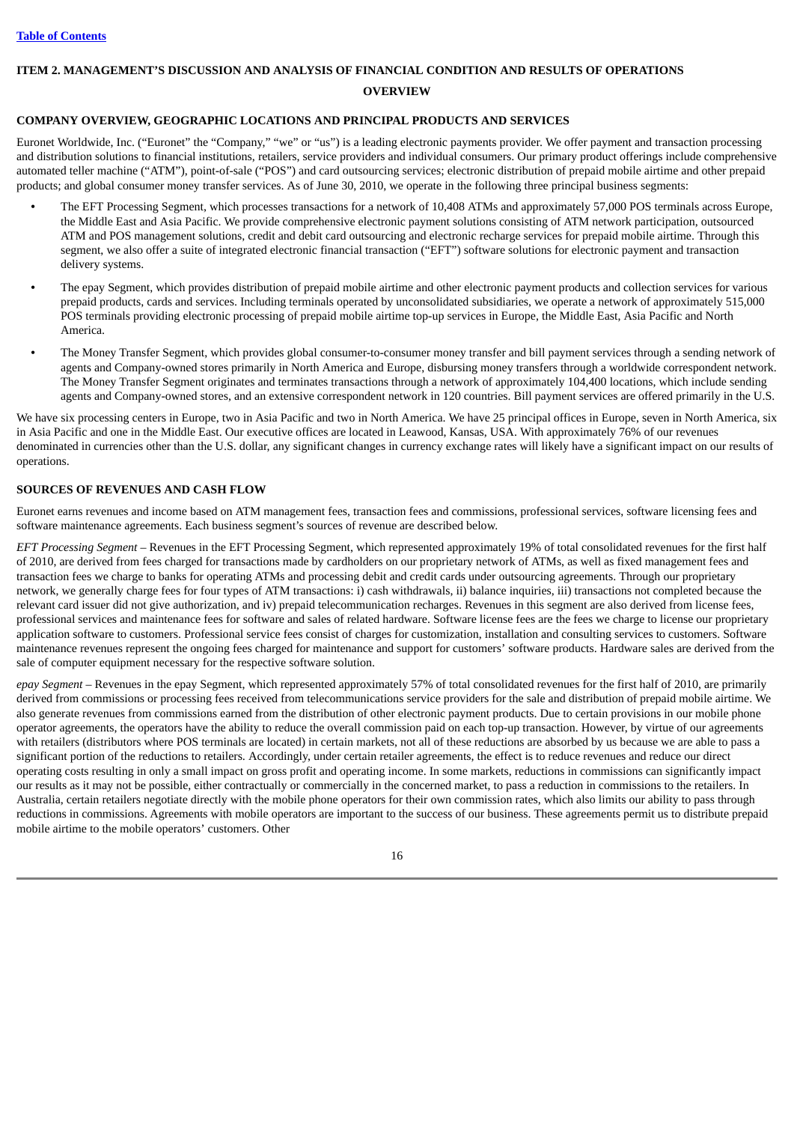#### <span id="page-16-0"></span>**ITEM 2. MANAGEMENT'S DISCUSSION AND ANALYSIS OF FINANCIAL CONDITION AND RESULTS OF OPERATIONS**

#### **OVERVIEW**

#### **COMPANY OVERVIEW, GEOGRAPHIC LOCATIONS AND PRINCIPAL PRODUCTS AND SERVICES**

Euronet Worldwide, Inc. ("Euronet" the "Company," "we" or "us") is a leading electronic payments provider. We offer payment and transaction processing and distribution solutions to financial institutions, retailers, service providers and individual consumers. Our primary product offerings include comprehensive automated teller machine ("ATM"), point-of-sale ("POS") and card outsourcing services; electronic distribution of prepaid mobile airtime and other prepaid products; and global consumer money transfer services. As of June 30, 2010, we operate in the following three principal business segments:

- **•** The EFT Processing Segment, which processes transactions for a network of 10,408 ATMs and approximately 57,000 POS terminals across Europe, the Middle East and Asia Pacific. We provide comprehensive electronic payment solutions consisting of ATM network participation, outsourced ATM and POS management solutions, credit and debit card outsourcing and electronic recharge services for prepaid mobile airtime. Through this segment, we also offer a suite of integrated electronic financial transaction ("EFT") software solutions for electronic payment and transaction delivery systems.
- **•** The epay Segment, which provides distribution of prepaid mobile airtime and other electronic payment products and collection services for various prepaid products, cards and services. Including terminals operated by unconsolidated subsidiaries, we operate a network of approximately 515,000 POS terminals providing electronic processing of prepaid mobile airtime top-up services in Europe, the Middle East, Asia Pacific and North America.
- **•** The Money Transfer Segment, which provides global consumer-to-consumer money transfer and bill payment services through a sending network of agents and Company-owned stores primarily in North America and Europe, disbursing money transfers through a worldwide correspondent network. The Money Transfer Segment originates and terminates transactions through a network of approximately 104,400 locations, which include sending agents and Company-owned stores, and an extensive correspondent network in 120 countries. Bill payment services are offered primarily in the U.S.

We have six processing centers in Europe, two in Asia Pacific and two in North America. We have 25 principal offices in Europe, seven in North America, six in Asia Pacific and one in the Middle East. Our executive offices are located in Leawood, Kansas, USA. With approximately 76% of our revenues denominated in currencies other than the U.S. dollar, any significant changes in currency exchange rates will likely have a significant impact on our results of operations.

# **SOURCES OF REVENUES AND CASH FLOW**

Euronet earns revenues and income based on ATM management fees, transaction fees and commissions, professional services, software licensing fees and software maintenance agreements. Each business segment's sources of revenue are described below.

*EFT Processing Segment* – Revenues in the EFT Processing Segment, which represented approximately 19% of total consolidated revenues for the first half of 2010, are derived from fees charged for transactions made by cardholders on our proprietary network of ATMs, as well as fixed management fees and transaction fees we charge to banks for operating ATMs and processing debit and credit cards under outsourcing agreements. Through our proprietary network, we generally charge fees for four types of ATM transactions: i) cash withdrawals, ii) balance inquiries, iii) transactions not completed because the relevant card issuer did not give authorization, and iv) prepaid telecommunication recharges. Revenues in this segment are also derived from license fees, professional services and maintenance fees for software and sales of related hardware. Software license fees are the fees we charge to license our proprietary application software to customers. Professional service fees consist of charges for customization, installation and consulting services to customers. Software maintenance revenues represent the ongoing fees charged for maintenance and support for customers' software products. Hardware sales are derived from the sale of computer equipment necessary for the respective software solution.

*epay Segment* – Revenues in the epay Segment, which represented approximately 57% of total consolidated revenues for the first half of 2010, are primarily derived from commissions or processing fees received from telecommunications service providers for the sale and distribution of prepaid mobile airtime. We also generate revenues from commissions earned from the distribution of other electronic payment products. Due to certain provisions in our mobile phone operator agreements, the operators have the ability to reduce the overall commission paid on each top-up transaction. However, by virtue of our agreements with retailers (distributors where POS terminals are located) in certain markets, not all of these reductions are absorbed by us because we are able to pass a significant portion of the reductions to retailers. Accordingly, under certain retailer agreements, the effect is to reduce revenues and reduce our direct operating costs resulting in only a small impact on gross profit and operating income. In some markets, reductions in commissions can significantly impact our results as it may not be possible, either contractually or commercially in the concerned market, to pass a reduction in commissions to the retailers. In Australia, certain retailers negotiate directly with the mobile phone operators for their own commission rates, which also limits our ability to pass through reductions in commissions. Agreements with mobile operators are important to the success of our business. These agreements permit us to distribute prepaid mobile airtime to the mobile operators' customers. Other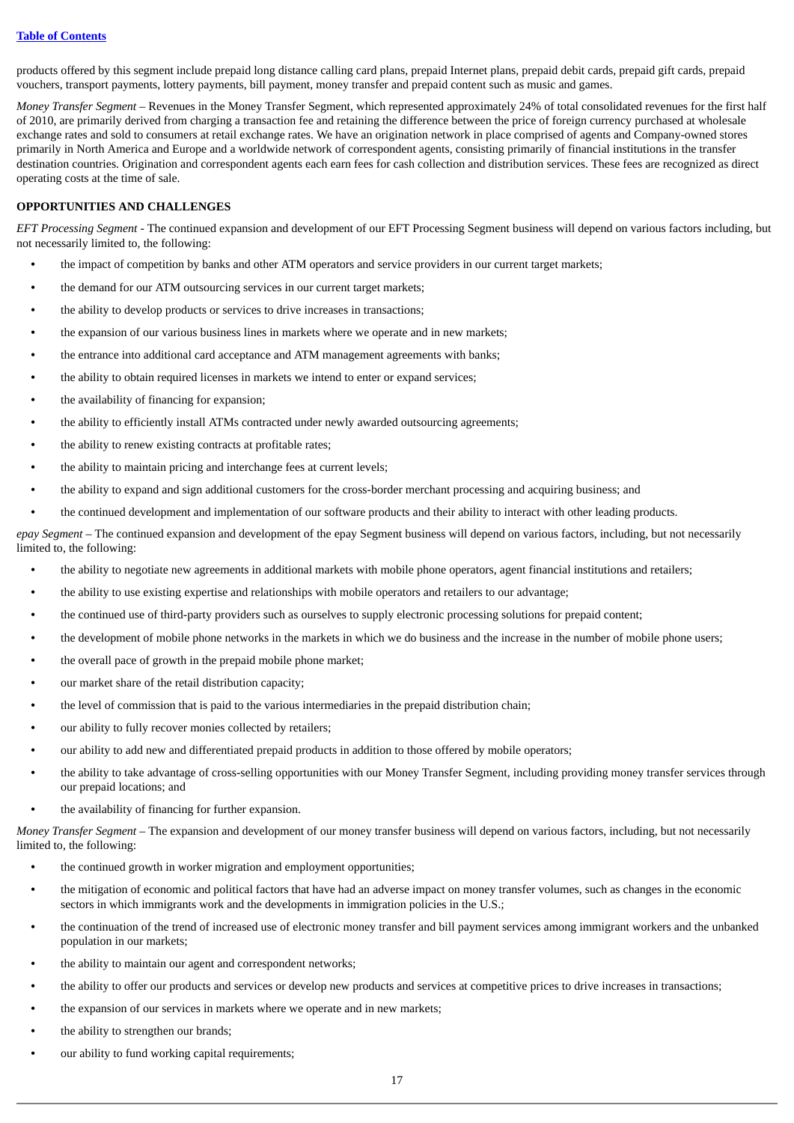products offered by this segment include prepaid long distance calling card plans, prepaid Internet plans, prepaid debit cards, prepaid gift cards, prepaid vouchers, transport payments, lottery payments, bill payment, money transfer and prepaid content such as music and games.

*Money Transfer Segment* – Revenues in the Money Transfer Segment, which represented approximately 24% of total consolidated revenues for the first half of 2010, are primarily derived from charging a transaction fee and retaining the difference between the price of foreign currency purchased at wholesale exchange rates and sold to consumers at retail exchange rates. We have an origination network in place comprised of agents and Company-owned stores primarily in North America and Europe and a worldwide network of correspondent agents, consisting primarily of financial institutions in the transfer destination countries. Origination and correspondent agents each earn fees for cash collection and distribution services. These fees are recognized as direct operating costs at the time of sale.

# **OPPORTUNITIES AND CHALLENGES**

*EFT Processing Segment* - The continued expansion and development of our EFT Processing Segment business will depend on various factors including, but not necessarily limited to, the following:

- **•** the impact of competition by banks and other ATM operators and service providers in our current target markets;
- **•** the demand for our ATM outsourcing services in our current target markets;
- **•** the ability to develop products or services to drive increases in transactions;
- **•** the expansion of our various business lines in markets where we operate and in new markets;
- **•** the entrance into additional card acceptance and ATM management agreements with banks;
- **•** the ability to obtain required licenses in markets we intend to enter or expand services;
- **•** the availability of financing for expansion;
- **•** the ability to efficiently install ATMs contracted under newly awarded outsourcing agreements;
- **•** the ability to renew existing contracts at profitable rates;
- **•** the ability to maintain pricing and interchange fees at current levels;
- **•** the ability to expand and sign additional customers for the cross-border merchant processing and acquiring business; and
- **•** the continued development and implementation of our software products and their ability to interact with other leading products.

*epay Segment* – The continued expansion and development of the epay Segment business will depend on various factors, including, but not necessarily limited to, the following:

- **•** the ability to negotiate new agreements in additional markets with mobile phone operators, agent financial institutions and retailers;
- **•** the ability to use existing expertise and relationships with mobile operators and retailers to our advantage;
- **•** the continued use of third-party providers such as ourselves to supply electronic processing solutions for prepaid content;
- **•** the development of mobile phone networks in the markets in which we do business and the increase in the number of mobile phone users;
- **•** the overall pace of growth in the prepaid mobile phone market;
- **•** our market share of the retail distribution capacity;
- **•** the level of commission that is paid to the various intermediaries in the prepaid distribution chain;
- **•** our ability to fully recover monies collected by retailers;
- **•** our ability to add new and differentiated prepaid products in addition to those offered by mobile operators;
- **•** the ability to take advantage of cross-selling opportunities with our Money Transfer Segment, including providing money transfer services through our prepaid locations; and
- **•** the availability of financing for further expansion.

*Money Transfer Segment –* The expansion and development of our money transfer business will depend on various factors, including, but not necessarily limited to, the following:

- **•** the continued growth in worker migration and employment opportunities;
- **•** the mitigation of economic and political factors that have had an adverse impact on money transfer volumes, such as changes in the economic sectors in which immigrants work and the developments in immigration policies in the U.S.;
- **•** the continuation of the trend of increased use of electronic money transfer and bill payment services among immigrant workers and the unbanked population in our markets;
- **•** the ability to maintain our agent and correspondent networks;
- **•** the ability to offer our products and services or develop new products and services at competitive prices to drive increases in transactions;
- **•** the expansion of our services in markets where we operate and in new markets;
- **•** the ability to strengthen our brands;
- **•** our ability to fund working capital requirements;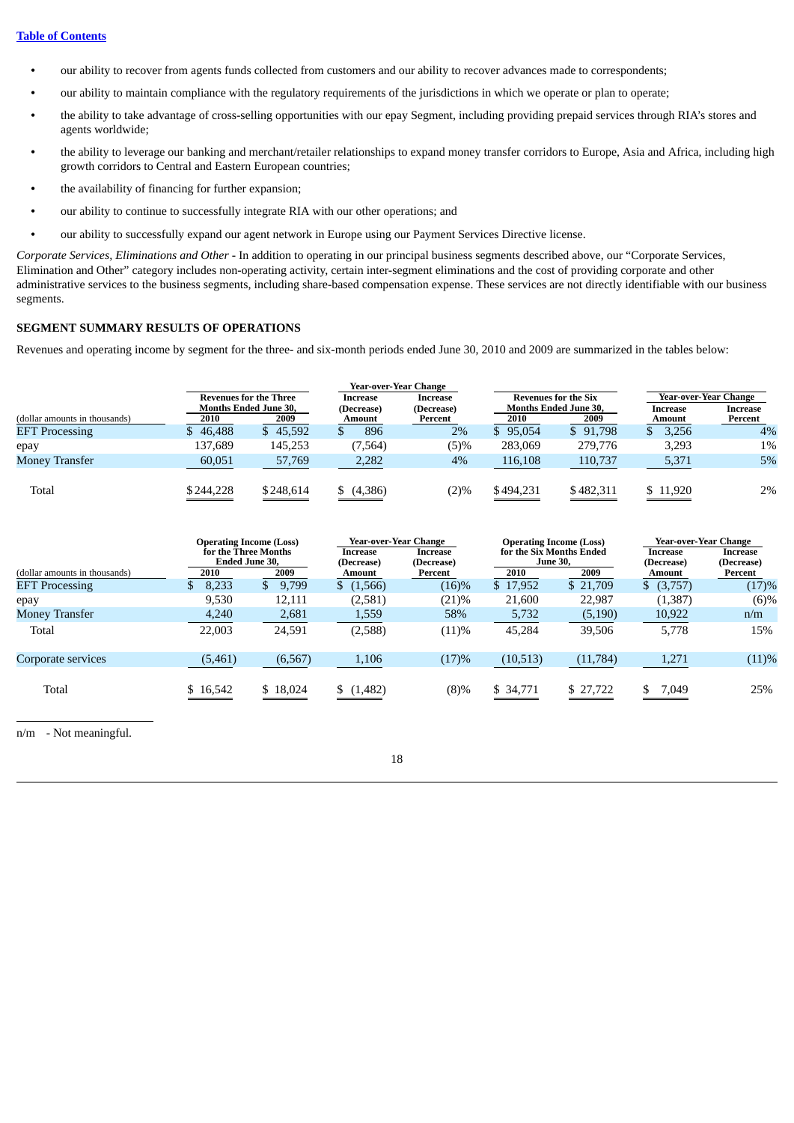- **•** our ability to recover from agents funds collected from customers and our ability to recover advances made to correspondents;
- our ability to maintain compliance with the regulatory requirements of the jurisdictions in which we operate or plan to operate;
- **•** the ability to take advantage of cross-selling opportunities with our epay Segment, including providing prepaid services through RIA's stores and agents worldwide;
- **•** the ability to leverage our banking and merchant/retailer relationships to expand money transfer corridors to Europe, Asia and Africa, including high growth corridors to Central and Eastern European countries;
- **•** the availability of financing for further expansion;
- **•** our ability to continue to successfully integrate RIA with our other operations; and
- **•** our ability to successfully expand our agent network in Europe using our Payment Services Directive license.

*Corporate Services, Eliminations and Other* - In addition to operating in our principal business segments described above, our "Corporate Services, Elimination and Other" category includes non-operating activity, certain inter-segment eliminations and the cost of providing corporate and other administrative services to the business segments, including share-based compensation expense. These services are not directly identifiable with our business segments.

# **SEGMENT SUMMARY RESULTS OF OPERATIONS**

Revenues and operating income by segment for the three- and six-month periods ended June 30, 2010 and 2009 are summarized in the tables below:

|                               |           |                               | Year-over-Year Change |            |           |                              |                              |          |  |
|-------------------------------|-----------|-------------------------------|-----------------------|------------|-----------|------------------------------|------------------------------|----------|--|
|                               |           | <b>Revenues for the Three</b> |                       | Increase   |           | <b>Revenues for the Six</b>  | <b>Year-over-Year Change</b> |          |  |
|                               |           | <b>Months Ended June 30.</b>  | (Decrease)            | (Decrease) |           | <b>Months Ended June 30.</b> | Increase                     | Increase |  |
| (dollar amounts in thousands) | 2010      | 2009                          | Amount                | Percent    | 2010      | 2009                         | Amount                       | Percent  |  |
| <b>EFT Processing</b>         | \$46,488  | \$45,592                      | 896                   | $2\%$      | \$95.054  | \$91,798                     | 3,256                        | 4%       |  |
| epay                          | 137,689   | 145,253                       | (7, 564)              | (5)%       | 283,069   | 279,776                      | 3,293                        | 1%       |  |
| Money Transfer                | 60,051    | 57,769                        | 2,282                 | 4%         | 116,108   | 110,737                      | 5,371                        | 5%       |  |
|                               |           |                               |                       |            |           |                              |                              |          |  |
| Total                         | \$244,228 | \$248,614                     | \$(4,386)             | (2)%       | \$494,231 | \$482,311                    | \$11,920                     | 2%       |  |

|                               | <b>Operating Income (Loss)</b><br>for the Three Months<br><b>Ended June 30.</b> |             |               | Year-over-Year Change<br><b>Operating Income (Loss)</b><br>for the Six Months Ended<br>Increase<br>Increase<br><b>June 30,</b><br>(Decrease)<br>(Decrease) |           |           | <b>Year-over-Year Change</b><br>Increase<br>(Decrease) | Increase<br>(Decrease) |
|-------------------------------|---------------------------------------------------------------------------------|-------------|---------------|------------------------------------------------------------------------------------------------------------------------------------------------------------|-----------|-----------|--------------------------------------------------------|------------------------|
| (dollar amounts in thousands) | 2010                                                                            | 2009        | Amount        | Percent                                                                                                                                                    | 2010      | 2009      | Amount                                                 | Percent                |
| <b>EFT</b> Processing         | 8,233                                                                           | 9,799<br>\$ | (1,566)<br>S. | (16)%                                                                                                                                                      | \$17,952  | \$21,709  | (3,757)<br>\$                                          | (17)%                  |
| epay                          | 9,530                                                                           | 12,111      | (2,581)       | (21)%                                                                                                                                                      | 21,600    | 22.987    | (1, 387)                                               | (6)%                   |
| <b>Money Transfer</b>         | 4,240                                                                           | 2,681       | 1,559         | 58%                                                                                                                                                        | 5,732     | (5, 190)  | 10,922                                                 | n/m                    |
| Total                         | 22,003                                                                          | 24,591      | (2,588)       | (11)%                                                                                                                                                      | 45,284    | 39,506    | 5,778                                                  | 15%                    |
| Corporate services            | (5,461)                                                                         | (6, 567)    | 1,106         | (17)%                                                                                                                                                      | (10,513)  | (11,784)  | 1,271                                                  | (11)%                  |
| Total                         | \$16,542                                                                        | \$18,024    | (1,482)       | $(8)\%$                                                                                                                                                    | \$ 34,771 | \$ 27,722 | 7,049                                                  | 25%                    |

n/m - Not meaningful.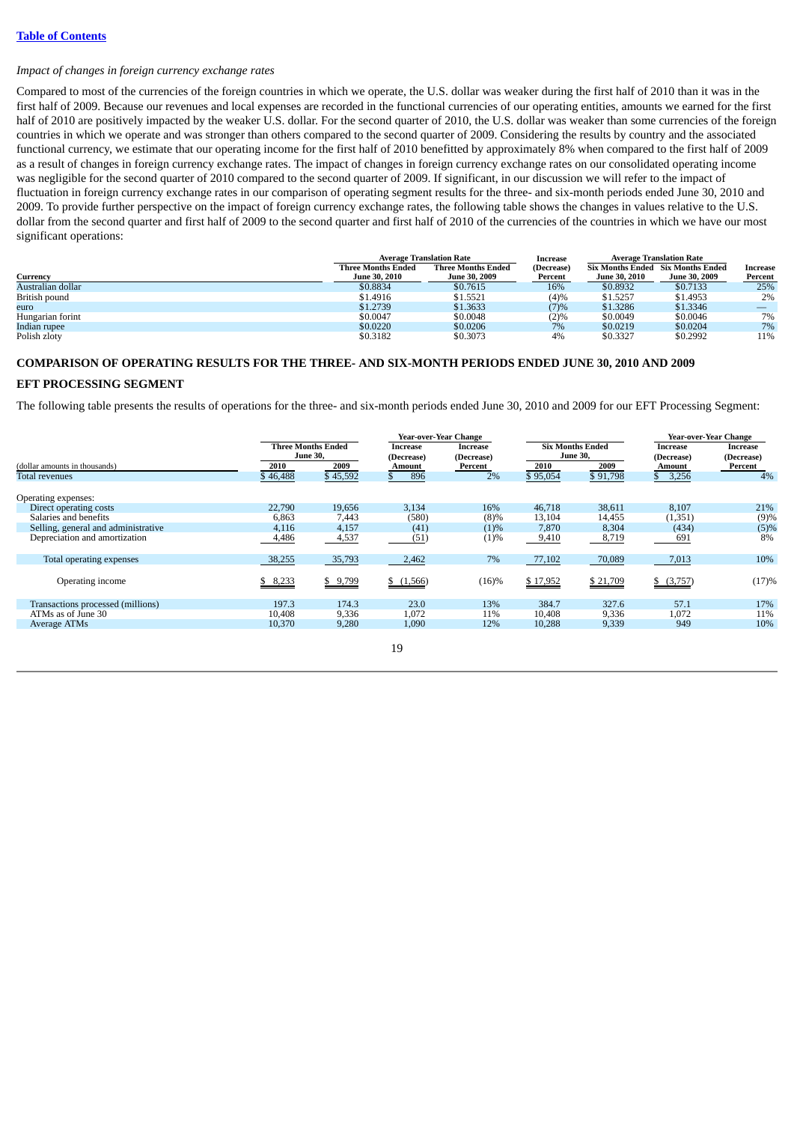# **Table of [Contents](#page-2-0)**

### *Impact of changes in foreign currency exchange rates*

Compared to most of the currencies of the foreign countries in which we operate, the U.S. dollar was weaker during the first half of 2010 than it was in the first half of 2009. Because our revenues and local expenses are recorded in the functional currencies of our operating entities, amounts we earned for the first half of 2010 are positively impacted by the weaker U.S. dollar. For the second quarter of 2010, the U.S. dollar was weaker than some currencies of the foreign countries in which we operate and was stronger than others compared to the second quarter of 2009. Considering the results by country and the associated functional currency, we estimate that our operating income for the first half of 2010 benefitted by approximately 8% when compared to the first half of 2009 as a result of changes in foreign currency exchange rates. The impact of changes in foreign currency exchange rates on our consolidated operating income was negligible for the second quarter of 2010 compared to the second quarter of 2009. If significant, in our discussion we will refer to the impact of fluctuation in foreign currency exchange rates in our comparison of operating segment results for the three- and six-month periods ended June 30, 2010 and 2009. To provide further perspective on the impact of foreign currency exchange rates, the following table shows the changes in values relative to the U.S. dollar from the second quarter and first half of 2009 to the second quarter and first half of 2010 of the currencies of the countries in which we have our most significant operations:

|                   | <b>Average Translation Rate</b> |                           | Increase   |                         | <b>Average Translation Rate</b> |          |
|-------------------|---------------------------------|---------------------------|------------|-------------------------|---------------------------------|----------|
|                   | <b>Three Months Ended</b>       | <b>Three Months Ended</b> | (Decrease) | <b>Six Months Ended</b> | <b>Six Months Ended</b>         | Increase |
| Currencv          | <b>June 30, 2010</b>            | <b>June 30, 2009</b>      | Percent    | <b>June 30, 2010</b>    | June 30, 2009                   | Percent  |
| Australian dollar | \$0.8834                        | \$0.7615                  | 16%        | \$0.8932                | \$0.7133                        | 25%      |
| British pound     | \$1.4916                        | \$1.5521                  | (4)%       | \$1,5257                | \$1.4953                        | 2%       |
| euro              | \$1,2739                        | \$1.3633                  | (7)%       | \$1,3286                | \$1,3346                        |          |
| Hungarian forint  | \$0.0047                        | \$0.0048                  | $(2)\%$    | \$0.0049                | \$0.0046                        | 7%       |
| Indian rupee      | \$0.0220                        | \$0.0206                  | 7%         | \$0.0219                | \$0.0204                        | 7%       |
| Polish zloty      | \$0.3182                        | \$0.3073                  | 4%         | \$0.3327                | \$0.2992                        | 11%      |

# **COMPARISON OF OPERATING RESULTS FOR THE THREE- AND SIX-MONTH PERIODS ENDED JUNE 30, 2010 AND 2009**

# **EFT PROCESSING SEGMENT**

The following table presents the results of operations for the three- and six-month periods ended June 30, 2010 and 2009 for our EFT Processing Segment:

|                                     |          |                                       |                        | Year-over-Year Change         |          |                                            |                        | Year-over-Year Change  |
|-------------------------------------|----------|---------------------------------------|------------------------|-------------------------------|----------|--------------------------------------------|------------------------|------------------------|
|                                     |          | <b>Three Months Ended</b><br>June 30, | Increase<br>(Decrease) | <b>Increase</b><br>(Decrease) |          | <b>Six Months Ended</b><br><b>June 30,</b> | Increase<br>(Decrease) | Increase<br>(Decrease) |
| (dollar amounts in thousands)       | 2010     | 2009                                  | Amount                 | Percent                       | 2010     | 2009                                       | Amount                 | Percent                |
| Total revenues                      | \$46,488 | \$45,592                              | 896                    | 2%                            | \$95,054 | \$91,798                                   | 3,256<br>\$            | 4%                     |
| Operating expenses:                 |          |                                       |                        |                               |          |                                            |                        |                        |
| Direct operating costs              | 22,790   | 19,656                                | 3,134                  | 16%                           | 46,718   | 38,611                                     | 8,107                  | 21%                    |
| Salaries and benefits               | 6,863    | 7,443                                 | (580)                  | $(8)\%$                       | 13,104   | 14,455                                     | (1, 351)               | (9)%                   |
| Selling, general and administrative | 4,116    | 4,157                                 | (41)                   | (1)%                          | 7,870    | 8,304                                      | (434)                  | (5)%                   |
| Depreciation and amortization       | 4,486    | 4,537                                 | (51)                   | (1)%                          | 9,410    | 8,719                                      | 691                    | 8%                     |
| Total operating expenses            | 38,255   | 35,793                                | 2,462                  | 7%                            | 77,102   | 70,089                                     | 7,013                  | 10%                    |
| Operating income                    | \$8,233  | \$9,799                               | \$(1,566)              | (16)%                         | \$17,952 | \$21,709                                   | \$ (3,757)             | (17)%                  |
| Transactions processed (millions)   | 197.3    | 174.3                                 | 23.0                   | 13%                           | 384.7    | 327.6                                      | 57.1                   | 17%                    |
| ATMs as of June 30                  | 10.408   | 9,336                                 | 1.072                  | 11%                           | 10,408   | 9,336                                      | 1,072                  | 11%                    |
| Average ATMs                        | 10,370   | 9,280                                 | 1,090                  | 12%                           | 10,288   | 9,339                                      | 949                    | 10%                    |
|                                     |          |                                       |                        |                               |          |                                            |                        |                        |

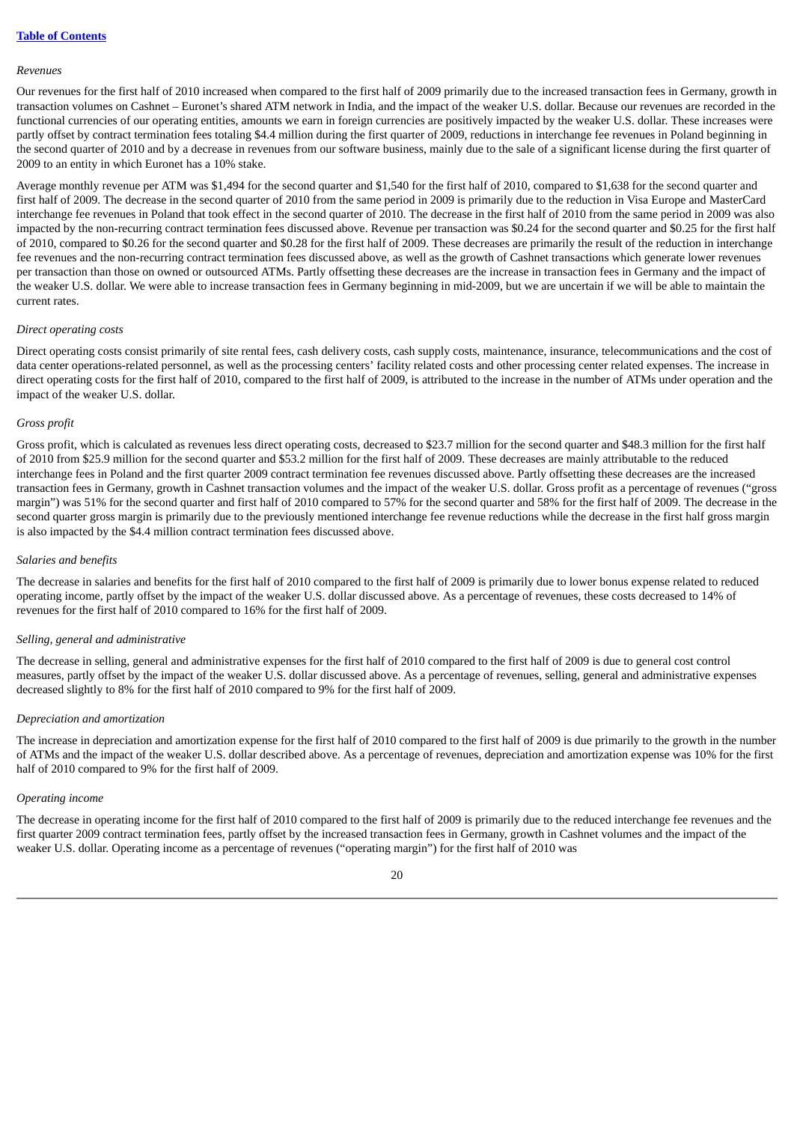#### *Revenues*

Our revenues for the first half of 2010 increased when compared to the first half of 2009 primarily due to the increased transaction fees in Germany, growth in transaction volumes on Cashnet – Euronet's shared ATM network in India, and the impact of the weaker U.S. dollar. Because our revenues are recorded in the functional currencies of our operating entities, amounts we earn in foreign currencies are positively impacted by the weaker U.S. dollar. These increases were partly offset by contract termination fees totaling \$4.4 million during the first quarter of 2009, reductions in interchange fee revenues in Poland beginning in the second quarter of 2010 and by a decrease in revenues from our software business, mainly due to the sale of a significant license during the first quarter of 2009 to an entity in which Euronet has a 10% stake.

Average monthly revenue per ATM was \$1,494 for the second quarter and \$1,540 for the first half of 2010, compared to \$1,638 for the second quarter and first half of 2009. The decrease in the second quarter of 2010 from the same period in 2009 is primarily due to the reduction in Visa Europe and MasterCard interchange fee revenues in Poland that took effect in the second quarter of 2010. The decrease in the first half of 2010 from the same period in 2009 was also impacted by the non-recurring contract termination fees discussed above. Revenue per transaction was \$0.24 for the second quarter and \$0.25 for the first half of 2010, compared to \$0.26 for the second quarter and \$0.28 for the first half of 2009. These decreases are primarily the result of the reduction in interchange fee revenues and the non-recurring contract termination fees discussed above, as well as the growth of Cashnet transactions which generate lower revenues per transaction than those on owned or outsourced ATMs. Partly offsetting these decreases are the increase in transaction fees in Germany and the impact of the weaker U.S. dollar. We were able to increase transaction fees in Germany beginning in mid-2009, but we are uncertain if we will be able to maintain the current rates.

#### *Direct operating costs*

Direct operating costs consist primarily of site rental fees, cash delivery costs, cash supply costs, maintenance, insurance, telecommunications and the cost of data center operations-related personnel, as well as the processing centers' facility related costs and other processing center related expenses. The increase in direct operating costs for the first half of 2010, compared to the first half of 2009, is attributed to the increase in the number of ATMs under operation and the impact of the weaker U.S. dollar.

#### *Gross profit*

Gross profit, which is calculated as revenues less direct operating costs, decreased to \$23.7 million for the second quarter and \$48.3 million for the first half of 2010 from \$25.9 million for the second quarter and \$53.2 million for the first half of 2009. These decreases are mainly attributable to the reduced interchange fees in Poland and the first quarter 2009 contract termination fee revenues discussed above. Partly offsetting these decreases are the increased transaction fees in Germany, growth in Cashnet transaction volumes and the impact of the weaker U.S. dollar. Gross profit as a percentage of revenues ("gross margin") was 51% for the second quarter and first half of 2010 compared to 57% for the second quarter and 58% for the first half of 2009. The decrease in the second quarter gross margin is primarily due to the previously mentioned interchange fee revenue reductions while the decrease in the first half gross margin is also impacted by the \$4.4 million contract termination fees discussed above.

#### *Salaries and benefits*

The decrease in salaries and benefits for the first half of 2010 compared to the first half of 2009 is primarily due to lower bonus expense related to reduced operating income, partly offset by the impact of the weaker U.S. dollar discussed above. As a percentage of revenues, these costs decreased to 14% of revenues for the first half of 2010 compared to 16% for the first half of 2009.

#### *Selling, general and administrative*

The decrease in selling, general and administrative expenses for the first half of 2010 compared to the first half of 2009 is due to general cost control measures, partly offset by the impact of the weaker U.S. dollar discussed above. As a percentage of revenues, selling, general and administrative expenses decreased slightly to 8% for the first half of 2010 compared to 9% for the first half of 2009.

#### *Depreciation and amortization*

The increase in depreciation and amortization expense for the first half of 2010 compared to the first half of 2009 is due primarily to the growth in the number of ATMs and the impact of the weaker U.S. dollar described above. As a percentage of revenues, depreciation and amortization expense was 10% for the first half of 2010 compared to 9% for the first half of 2009.

## *Operating income*

The decrease in operating income for the first half of 2010 compared to the first half of 2009 is primarily due to the reduced interchange fee revenues and the first quarter 2009 contract termination fees, partly offset by the increased transaction fees in Germany, growth in Cashnet volumes and the impact of the weaker U.S. dollar. Operating income as a percentage of revenues ("operating margin") for the first half of 2010 was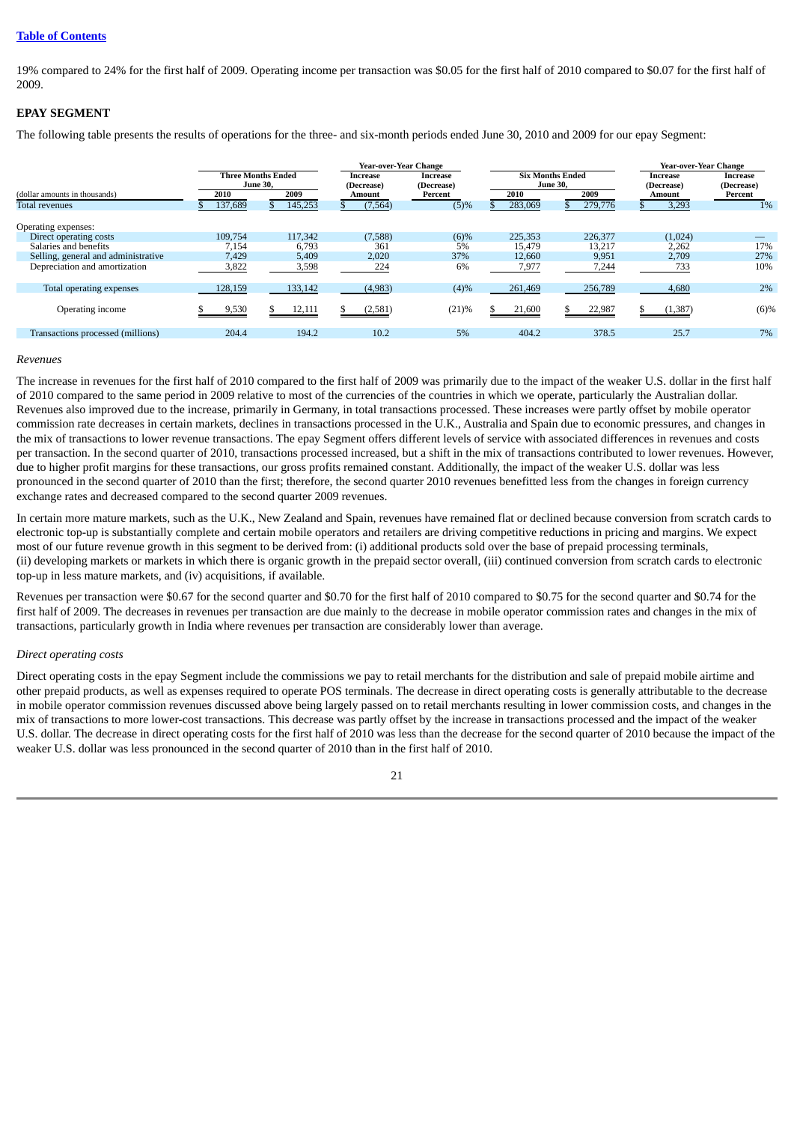19% compared to 24% for the first half of 2009. Operating income per transaction was \$0.05 for the first half of 2010 compared to \$0.07 for the first half of 2009.

# **EPAY SEGMENT**

The following table presents the results of operations for the three- and six-month periods ended June 30, 2010 and 2009 for our epay Segment:

|                                     |         | <b>Three Months Ended</b><br><b>June 30,</b> | Year-over-Year Change<br>Increase<br>(Decrease) | Increase<br>(Decrease) |         | <b>Six Months Ended</b><br><b>June 30,</b> | <b>Year-over-Year Change</b><br>Increase<br>(Decrease) | <b>Increase</b><br>(Decrease) |
|-------------------------------------|---------|----------------------------------------------|-------------------------------------------------|------------------------|---------|--------------------------------------------|--------------------------------------------------------|-------------------------------|
| (dollar amounts in thousands)       | 2010    | 2009                                         | Amount                                          | Percent                | 2010    | 2009                                       | Amount                                                 | Percent                       |
| Total revenues                      | 137,689 | 145,253                                      | (7, 564)                                        | (5)%                   | 283,069 | 279,776                                    | 3,293                                                  | 1%                            |
| Operating expenses:                 |         |                                              |                                                 |                        |         |                                            |                                                        |                               |
| Direct operating costs              | 109,754 | 117,342                                      | (7,588)                                         | $(6)\%$                | 225,353 | 226,377                                    | (1,024)                                                |                               |
| Salaries and benefits               | 7,154   | 6.793                                        | 361                                             | 5%                     | 15.479  | 13,217                                     | 2,262                                                  | 17%                           |
| Selling, general and administrative | 7,429   | 5,409                                        | 2,020                                           | 37%                    | 12.660  | 9,951                                      | 2,709                                                  | 27%                           |
| Depreciation and amortization       | 3,822   | 3,598                                        | 224                                             | 6%                     | 7,977   | 7,244                                      | 733                                                    | 10%                           |
| Total operating expenses            | 128,159 | 133,142                                      | (4,983)                                         | (4)%                   | 261,469 | 256,789                                    | 4,680                                                  | 2%                            |
| Operating income                    | 9,530   | 12,111                                       | (2, 581)                                        | (21)%                  | 21,600  | 22,987                                     | (1,387)                                                | $(6)\%$                       |
| Transactions processed (millions)   | 204.4   | 194.2                                        | 10.2                                            | 5%                     | 404.2   | 378.5                                      | 25.7                                                   | 7%                            |

#### *Revenues*

The increase in revenues for the first half of 2010 compared to the first half of 2009 was primarily due to the impact of the weaker U.S. dollar in the first half of 2010 compared to the same period in 2009 relative to most of the currencies of the countries in which we operate, particularly the Australian dollar. Revenues also improved due to the increase, primarily in Germany, in total transactions processed. These increases were partly offset by mobile operator commission rate decreases in certain markets, declines in transactions processed in the U.K., Australia and Spain due to economic pressures, and changes in the mix of transactions to lower revenue transactions. The epay Segment offers different levels of service with associated differences in revenues and costs per transaction. In the second quarter of 2010, transactions processed increased, but a shift in the mix of transactions contributed to lower revenues. However, due to higher profit margins for these transactions, our gross profits remained constant. Additionally, the impact of the weaker U.S. dollar was less pronounced in the second quarter of 2010 than the first; therefore, the second quarter 2010 revenues benefitted less from the changes in foreign currency exchange rates and decreased compared to the second quarter 2009 revenues.

In certain more mature markets, such as the U.K., New Zealand and Spain, revenues have remained flat or declined because conversion from scratch cards to electronic top-up is substantially complete and certain mobile operators and retailers are driving competitive reductions in pricing and margins. We expect most of our future revenue growth in this segment to be derived from: (i) additional products sold over the base of prepaid processing terminals, (ii) developing markets or markets in which there is organic growth in the prepaid sector overall, (iii) continued conversion from scratch cards to electronic top-up in less mature markets, and (iv) acquisitions, if available.

Revenues per transaction were \$0.67 for the second quarter and \$0.70 for the first half of 2010 compared to \$0.75 for the second quarter and \$0.74 for the first half of 2009. The decreases in revenues per transaction are due mainly to the decrease in mobile operator commission rates and changes in the mix of transactions, particularly growth in India where revenues per transaction are considerably lower than average.

# *Direct operating costs*

Direct operating costs in the epay Segment include the commissions we pay to retail merchants for the distribution and sale of prepaid mobile airtime and other prepaid products, as well as expenses required to operate POS terminals. The decrease in direct operating costs is generally attributable to the decrease in mobile operator commission revenues discussed above being largely passed on to retail merchants resulting in lower commission costs, and changes in the mix of transactions to more lower-cost transactions. This decrease was partly offset by the increase in transactions processed and the impact of the weaker U.S. dollar. The decrease in direct operating costs for the first half of 2010 was less than the decrease for the second quarter of 2010 because the impact of the weaker U.S. dollar was less pronounced in the second quarter of 2010 than in the first half of 2010.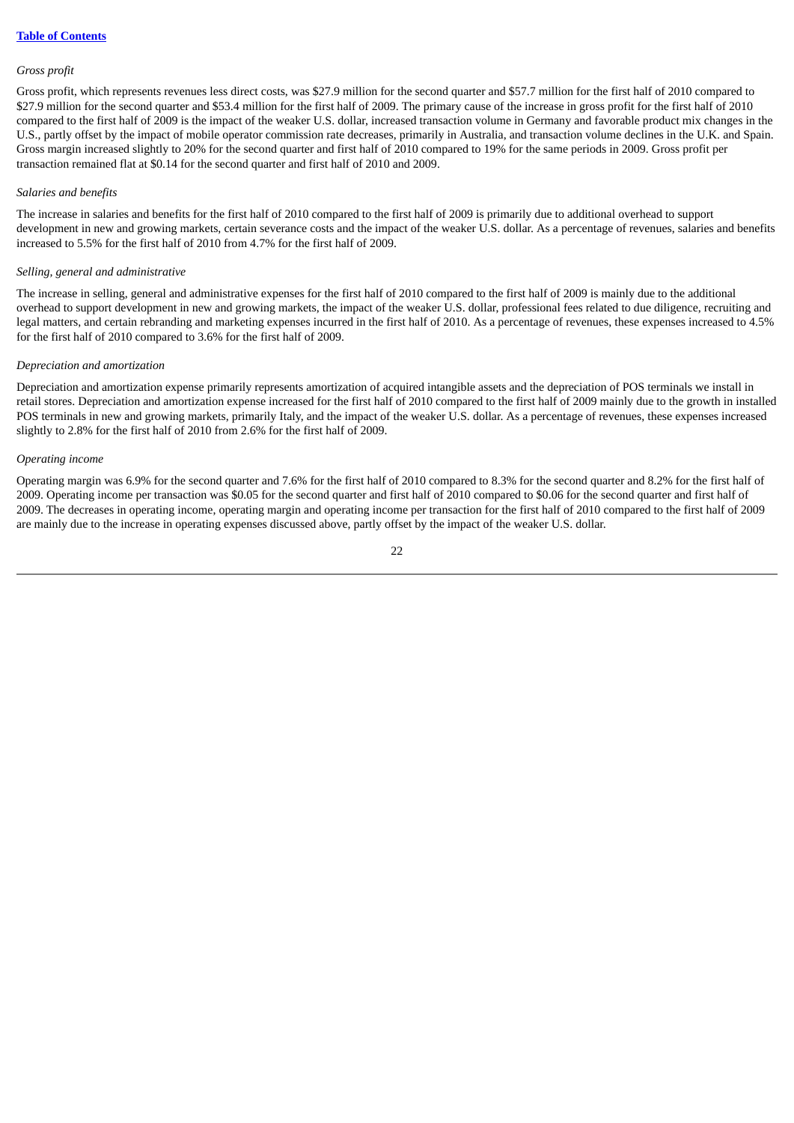#### *Gross profit*

Gross profit, which represents revenues less direct costs, was \$27.9 million for the second quarter and \$57.7 million for the first half of 2010 compared to \$27.9 million for the second quarter and \$53.4 million for the first half of 2009. The primary cause of the increase in gross profit for the first half of 2010 compared to the first half of 2009 is the impact of the weaker U.S. dollar, increased transaction volume in Germany and favorable product mix changes in the U.S., partly offset by the impact of mobile operator commission rate decreases, primarily in Australia, and transaction volume declines in the U.K. and Spain. Gross margin increased slightly to 20% for the second quarter and first half of 2010 compared to 19% for the same periods in 2009. Gross profit per transaction remained flat at \$0.14 for the second quarter and first half of 2010 and 2009.

#### *Salaries and benefits*

The increase in salaries and benefits for the first half of 2010 compared to the first half of 2009 is primarily due to additional overhead to support development in new and growing markets, certain severance costs and the impact of the weaker U.S. dollar. As a percentage of revenues, salaries and benefits increased to 5.5% for the first half of 2010 from 4.7% for the first half of 2009.

#### *Selling, general and administrative*

The increase in selling, general and administrative expenses for the first half of 2010 compared to the first half of 2009 is mainly due to the additional overhead to support development in new and growing markets, the impact of the weaker U.S. dollar, professional fees related to due diligence, recruiting and legal matters, and certain rebranding and marketing expenses incurred in the first half of 2010. As a percentage of revenues, these expenses increased to 4.5% for the first half of 2010 compared to 3.6% for the first half of 2009.

#### *Depreciation and amortization*

Depreciation and amortization expense primarily represents amortization of acquired intangible assets and the depreciation of POS terminals we install in retail stores. Depreciation and amortization expense increased for the first half of 2010 compared to the first half of 2009 mainly due to the growth in installed POS terminals in new and growing markets, primarily Italy, and the impact of the weaker U.S. dollar. As a percentage of revenues, these expenses increased slightly to 2.8% for the first half of 2010 from 2.6% for the first half of 2009.

#### *Operating income*

Operating margin was 6.9% for the second quarter and 7.6% for the first half of 2010 compared to 8.3% for the second quarter and 8.2% for the first half of 2009. Operating income per transaction was \$0.05 for the second quarter and first half of 2010 compared to \$0.06 for the second quarter and first half of 2009. The decreases in operating income, operating margin and operating income per transaction for the first half of 2010 compared to the first half of 2009 are mainly due to the increase in operating expenses discussed above, partly offset by the impact of the weaker U.S. dollar.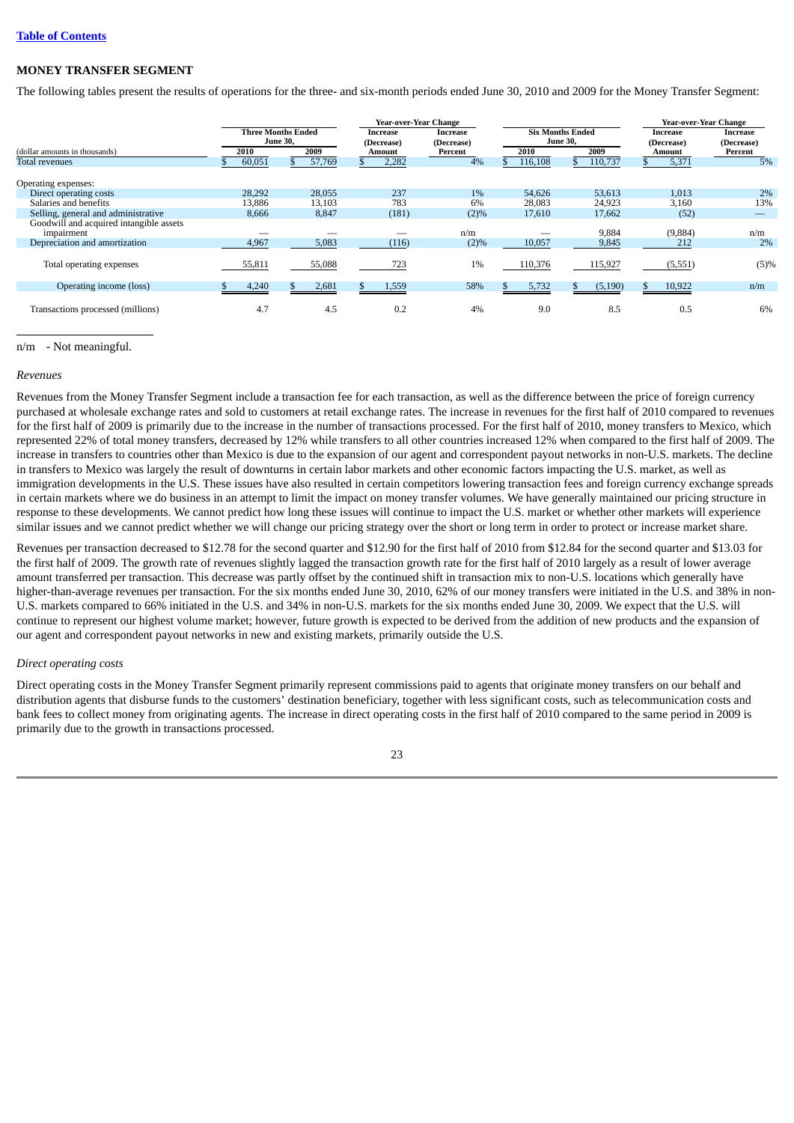# **MONEY TRANSFER SEGMENT**

The following tables present the results of operations for the three- and six-month periods ended June 30, 2010 and 2009 for the Money Transfer Segment:

|                                                       |        |                                              |        | <b>Year-over-Year Change</b> |         |                                            |                               | Year-over-Year Change         |
|-------------------------------------------------------|--------|----------------------------------------------|--------|------------------------------|---------|--------------------------------------------|-------------------------------|-------------------------------|
|                                                       |        | <b>Three Months Ended</b><br><b>June 30,</b> |        | Increase<br>(Decrease)       |         | <b>Six Months Ended</b><br><b>June 30,</b> | <b>Increase</b><br>(Decrease) | <b>Increase</b><br>(Decrease) |
| (dollar amounts in thousands)                         | 2010   | 2009                                         | Amount | Percent                      | 2010    | 2009                                       | Amount                        | Percent                       |
| <b>Total revenues</b>                                 | 60,051 | 57,769                                       | 2,282  | 4%                           | 116,108 | 110,737                                    | 5,371                         | 5%                            |
| Operating expenses:                                   |        |                                              |        |                              |         |                                            |                               |                               |
| Direct operating costs                                | 28,292 | 28,055                                       | 237    | 1%                           | 54,626  | 53,613                                     | 1,013                         | 2%                            |
| Salaries and benefits                                 | 13,886 | 13,103                                       | 783    | 6%                           | 28,083  | 24,923                                     | 3,160                         | 13%                           |
| Selling, general and administrative                   | 8,666  | 8,847                                        | (181)  | (2)%                         | 17,610  | 17,662                                     | (52)                          |                               |
| Goodwill and acquired intangible assets<br>impairment |        |                                              |        | n/m                          |         | 9,884                                      | (9,884)                       | n/m                           |
| Depreciation and amortization                         | 4,967  | 5,083                                        | (116)  | (2)%                         | 10,057  | 9,845                                      | 212                           | 2%                            |
| Total operating expenses                              | 55,811 | 55,088                                       | 723    | 1%                           | 110,376 | 115,927                                    | (5, 551)                      | (5)%                          |
| Operating income (loss)                               | 4,240  | 2,681                                        | 1,559  | 58%                          | 5,732   | (5,190)                                    | 10,922                        | n/m                           |
| Transactions processed (millions)                     | 4.7    | 4.5                                          | 0.2    | 4%                           | 9.0     | 8.5                                        | 0.5                           | 6%                            |

#### n/m - Not meaningful.

#### *Revenues*

Revenues from the Money Transfer Segment include a transaction fee for each transaction, as well as the difference between the price of foreign currency purchased at wholesale exchange rates and sold to customers at retail exchange rates. The increase in revenues for the first half of 2010 compared to revenues for the first half of 2009 is primarily due to the increase in the number of transactions processed. For the first half of 2010, money transfers to Mexico, which represented 22% of total money transfers, decreased by 12% while transfers to all other countries increased 12% when compared to the first half of 2009. The increase in transfers to countries other than Mexico is due to the expansion of our agent and correspondent payout networks in non-U.S. markets. The decline in transfers to Mexico was largely the result of downturns in certain labor markets and other economic factors impacting the U.S. market, as well as immigration developments in the U.S. These issues have also resulted in certain competitors lowering transaction fees and foreign currency exchange spreads in certain markets where we do business in an attempt to limit the impact on money transfer volumes. We have generally maintained our pricing structure in response to these developments. We cannot predict how long these issues will continue to impact the U.S. market or whether other markets will experience similar issues and we cannot predict whether we will change our pricing strategy over the short or long term in order to protect or increase market share.

Revenues per transaction decreased to \$12.78 for the second quarter and \$12.90 for the first half of 2010 from \$12.84 for the second quarter and \$13.03 for the first half of 2009. The growth rate of revenues slightly lagged the transaction growth rate for the first half of 2010 largely as a result of lower average amount transferred per transaction. This decrease was partly offset by the continued shift in transaction mix to non-U.S. locations which generally have higher-than-average revenues per transaction. For the six months ended June 30, 2010, 62% of our money transfers were initiated in the U.S. and 38% in non-U.S. markets compared to 66% initiated in the U.S. and 34% in non-U.S. markets for the six months ended June 30, 2009. We expect that the U.S. will continue to represent our highest volume market; however, future growth is expected to be derived from the addition of new products and the expansion of our agent and correspondent payout networks in new and existing markets, primarily outside the U.S.

#### *Direct operating costs*

Direct operating costs in the Money Transfer Segment primarily represent commissions paid to agents that originate money transfers on our behalf and distribution agents that disburse funds to the customers' destination beneficiary, together with less significant costs, such as telecommunication costs and bank fees to collect money from originating agents. The increase in direct operating costs in the first half of 2010 compared to the same period in 2009 is primarily due to the growth in transactions processed.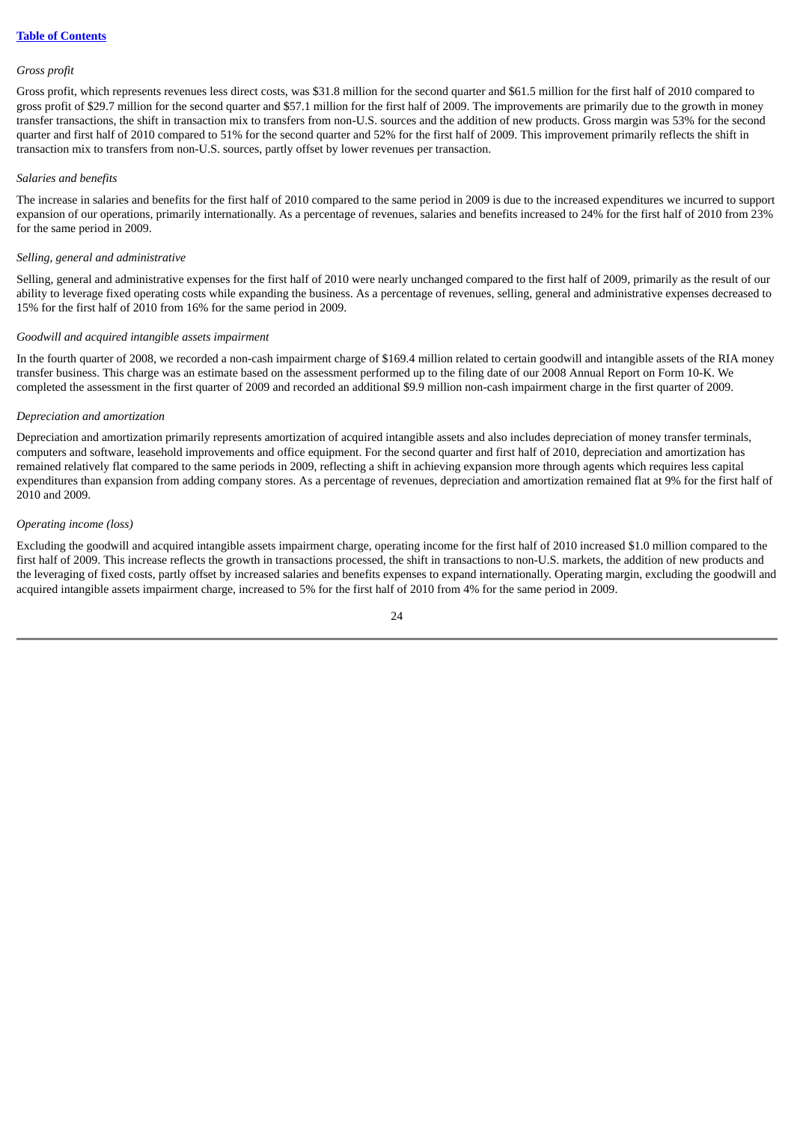#### *Gross profit*

Gross profit, which represents revenues less direct costs, was \$31.8 million for the second quarter and \$61.5 million for the first half of 2010 compared to gross profit of \$29.7 million for the second quarter and \$57.1 million for the first half of 2009. The improvements are primarily due to the growth in money transfer transactions, the shift in transaction mix to transfers from non-U.S. sources and the addition of new products. Gross margin was 53% for the second quarter and first half of 2010 compared to 51% for the second quarter and 52% for the first half of 2009. This improvement primarily reflects the shift in transaction mix to transfers from non-U.S. sources, partly offset by lower revenues per transaction.

#### *Salaries and benefits*

The increase in salaries and benefits for the first half of 2010 compared to the same period in 2009 is due to the increased expenditures we incurred to support expansion of our operations, primarily internationally. As a percentage of revenues, salaries and benefits increased to 24% for the first half of 2010 from 23% for the same period in 2009.

#### *Selling, general and administrative*

Selling, general and administrative expenses for the first half of 2010 were nearly unchanged compared to the first half of 2009, primarily as the result of our ability to leverage fixed operating costs while expanding the business. As a percentage of revenues, selling, general and administrative expenses decreased to 15% for the first half of 2010 from 16% for the same period in 2009.

#### *Goodwill and acquired intangible assets impairment*

In the fourth quarter of 2008, we recorded a non-cash impairment charge of \$169.4 million related to certain goodwill and intangible assets of the RIA money transfer business. This charge was an estimate based on the assessment performed up to the filing date of our 2008 Annual Report on Form 10-K. We completed the assessment in the first quarter of 2009 and recorded an additional \$9.9 million non-cash impairment charge in the first quarter of 2009.

#### *Depreciation and amortization*

Depreciation and amortization primarily represents amortization of acquired intangible assets and also includes depreciation of money transfer terminals, computers and software, leasehold improvements and office equipment. For the second quarter and first half of 2010, depreciation and amortization has remained relatively flat compared to the same periods in 2009, reflecting a shift in achieving expansion more through agents which requires less capital expenditures than expansion from adding company stores. As a percentage of revenues, depreciation and amortization remained flat at 9% for the first half of 2010 and 2009.

#### *Operating income (loss)*

Excluding the goodwill and acquired intangible assets impairment charge, operating income for the first half of 2010 increased \$1.0 million compared to the first half of 2009. This increase reflects the growth in transactions processed, the shift in transactions to non-U.S. markets, the addition of new products and the leveraging of fixed costs, partly offset by increased salaries and benefits expenses to expand internationally. Operating margin, excluding the goodwill and acquired intangible assets impairment charge, increased to 5% for the first half of 2010 from 4% for the same period in 2009.

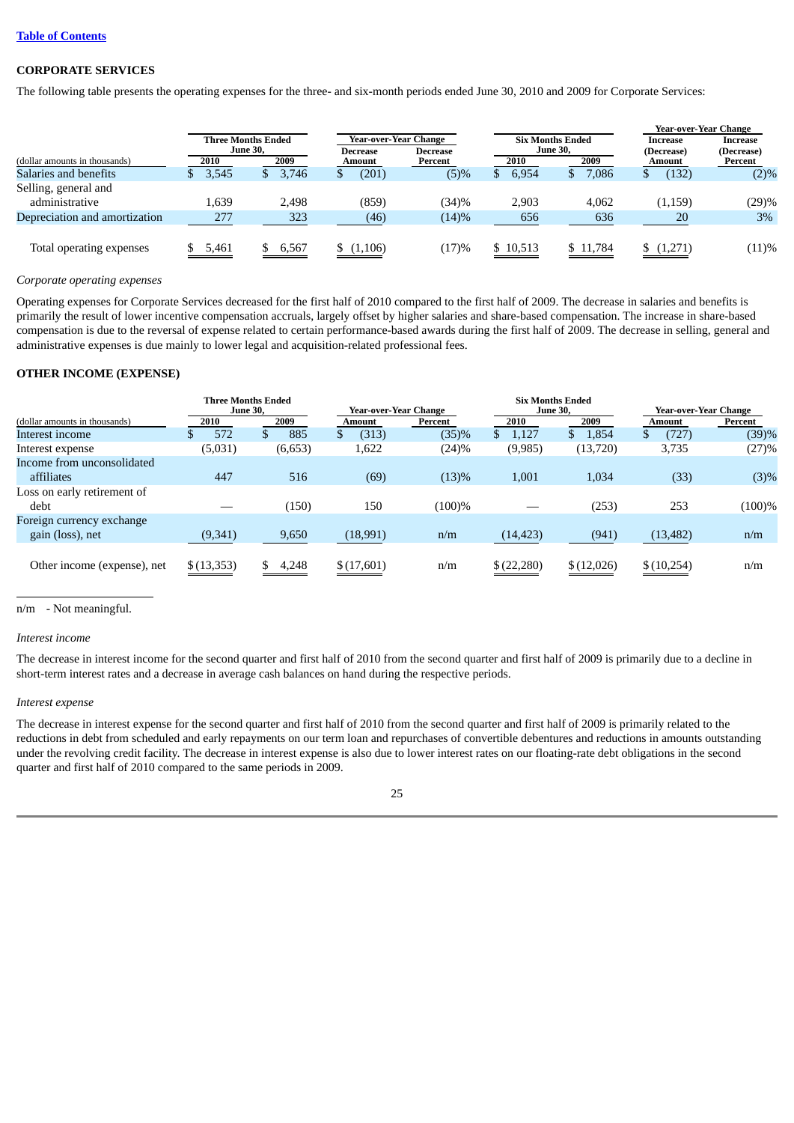# **CORPORATE SERVICES**

The following table presents the operating expenses for the three- and six-month periods ended June 30, 2010 and 2009 for Corporate Services:

|                               |       |                           |                              |                 |          |                         | <b>Year-over-Year Change</b> |            |
|-------------------------------|-------|---------------------------|------------------------------|-----------------|----------|-------------------------|------------------------------|------------|
|                               |       | <b>Three Months Ended</b> | <b>Year-over-Year Change</b> |                 |          | <b>Six Months Ended</b> | Increase                     | Increase   |
|                               |       | <b>June 30,</b>           | Decrease                     | <b>Decrease</b> |          | <b>June 30,</b>         | (Decrease)                   | (Decrease) |
| (dollar amounts in thousands) | 2010  | 2009                      | Amount                       | Percent         | 2010     | 2009                    | Amount                       | Percent    |
| Salaries and benefits         | 3,545 | 3.746                     | (201)                        | (5)%            | 6,954    | 7,086<br>S.             | (132)                        | (2)%       |
| Selling, general and          |       |                           |                              |                 |          |                         |                              |            |
| administrative                | 1,639 | 2,498                     | (859)                        | (34)%           | 2,903    | 4.062                   | (1, 159)                     | (29)%      |
| Depreciation and amortization | 277   | 323                       | (46)                         | (14)%           | 656      | 636                     | 20                           | 3%         |
|                               |       |                           |                              |                 |          |                         |                              |            |
| Total operating expenses      | 5,461 | 6,567                     | (1,106)                      | (17)%           | \$10,513 | \$11,784                | (1,271)                      | (11)%      |
|                               |       |                           |                              |                 |          |                         |                              |            |

#### *Corporate operating expenses*

Operating expenses for Corporate Services decreased for the first half of 2010 compared to the first half of 2009. The decrease in salaries and benefits is primarily the result of lower incentive compensation accruals, largely offset by higher salaries and share-based compensation. The increase in share-based compensation is due to the reversal of expense related to certain performance-based awards during the first half of 2009. The decrease in selling, general and administrative expenses is due mainly to lower legal and acquisition-related professional fees.

# **OTHER INCOME (EXPENSE)**

|                               | <b>Three Months Ended</b><br>June 30, |              | <b>Six Months Ended</b> |         |                 |            |                       |         |
|-------------------------------|---------------------------------------|--------------|-------------------------|---------|-----------------|------------|-----------------------|---------|
|                               |                                       |              | Year-over-Year Change   |         | <b>June 30,</b> |            | Year-over-Year Change |         |
| (dollar amounts in thousands) | 2010                                  | 2009         | Amount                  | Percent | 2010            | 2009       | Amount                | Percent |
| Interest income               | 572                                   | 885          | (313)                   | (35)%   | 1,127           | 1,854      | (727)<br>æ            | (39)%   |
| Interest expense              | (5,031)                               | (6, 653)     | 1,622                   | (24)%   | (9,985)         | (13,720)   | 3,735                 | (27)%   |
| Income from unconsolidated    |                                       |              |                         |         |                 |            |                       |         |
| affiliates                    | 447                                   | 516          | (69)                    | (13)%   | 1,001           | 1,034      | (33)                  | (3)%    |
| Loss on early retirement of   |                                       |              |                         |         |                 |            |                       |         |
| debt                          |                                       | (150)        | 150                     | (100)%  |                 | (253)      | 253                   | (100)%  |
| Foreign currency exchange     |                                       |              |                         |         |                 |            |                       |         |
| gain (loss), net              | (9, 341)                              | 9,650        | (18, 991)               | n/m     | (14, 423)       | (941)      | (13, 482)             | n/m     |
|                               |                                       |              |                         |         |                 |            |                       |         |
| Other income (expense), net   | \$(13,353)                            | 4,248<br>\$. | \$(17,601)              | n/m     | \$(22,280)      | \$(12,026) | \$(10,254)            | n/m     |

n/m - Not meaningful.

#### *Interest income*

The decrease in interest income for the second quarter and first half of 2010 from the second quarter and first half of 2009 is primarily due to a decline in short-term interest rates and a decrease in average cash balances on hand during the respective periods.

#### *Interest expense*

The decrease in interest expense for the second quarter and first half of 2010 from the second quarter and first half of 2009 is primarily related to the reductions in debt from scheduled and early repayments on our term loan and repurchases of convertible debentures and reductions in amounts outstanding under the revolving credit facility. The decrease in interest expense is also due to lower interest rates on our floating-rate debt obligations in the second quarter and first half of 2010 compared to the same periods in 2009.

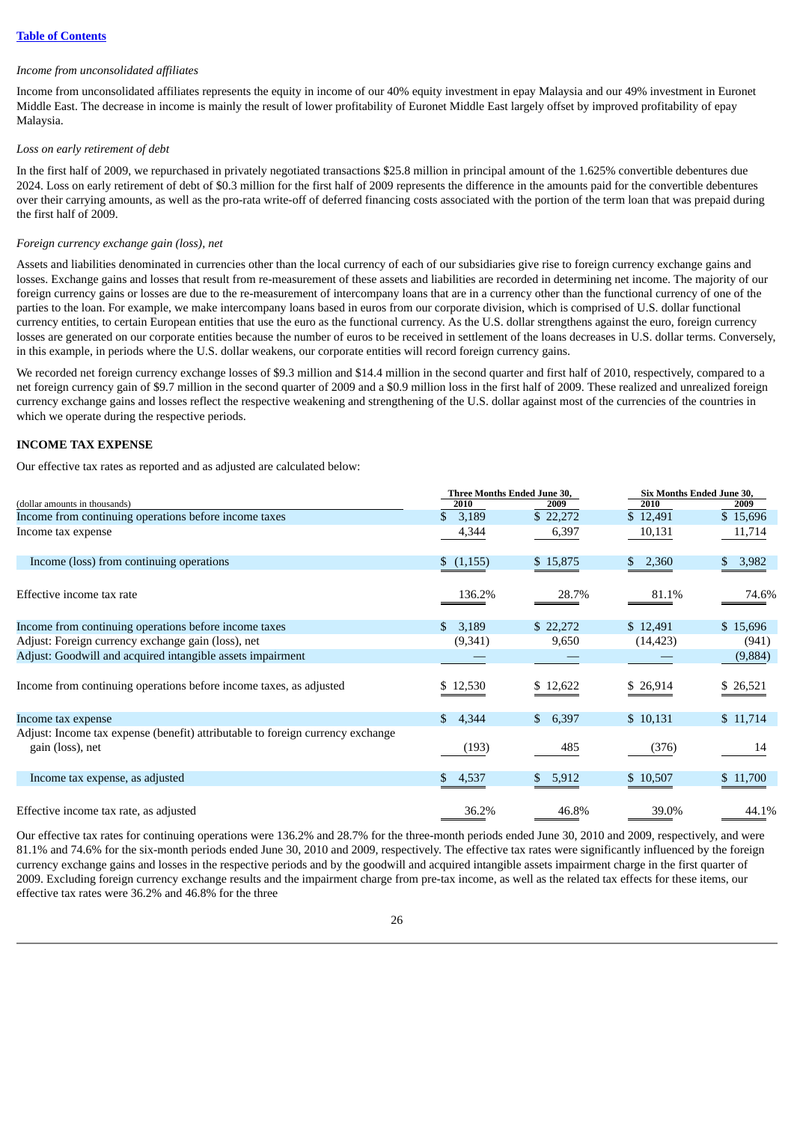# *Income from unconsolidated affiliates*

Income from unconsolidated affiliates represents the equity in income of our 40% equity investment in epay Malaysia and our 49% investment in Euronet Middle East. The decrease in income is mainly the result of lower profitability of Euronet Middle East largely offset by improved profitability of epay Malaysia.

# *Loss on early retirement of debt*

In the first half of 2009, we repurchased in privately negotiated transactions \$25.8 million in principal amount of the 1.625% convertible debentures due 2024. Loss on early retirement of debt of \$0.3 million for the first half of 2009 represents the difference in the amounts paid for the convertible debentures over their carrying amounts, as well as the pro-rata write-off of deferred financing costs associated with the portion of the term loan that was prepaid during the first half of 2009.

# *Foreign currency exchange gain (loss), net*

Assets and liabilities denominated in currencies other than the local currency of each of our subsidiaries give rise to foreign currency exchange gains and losses. Exchange gains and losses that result from re-measurement of these assets and liabilities are recorded in determining net income. The majority of our foreign currency gains or losses are due to the re-measurement of intercompany loans that are in a currency other than the functional currency of one of the parties to the loan. For example, we make intercompany loans based in euros from our corporate division, which is comprised of U.S. dollar functional currency entities, to certain European entities that use the euro as the functional currency. As the U.S. dollar strengthens against the euro, foreign currency losses are generated on our corporate entities because the number of euros to be received in settlement of the loans decreases in U.S. dollar terms. Conversely, in this example, in periods where the U.S. dollar weakens, our corporate entities will record foreign currency gains.

We recorded net foreign currency exchange losses of \$9.3 million and \$14.4 million in the second quarter and first half of 2010, respectively, compared to a net foreign currency gain of \$9.7 million in the second quarter of 2009 and a \$0.9 million loss in the first half of 2009. These realized and unrealized foreign currency exchange gains and losses reflect the respective weakening and strengthening of the U.S. dollar against most of the currencies of the countries in which we operate during the respective periods.

# **INCOME TAX EXPENSE**

Our effective tax rates as reported and as adjusted are calculated below:

|                                                                                                    | Three Months Ended June 30, |                       |           | <b>Six Months Ended June 30,</b> |  |  |
|----------------------------------------------------------------------------------------------------|-----------------------------|-----------------------|-----------|----------------------------------|--|--|
| (dollar amounts in thousands)                                                                      | 2010                        | 2009                  | 2010      | 2009                             |  |  |
| Income from continuing operations before income taxes                                              | \$3,189                     | \$22,272              | \$12,491  | \$15,696                         |  |  |
| Income tax expense                                                                                 | 4,344                       | 6,397                 | 10,131    | 11,714                           |  |  |
| Income (loss) from continuing operations                                                           | (1,155)                     | \$15,875              | \$2,360   | 3,982<br>S.                      |  |  |
| Effective income tax rate                                                                          | 136.2%                      | 28.7%                 | 81.1%     | 74.6%                            |  |  |
| Income from continuing operations before income taxes                                              | 3,189<br>\$.                | \$22,272              | \$12,491  | \$15,696                         |  |  |
| Adjust: Foreign currency exchange gain (loss), net                                                 | (9,341)                     | 9,650                 | (14, 423) | (941)                            |  |  |
| Adjust: Goodwill and acquired intangible assets impairment                                         |                             |                       |           | (9,884)                          |  |  |
| Income from continuing operations before income taxes, as adjusted                                 | \$12,530                    | \$12,622              | \$ 26,914 | \$ 26,521                        |  |  |
| Income tax expense                                                                                 | 4,344<br>\$.                | 6,397<br>$\mathbb{S}$ | \$10,131  | \$11,714                         |  |  |
| Adjust: Income tax expense (benefit) attributable to foreign currency exchange<br>gain (loss), net | (193)                       | 485                   | (376)     | 14                               |  |  |
| Income tax expense, as adjusted                                                                    | 4,537<br>S.                 | \$5,912               | \$10,507  | \$11,700                         |  |  |
| Effective income tax rate, as adjusted                                                             | 36.2%                       | 46.8%                 | 39.0%     | 44.1%                            |  |  |

Our effective tax rates for continuing operations were 136.2% and 28.7% for the three-month periods ended June 30, 2010 and 2009, respectively, and were 81.1% and 74.6% for the six-month periods ended June 30, 2010 and 2009, respectively. The effective tax rates were significantly influenced by the foreign currency exchange gains and losses in the respective periods and by the goodwill and acquired intangible assets impairment charge in the first quarter of 2009. Excluding foreign currency exchange results and the impairment charge from pre-tax income, as well as the related tax effects for these items, our effective tax rates were 36.2% and 46.8% for the three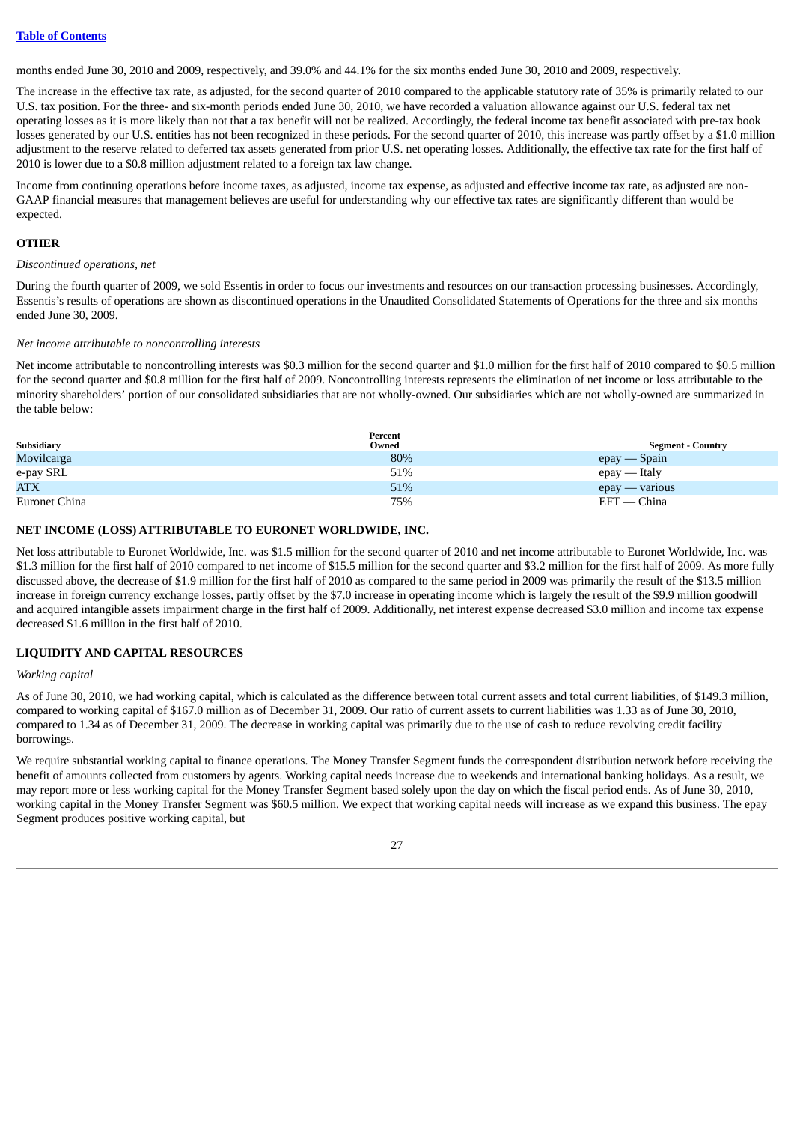months ended June 30, 2010 and 2009, respectively, and 39.0% and 44.1% for the six months ended June 30, 2010 and 2009, respectively.

The increase in the effective tax rate, as adjusted, for the second quarter of 2010 compared to the applicable statutory rate of 35% is primarily related to our U.S. tax position. For the three- and six-month periods ended June 30, 2010, we have recorded a valuation allowance against our U.S. federal tax net operating losses as it is more likely than not that a tax benefit will not be realized. Accordingly, the federal income tax benefit associated with pre-tax book losses generated by our U.S. entities has not been recognized in these periods. For the second quarter of 2010, this increase was partly offset by a \$1.0 million adjustment to the reserve related to deferred tax assets generated from prior U.S. net operating losses. Additionally, the effective tax rate for the first half of 2010 is lower due to a \$0.8 million adjustment related to a foreign tax law change.

Income from continuing operations before income taxes, as adjusted, income tax expense, as adjusted and effective income tax rate, as adjusted are non-GAAP financial measures that management believes are useful for understanding why our effective tax rates are significantly different than would be expected.

## **OTHER**

#### *Discontinued operations, net*

During the fourth quarter of 2009, we sold Essentis in order to focus our investments and resources on our transaction processing businesses. Accordingly, Essentis's results of operations are shown as discontinued operations in the Unaudited Consolidated Statements of Operations for the three and six months ended June 30, 2009.

#### *Net income attributable to noncontrolling interests*

Net income attributable to noncontrolling interests was \$0.3 million for the second quarter and \$1.0 million for the first half of 2010 compared to \$0.5 million for the second quarter and \$0.8 million for the first half of 2009. Noncontrolling interests represents the elimination of net income or loss attributable to the minority shareholders' portion of our consolidated subsidiaries that are not wholly-owned. Our subsidiaries which are not wholly-owned are summarized in the table below:

| Subsidiary    | Percent<br>Owned | <b>Segment - Country</b> |
|---------------|------------------|--------------------------|
| Movilcarga    | 80%              | $epay$ - Spain           |
| e-pay SRL     | 51%              | $epay$ – Italy           |
| <b>ATX</b>    | 51%              | $epay - various$         |
| Euronet China | 75%              | $EFT$ - China            |

#### **NET INCOME (LOSS) ATTRIBUTABLE TO EURONET WORLDWIDE, INC.**

Net loss attributable to Euronet Worldwide, Inc. was \$1.5 million for the second quarter of 2010 and net income attributable to Euronet Worldwide, Inc. was \$1.3 million for the first half of 2010 compared to net income of \$15.5 million for the second quarter and \$3.2 million for the first half of 2009. As more fully discussed above, the decrease of \$1.9 million for the first half of 2010 as compared to the same period in 2009 was primarily the result of the \$13.5 million increase in foreign currency exchange losses, partly offset by the \$7.0 increase in operating income which is largely the result of the \$9.9 million goodwill and acquired intangible assets impairment charge in the first half of 2009. Additionally, net interest expense decreased \$3.0 million and income tax expense decreased \$1.6 million in the first half of 2010.

# **LIQUIDITY AND CAPITAL RESOURCES**

#### *Working capital*

As of June 30, 2010, we had working capital, which is calculated as the difference between total current assets and total current liabilities, of \$149.3 million, compared to working capital of \$167.0 million as of December 31, 2009. Our ratio of current assets to current liabilities was 1.33 as of June 30, 2010, compared to 1.34 as of December 31, 2009. The decrease in working capital was primarily due to the use of cash to reduce revolving credit facility borrowings.

We require substantial working capital to finance operations. The Money Transfer Segment funds the correspondent distribution network before receiving the benefit of amounts collected from customers by agents. Working capital needs increase due to weekends and international banking holidays. As a result, we may report more or less working capital for the Money Transfer Segment based solely upon the day on which the fiscal period ends. As of June 30, 2010, working capital in the Money Transfer Segment was \$60.5 million. We expect that working capital needs will increase as we expand this business. The epay Segment produces positive working capital, but

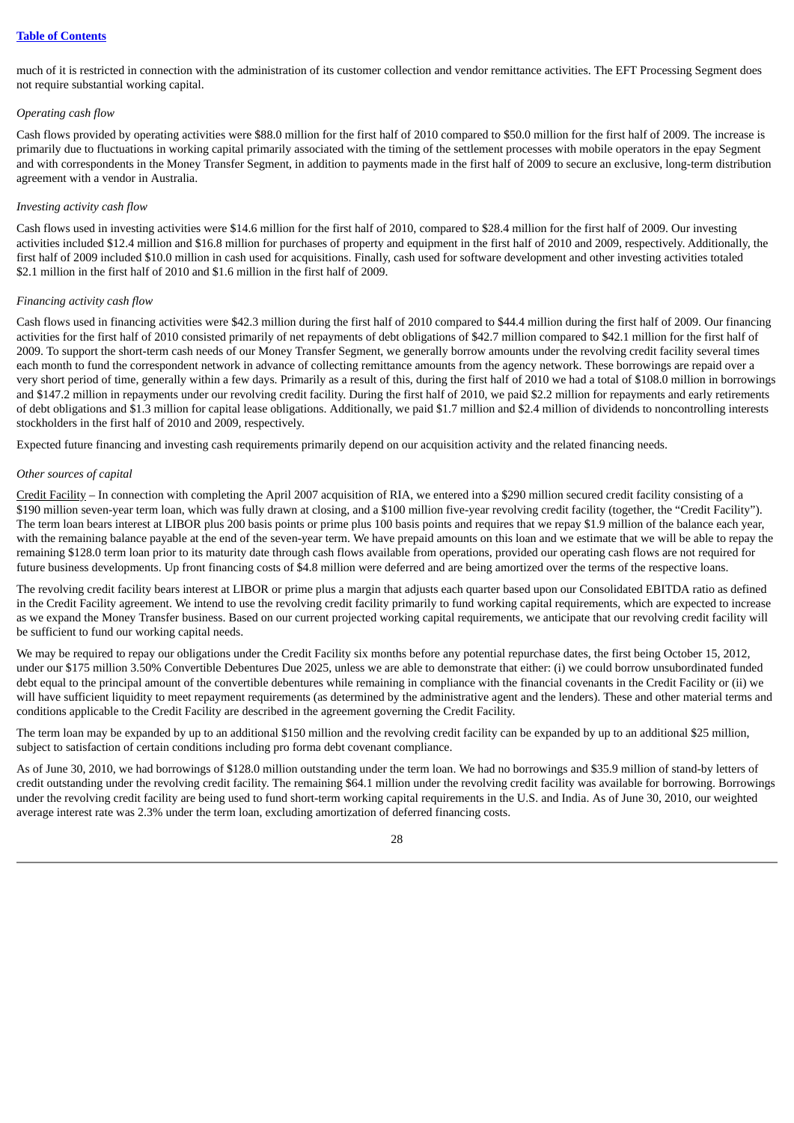## **Table of [Contents](#page-2-0)**

much of it is restricted in connection with the administration of its customer collection and vendor remittance activities. The EFT Processing Segment does not require substantial working capital.

# *Operating cash flow*

Cash flows provided by operating activities were \$88.0 million for the first half of 2010 compared to \$50.0 million for the first half of 2009. The increase is primarily due to fluctuations in working capital primarily associated with the timing of the settlement processes with mobile operators in the epay Segment and with correspondents in the Money Transfer Segment, in addition to payments made in the first half of 2009 to secure an exclusive, long-term distribution agreement with a vendor in Australia.

#### *Investing activity cash flow*

Cash flows used in investing activities were \$14.6 million for the first half of 2010, compared to \$28.4 million for the first half of 2009. Our investing activities included \$12.4 million and \$16.8 million for purchases of property and equipment in the first half of 2010 and 2009, respectively. Additionally, the first half of 2009 included \$10.0 million in cash used for acquisitions. Finally, cash used for software development and other investing activities totaled \$2.1 million in the first half of 2010 and \$1.6 million in the first half of 2009.

### *Financing activity cash flow*

Cash flows used in financing activities were \$42.3 million during the first half of 2010 compared to \$44.4 million during the first half of 2009. Our financing activities for the first half of 2010 consisted primarily of net repayments of debt obligations of \$42.7 million compared to \$42.1 million for the first half of 2009. To support the short-term cash needs of our Money Transfer Segment, we generally borrow amounts under the revolving credit facility several times each month to fund the correspondent network in advance of collecting remittance amounts from the agency network. These borrowings are repaid over a very short period of time, generally within a few days. Primarily as a result of this, during the first half of 2010 we had a total of \$108.0 million in borrowings and \$147.2 million in repayments under our revolving credit facility. During the first half of 2010, we paid \$2.2 million for repayments and early retirements of debt obligations and \$1.3 million for capital lease obligations. Additionally, we paid \$1.7 million and \$2.4 million of dividends to noncontrolling interests stockholders in the first half of 2010 and 2009, respectively.

Expected future financing and investing cash requirements primarily depend on our acquisition activity and the related financing needs.

### *Other sources of capital*

Credit Facility – In connection with completing the April 2007 acquisition of RIA, we entered into a \$290 million secured credit facility consisting of a \$190 million seven-year term loan, which was fully drawn at closing, and a \$100 million five-year revolving credit facility (together, the "Credit Facility"). The term loan bears interest at LIBOR plus 200 basis points or prime plus 100 basis points and requires that we repay \$1.9 million of the balance each year, with the remaining balance payable at the end of the seven-year term. We have prepaid amounts on this loan and we estimate that we will be able to repay the remaining \$128.0 term loan prior to its maturity date through cash flows available from operations, provided our operating cash flows are not required for future business developments. Up front financing costs of \$4.8 million were deferred and are being amortized over the terms of the respective loans.

The revolving credit facility bears interest at LIBOR or prime plus a margin that adjusts each quarter based upon our Consolidated EBITDA ratio as defined in the Credit Facility agreement. We intend to use the revolving credit facility primarily to fund working capital requirements, which are expected to increase as we expand the Money Transfer business. Based on our current projected working capital requirements, we anticipate that our revolving credit facility will be sufficient to fund our working capital needs.

We may be required to repay our obligations under the Credit Facility six months before any potential repurchase dates, the first being October 15, 2012, under our \$175 million 3.50% Convertible Debentures Due 2025, unless we are able to demonstrate that either: (i) we could borrow unsubordinated funded debt equal to the principal amount of the convertible debentures while remaining in compliance with the financial covenants in the Credit Facility or (ii) we will have sufficient liquidity to meet repayment requirements (as determined by the administrative agent and the lenders). These and other material terms and conditions applicable to the Credit Facility are described in the agreement governing the Credit Facility.

The term loan may be expanded by up to an additional \$150 million and the revolving credit facility can be expanded by up to an additional \$25 million, subject to satisfaction of certain conditions including pro forma debt covenant compliance.

As of June 30, 2010, we had borrowings of \$128.0 million outstanding under the term loan. We had no borrowings and \$35.9 million of stand-by letters of credit outstanding under the revolving credit facility. The remaining \$64.1 million under the revolving credit facility was available for borrowing. Borrowings under the revolving credit facility are being used to fund short-term working capital requirements in the U.S. and India. As of June 30, 2010, our weighted average interest rate was 2.3% under the term loan, excluding amortization of deferred financing costs.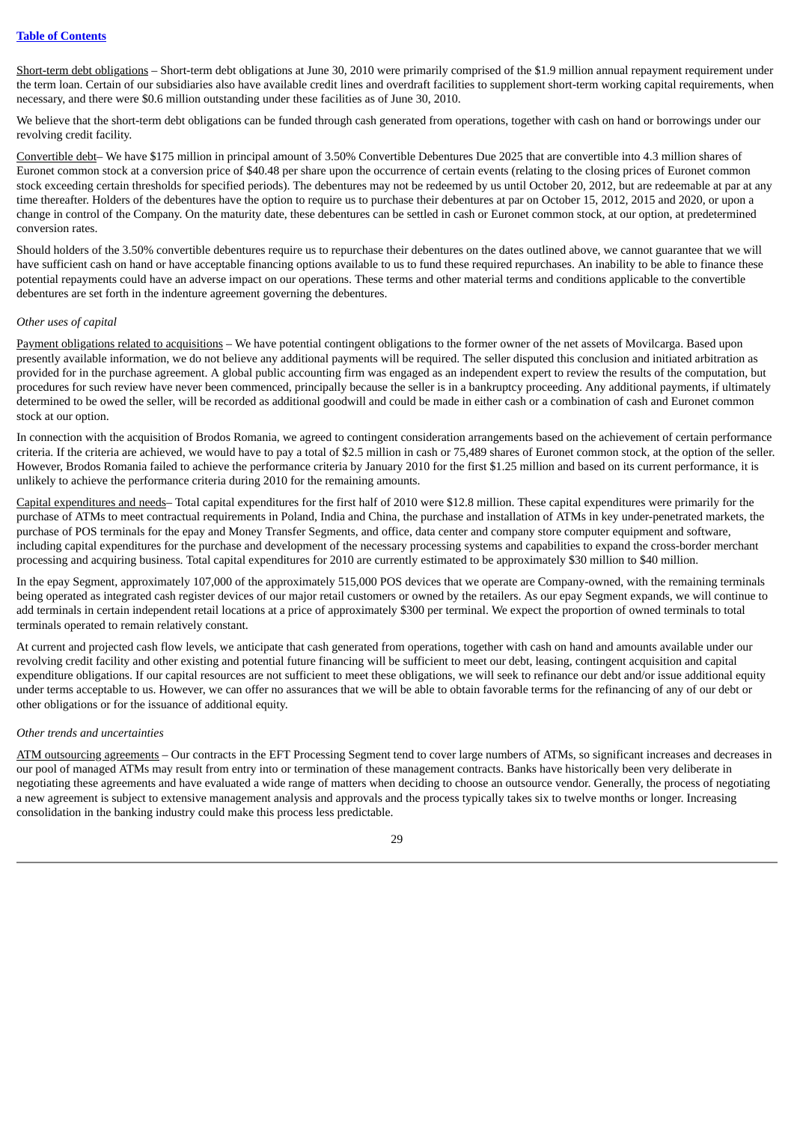Short-term debt obligations – Short-term debt obligations at June 30, 2010 were primarily comprised of the \$1.9 million annual repayment requirement under the term loan. Certain of our subsidiaries also have available credit lines and overdraft facilities to supplement short-term working capital requirements, when necessary, and there were \$0.6 million outstanding under these facilities as of June 30, 2010.

We believe that the short-term debt obligations can be funded through cash generated from operations, together with cash on hand or borrowings under our revolving credit facility.

Convertible debt– We have \$175 million in principal amount of 3.50% Convertible Debentures Due 2025 that are convertible into 4.3 million shares of Euronet common stock at a conversion price of \$40.48 per share upon the occurrence of certain events (relating to the closing prices of Euronet common stock exceeding certain thresholds for specified periods). The debentures may not be redeemed by us until October 20, 2012, but are redeemable at par at any time thereafter. Holders of the debentures have the option to require us to purchase their debentures at par on October 15, 2012, 2015 and 2020, or upon a change in control of the Company. On the maturity date, these debentures can be settled in cash or Euronet common stock, at our option, at predetermined conversion rates.

Should holders of the 3.50% convertible debentures require us to repurchase their debentures on the dates outlined above, we cannot guarantee that we will have sufficient cash on hand or have acceptable financing options available to us to fund these required repurchases. An inability to be able to finance these potential repayments could have an adverse impact on our operations. These terms and other material terms and conditions applicable to the convertible debentures are set forth in the indenture agreement governing the debentures.

### *Other uses of capital*

Payment obligations related to acquisitions – We have potential contingent obligations to the former owner of the net assets of Movilcarga. Based upon presently available information, we do not believe any additional payments will be required. The seller disputed this conclusion and initiated arbitration as provided for in the purchase agreement. A global public accounting firm was engaged as an independent expert to review the results of the computation, but procedures for such review have never been commenced, principally because the seller is in a bankruptcy proceeding. Any additional payments, if ultimately determined to be owed the seller, will be recorded as additional goodwill and could be made in either cash or a combination of cash and Euronet common stock at our option.

In connection with the acquisition of Brodos Romania, we agreed to contingent consideration arrangements based on the achievement of certain performance criteria. If the criteria are achieved, we would have to pay a total of \$2.5 million in cash or 75,489 shares of Euronet common stock, at the option of the seller. However, Brodos Romania failed to achieve the performance criteria by January 2010 for the first \$1.25 million and based on its current performance, it is unlikely to achieve the performance criteria during 2010 for the remaining amounts.

Capital expenditures and needs– Total capital expenditures for the first half of 2010 were \$12.8 million. These capital expenditures were primarily for the purchase of ATMs to meet contractual requirements in Poland, India and China, the purchase and installation of ATMs in key under-penetrated markets, the purchase of POS terminals for the epay and Money Transfer Segments, and office, data center and company store computer equipment and software, including capital expenditures for the purchase and development of the necessary processing systems and capabilities to expand the cross-border merchant processing and acquiring business. Total capital expenditures for 2010 are currently estimated to be approximately \$30 million to \$40 million.

In the epay Segment, approximately 107,000 of the approximately 515,000 POS devices that we operate are Company-owned, with the remaining terminals being operated as integrated cash register devices of our major retail customers or owned by the retailers. As our epay Segment expands, we will continue to add terminals in certain independent retail locations at a price of approximately \$300 per terminal. We expect the proportion of owned terminals to total terminals operated to remain relatively constant.

At current and projected cash flow levels, we anticipate that cash generated from operations, together with cash on hand and amounts available under our revolving credit facility and other existing and potential future financing will be sufficient to meet our debt, leasing, contingent acquisition and capital expenditure obligations. If our capital resources are not sufficient to meet these obligations, we will seek to refinance our debt and/or issue additional equity under terms acceptable to us. However, we can offer no assurances that we will be able to obtain favorable terms for the refinancing of any of our debt or other obligations or for the issuance of additional equity.

#### *Other trends and uncertainties*

ATM outsourcing agreements - Our contracts in the EFT Processing Segment tend to cover large numbers of ATMs, so significant increases and decreases in our pool of managed ATMs may result from entry into or termination of these management contracts. Banks have historically been very deliberate in negotiating these agreements and have evaluated a wide range of matters when deciding to choose an outsource vendor. Generally, the process of negotiating a new agreement is subject to extensive management analysis and approvals and the process typically takes six to twelve months or longer. Increasing consolidation in the banking industry could make this process less predictable.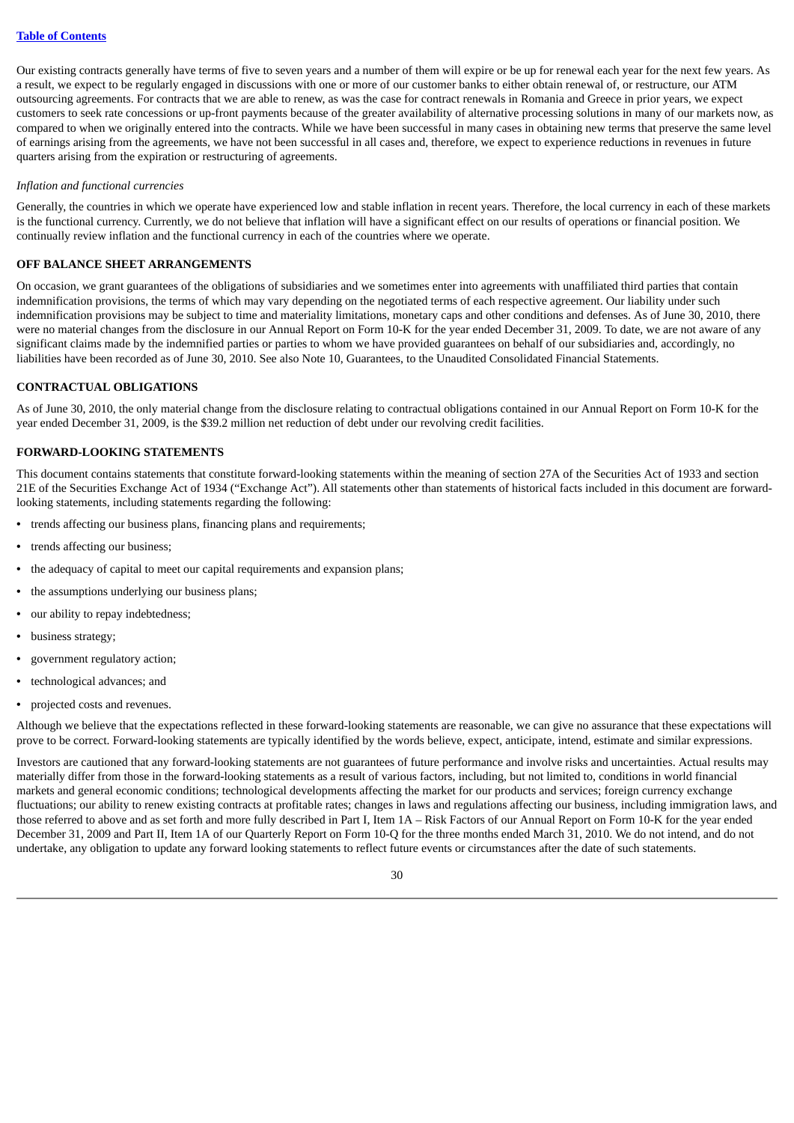Our existing contracts generally have terms of five to seven years and a number of them will expire or be up for renewal each year for the next few years. As a result, we expect to be regularly engaged in discussions with one or more of our customer banks to either obtain renewal of, or restructure, our ATM outsourcing agreements. For contracts that we are able to renew, as was the case for contract renewals in Romania and Greece in prior years, we expect customers to seek rate concessions or up-front payments because of the greater availability of alternative processing solutions in many of our markets now, as compared to when we originally entered into the contracts. While we have been successful in many cases in obtaining new terms that preserve the same level of earnings arising from the agreements, we have not been successful in all cases and, therefore, we expect to experience reductions in revenues in future quarters arising from the expiration or restructuring of agreements.

#### *Inflation and functional currencies*

Generally, the countries in which we operate have experienced low and stable inflation in recent years. Therefore, the local currency in each of these markets is the functional currency. Currently, we do not believe that inflation will have a significant effect on our results of operations or financial position. We continually review inflation and the functional currency in each of the countries where we operate.

## **OFF BALANCE SHEET ARRANGEMENTS**

On occasion, we grant guarantees of the obligations of subsidiaries and we sometimes enter into agreements with unaffiliated third parties that contain indemnification provisions, the terms of which may vary depending on the negotiated terms of each respective agreement. Our liability under such indemnification provisions may be subject to time and materiality limitations, monetary caps and other conditions and defenses. As of June 30, 2010, there were no material changes from the disclosure in our Annual Report on Form 10-K for the year ended December 31, 2009. To date, we are not aware of any significant claims made by the indemnified parties or parties to whom we have provided guarantees on behalf of our subsidiaries and, accordingly, no liabilities have been recorded as of June 30, 2010. See also Note 10, Guarantees, to the Unaudited Consolidated Financial Statements.

# **CONTRACTUAL OBLIGATIONS**

As of June 30, 2010, the only material change from the disclosure relating to contractual obligations contained in our Annual Report on Form 10-K for the year ended December 31, 2009, is the \$39.2 million net reduction of debt under our revolving credit facilities.

## **FORWARD-LOOKING STATEMENTS**

This document contains statements that constitute forward-looking statements within the meaning of section 27A of the Securities Act of 1933 and section 21E of the Securities Exchange Act of 1934 ("Exchange Act"). All statements other than statements of historical facts included in this document are forwardlooking statements, including statements regarding the following:

- **•** trends affecting our business plans, financing plans and requirements;
- **•** trends affecting our business;
- **•** the adequacy of capital to meet our capital requirements and expansion plans;
- **•** the assumptions underlying our business plans;
- **•** our ability to repay indebtedness;
- **•** business strategy;
- **•** government regulatory action;
- **•** technological advances; and
- **•** projected costs and revenues.

Although we believe that the expectations reflected in these forward-looking statements are reasonable, we can give no assurance that these expectations will prove to be correct. Forward-looking statements are typically identified by the words believe, expect, anticipate, intend, estimate and similar expressions.

Investors are cautioned that any forward-looking statements are not guarantees of future performance and involve risks and uncertainties. Actual results may materially differ from those in the forward-looking statements as a result of various factors, including, but not limited to, conditions in world financial markets and general economic conditions; technological developments affecting the market for our products and services; foreign currency exchange fluctuations; our ability to renew existing contracts at profitable rates; changes in laws and regulations affecting our business, including immigration laws, and those referred to above and as set forth and more fully described in Part I, Item 1A – Risk Factors of our Annual Report on Form 10-K for the year ended December 31, 2009 and Part II, Item 1A of our Quarterly Report on Form 10-Q for the three months ended March 31, 2010. We do not intend, and do not undertake, any obligation to update any forward looking statements to reflect future events or circumstances after the date of such statements.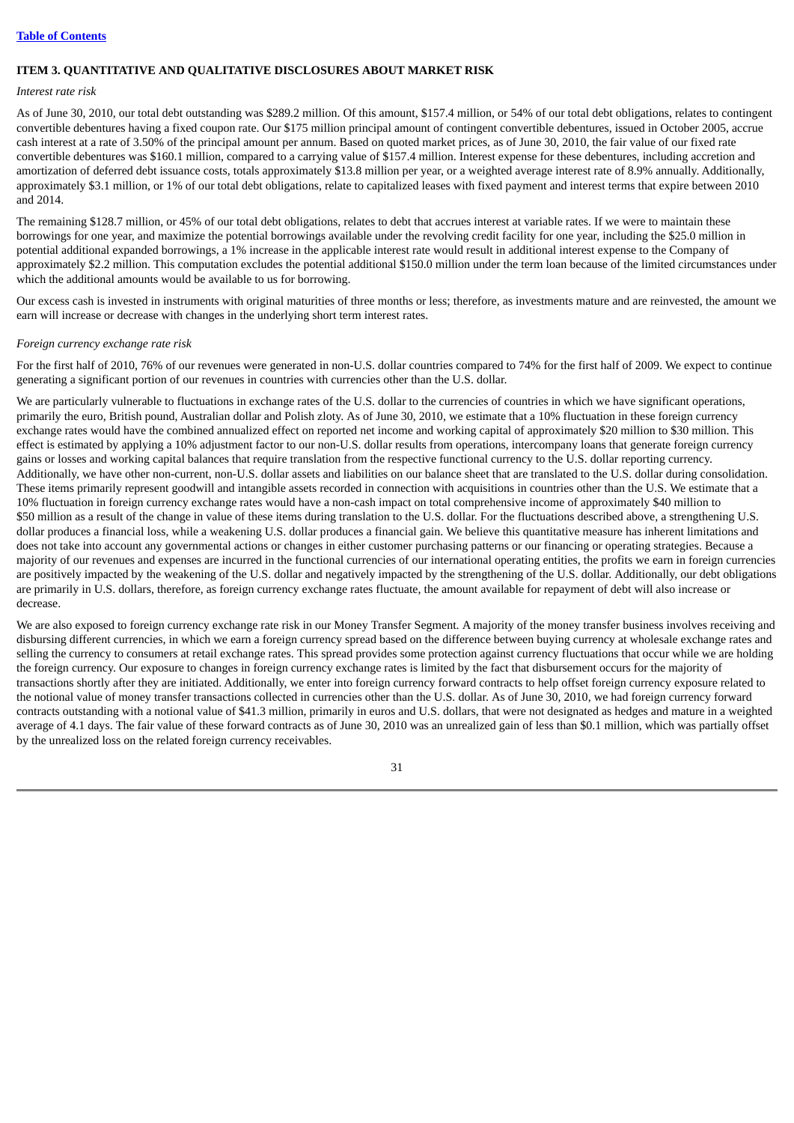# <span id="page-31-0"></span>**ITEM 3. QUANTITATIVE AND QUALITATIVE DISCLOSURES ABOUT MARKET RISK**

#### *Interest rate risk*

As of June 30, 2010, our total debt outstanding was \$289.2 million. Of this amount, \$157.4 million, or 54% of our total debt obligations, relates to contingent convertible debentures having a fixed coupon rate. Our \$175 million principal amount of contingent convertible debentures, issued in October 2005, accrue cash interest at a rate of 3.50% of the principal amount per annum. Based on quoted market prices, as of June 30, 2010, the fair value of our fixed rate convertible debentures was \$160.1 million, compared to a carrying value of \$157.4 million. Interest expense for these debentures, including accretion and amortization of deferred debt issuance costs, totals approximately \$13.8 million per year, or a weighted average interest rate of 8.9% annually. Additionally, approximately \$3.1 million, or 1% of our total debt obligations, relate to capitalized leases with fixed payment and interest terms that expire between 2010 and 2014.

The remaining \$128.7 million, or 45% of our total debt obligations, relates to debt that accrues interest at variable rates. If we were to maintain these borrowings for one year, and maximize the potential borrowings available under the revolving credit facility for one year, including the \$25.0 million in potential additional expanded borrowings, a 1% increase in the applicable interest rate would result in additional interest expense to the Company of approximately \$2.2 million. This computation excludes the potential additional \$150.0 million under the term loan because of the limited circumstances under which the additional amounts would be available to us for borrowing.

Our excess cash is invested in instruments with original maturities of three months or less; therefore, as investments mature and are reinvested, the amount we earn will increase or decrease with changes in the underlying short term interest rates.

#### *Foreign currency exchange rate risk*

For the first half of 2010, 76% of our revenues were generated in non-U.S. dollar countries compared to 74% for the first half of 2009. We expect to continue generating a significant portion of our revenues in countries with currencies other than the U.S. dollar.

We are particularly vulnerable to fluctuations in exchange rates of the U.S. dollar to the currencies of countries in which we have significant operations, primarily the euro, British pound, Australian dollar and Polish zloty. As of June 30, 2010, we estimate that a 10% fluctuation in these foreign currency exchange rates would have the combined annualized effect on reported net income and working capital of approximately \$20 million to \$30 million. This effect is estimated by applying a 10% adjustment factor to our non-U.S. dollar results from operations, intercompany loans that generate foreign currency gains or losses and working capital balances that require translation from the respective functional currency to the U.S. dollar reporting currency. Additionally, we have other non-current, non-U.S. dollar assets and liabilities on our balance sheet that are translated to the U.S. dollar during consolidation. These items primarily represent goodwill and intangible assets recorded in connection with acquisitions in countries other than the U.S. We estimate that a 10% fluctuation in foreign currency exchange rates would have a non-cash impact on total comprehensive income of approximately \$40 million to \$50 million as a result of the change in value of these items during translation to the U.S. dollar. For the fluctuations described above, a strengthening U.S. dollar produces a financial loss, while a weakening U.S. dollar produces a financial gain. We believe this quantitative measure has inherent limitations and does not take into account any governmental actions or changes in either customer purchasing patterns or our financing or operating strategies. Because a majority of our revenues and expenses are incurred in the functional currencies of our international operating entities, the profits we earn in foreign currencies are positively impacted by the weakening of the U.S. dollar and negatively impacted by the strengthening of the U.S. dollar. Additionally, our debt obligations are primarily in U.S. dollars, therefore, as foreign currency exchange rates fluctuate, the amount available for repayment of debt will also increase or decrease.

We are also exposed to foreign currency exchange rate risk in our Money Transfer Segment. A majority of the money transfer business involves receiving and disbursing different currencies, in which we earn a foreign currency spread based on the difference between buying currency at wholesale exchange rates and selling the currency to consumers at retail exchange rates. This spread provides some protection against currency fluctuations that occur while we are holding the foreign currency. Our exposure to changes in foreign currency exchange rates is limited by the fact that disbursement occurs for the majority of transactions shortly after they are initiated. Additionally, we enter into foreign currency forward contracts to help offset foreign currency exposure related to the notional value of money transfer transactions collected in currencies other than the U.S. dollar. As of June 30, 2010, we had foreign currency forward contracts outstanding with a notional value of \$41.3 million, primarily in euros and U.S. dollars, that were not designated as hedges and mature in a weighted average of 4.1 days. The fair value of these forward contracts as of June 30, 2010 was an unrealized gain of less than \$0.1 million, which was partially offset by the unrealized loss on the related foreign currency receivables.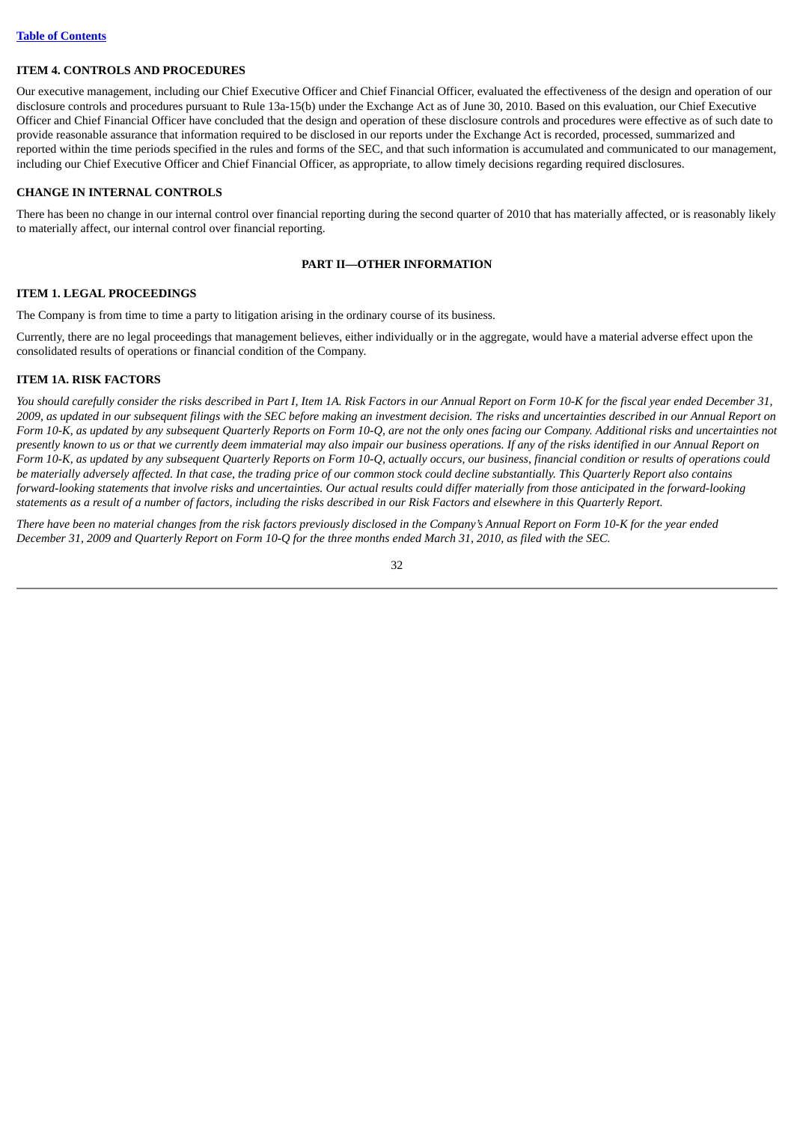# <span id="page-32-0"></span>**ITEM 4. CONTROLS AND PROCEDURES**

Our executive management, including our Chief Executive Officer and Chief Financial Officer, evaluated the effectiveness of the design and operation of our disclosure controls and procedures pursuant to Rule 13a-15(b) under the Exchange Act as of June 30, 2010. Based on this evaluation, our Chief Executive Officer and Chief Financial Officer have concluded that the design and operation of these disclosure controls and procedures were effective as of such date to provide reasonable assurance that information required to be disclosed in our reports under the Exchange Act is recorded, processed, summarized and reported within the time periods specified in the rules and forms of the SEC, and that such information is accumulated and communicated to our management, including our Chief Executive Officer and Chief Financial Officer, as appropriate, to allow timely decisions regarding required disclosures.

# **CHANGE IN INTERNAL CONTROLS**

<span id="page-32-1"></span>There has been no change in our internal control over financial reporting during the second quarter of 2010 that has materially affected, or is reasonably likely to materially affect, our internal control over financial reporting.

## **PART II—OTHER INFORMATION**

# <span id="page-32-2"></span>**ITEM 1. LEGAL PROCEEDINGS**

The Company is from time to time a party to litigation arising in the ordinary course of its business.

Currently, there are no legal proceedings that management believes, either individually or in the aggregate, would have a material adverse effect upon the consolidated results of operations or financial condition of the Company.

# <span id="page-32-3"></span>**ITEM 1A. RISK FACTORS**

You should carefully consider the risks described in Part I, Item 1A. Risk Factors in our Annual Report on Form 10-K for the fiscal year ended December 31, 2009, as updated in our subsequent filings with the SEC before making an investment decision. The risks and uncertainties described in our Annual Report on Form 10-K, as updated by any subsequent Quarterly Reports on Form 10-Q, are not the only ones facing our Company. Additional risks and uncertainties not presently known to us or that we currently deem immaterial may also impair our business operations. If any of the risks identified in our Annual Report on Form 10-K, as updated by any subsequent Quarterly Reports on Form 10-Q, actually occurs, our business, financial condition or results of operations could be materially adversely affected. In that case, the trading price of our common stock could decline substantially. This Quarterly Report also contains forward-looking statements that involve risks and uncertainties. Our actual results could differ materially from those anticipated in the forward-looking statements as a result of a number of factors, including the risks described in our Risk Factors and elsewhere in this Quarterly Report.

There have been no material changes from the risk factors previously disclosed in the Company's Annual Report on Form 10-K for the year ended December 31, 2009 and Quarterly Report on Form 10-Q for the three months ended March 31, 2010, as filed with the SEC.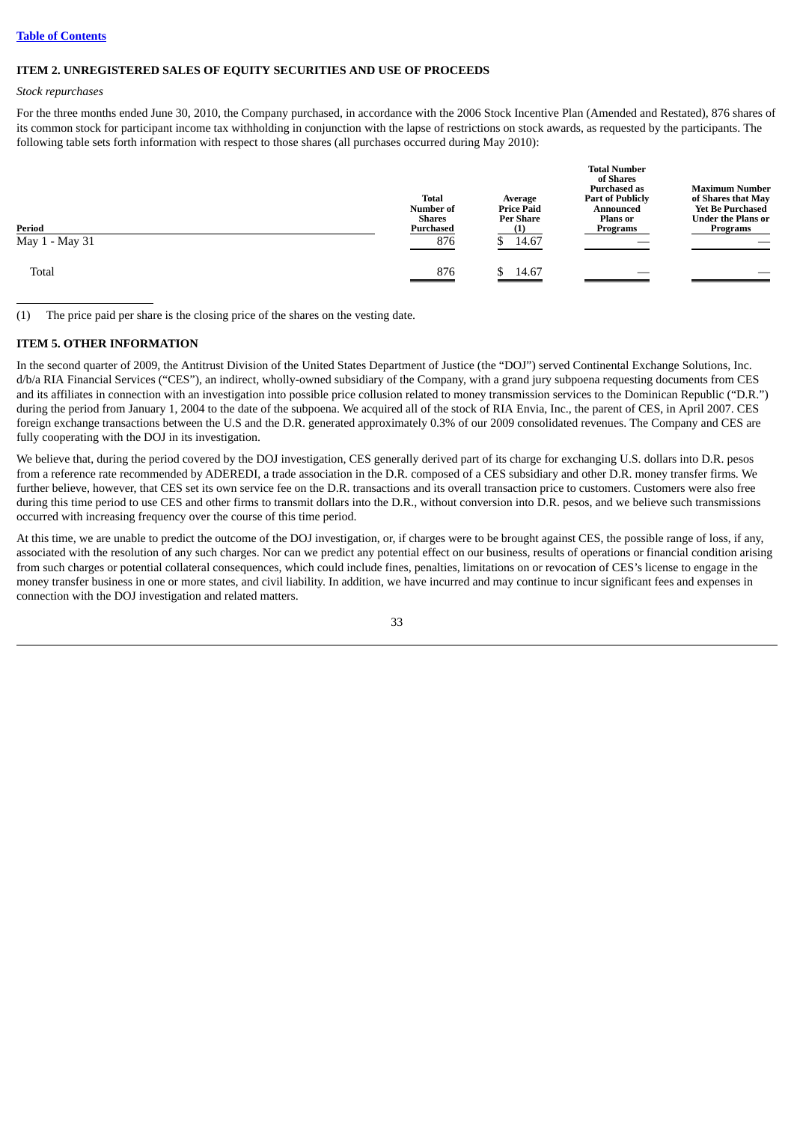## <span id="page-33-0"></span>**ITEM 2. UNREGISTERED SALES OF EQUITY SECURITIES AND USE OF PROCEEDS**

#### *Stock repurchases*

For the three months ended June 30, 2010, the Company purchased, in accordance with the 2006 Stock Incentive Plan (Amended and Restated), 876 shares of its common stock for participant income tax withholding in conjunction with the lapse of restrictions on stock awards, as requested by the participants. The following table sets forth information with respect to those shares (all purchases occurred during May 2010):

| Period<br>May 1 - May 31 | <b>Total</b><br>Number of<br><b>Shares</b><br>Purchased<br>876 | Average<br><b>Price Paid</b><br>Per Share<br>(1)<br>14.67 | <b>Total Number</b><br>of Shares<br>Purchased as<br><b>Part of Publicly</b><br>Announced<br><b>Plans</b> or<br>Programs | <b>Maximum Number</b><br>of Shares that May<br><b>Yet Be Purchased</b><br><b>Under the Plans or</b><br>Programs |
|--------------------------|----------------------------------------------------------------|-----------------------------------------------------------|-------------------------------------------------------------------------------------------------------------------------|-----------------------------------------------------------------------------------------------------------------|
| Total                    | 876                                                            | 14.67                                                     |                                                                                                                         |                                                                                                                 |

<span id="page-33-1"></span>(1) The price paid per share is the closing price of the shares on the vesting date.

## **ITEM 5. OTHER INFORMATION**

In the second quarter of 2009, the Antitrust Division of the United States Department of Justice (the "DOJ") served Continental Exchange Solutions, Inc. d/b/a RIA Financial Services ("CES"), an indirect, wholly-owned subsidiary of the Company, with a grand jury subpoena requesting documents from CES and its affiliates in connection with an investigation into possible price collusion related to money transmission services to the Dominican Republic ("D.R.") during the period from January 1, 2004 to the date of the subpoena. We acquired all of the stock of RIA Envia, Inc., the parent of CES, in April 2007. CES foreign exchange transactions between the U.S and the D.R. generated approximately 0.3% of our 2009 consolidated revenues. The Company and CES are fully cooperating with the DOJ in its investigation.

We believe that, during the period covered by the DOJ investigation, CES generally derived part of its charge for exchanging U.S. dollars into D.R. pesos from a reference rate recommended by ADEREDI, a trade association in the D.R. composed of a CES subsidiary and other D.R. money transfer firms. We further believe, however, that CES set its own service fee on the D.R. transactions and its overall transaction price to customers. Customers were also free during this time period to use CES and other firms to transmit dollars into the D.R., without conversion into D.R. pesos, and we believe such transmissions occurred with increasing frequency over the course of this time period.

At this time, we are unable to predict the outcome of the DOJ investigation, or, if charges were to be brought against CES, the possible range of loss, if any, associated with the resolution of any such charges. Nor can we predict any potential effect on our business, results of operations or financial condition arising from such charges or potential collateral consequences, which could include fines, penalties, limitations on or revocation of CES's license to engage in the money transfer business in one or more states, and civil liability. In addition, we have incurred and may continue to incur significant fees and expenses in connection with the DOJ investigation and related matters.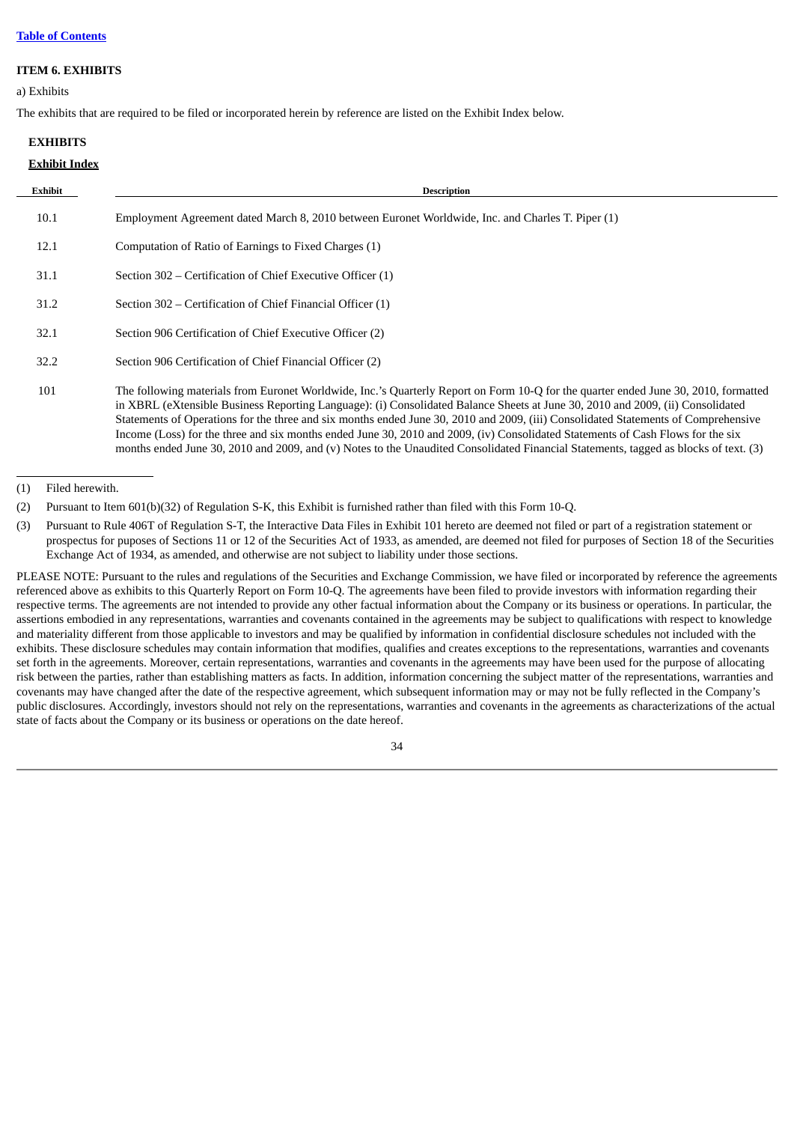# <span id="page-34-0"></span>**ITEM 6. EXHIBITS**

a) Exhibits

The exhibits that are required to be filed or incorporated herein by reference are listed on the Exhibit Index below.

# **EXHIBITS**

# **Exhibit Index**

| Exhibit | <b>Description</b>                                                                                                                                                                                                                                                                                                                                                                                                                                                                                                                                                                                                                                                                     |
|---------|----------------------------------------------------------------------------------------------------------------------------------------------------------------------------------------------------------------------------------------------------------------------------------------------------------------------------------------------------------------------------------------------------------------------------------------------------------------------------------------------------------------------------------------------------------------------------------------------------------------------------------------------------------------------------------------|
| 10.1    | Employment Agreement dated March 8, 2010 between Euronet Worldwide, Inc. and Charles T. Piper (1)                                                                                                                                                                                                                                                                                                                                                                                                                                                                                                                                                                                      |
| 12.1    | Computation of Ratio of Earnings to Fixed Charges (1)                                                                                                                                                                                                                                                                                                                                                                                                                                                                                                                                                                                                                                  |
| 31.1    | Section 302 – Certification of Chief Executive Officer (1)                                                                                                                                                                                                                                                                                                                                                                                                                                                                                                                                                                                                                             |
| 31.2    | Section 302 – Certification of Chief Financial Officer (1)                                                                                                                                                                                                                                                                                                                                                                                                                                                                                                                                                                                                                             |
| 32.1    | Section 906 Certification of Chief Executive Officer (2)                                                                                                                                                                                                                                                                                                                                                                                                                                                                                                                                                                                                                               |
| 32.2    | Section 906 Certification of Chief Financial Officer (2)                                                                                                                                                                                                                                                                                                                                                                                                                                                                                                                                                                                                                               |
| 101     | The following materials from Euronet Worldwide, Inc.'s Quarterly Report on Form 10-Q for the quarter ended June 30, 2010, formatted<br>in XBRL (eXtensible Business Reporting Language): (i) Consolidated Balance Sheets at June 30, 2010 and 2009, (ii) Consolidated<br>Statements of Operations for the three and six months ended June 30, 2010 and 2009, (iii) Consolidated Statements of Comprehensive<br>Income (Loss) for the three and six months ended June 30, 2010 and 2009, (iv) Consolidated Statements of Cash Flows for the six<br>months ended June 30, 2010 and 2009, and (y) Notes to the Unaudited Consolidated Financial Statements, tagged as blocks of text. (3) |

<sup>(1)</sup> Filed herewith.

(3) Pursuant to Rule 406T of Regulation S-T, the Interactive Data Files in Exhibit 101 hereto are deemed not filed or part of a registration statement or prospectus for puposes of Sections 11 or 12 of the Securities Act of 1933, as amended, are deemed not filed for purposes of Section 18 of the Securities Exchange Act of 1934, as amended, and otherwise are not subject to liability under those sections.

PLEASE NOTE: Pursuant to the rules and regulations of the Securities and Exchange Commission, we have filed or incorporated by reference the agreements referenced above as exhibits to this Quarterly Report on Form 10-Q. The agreements have been filed to provide investors with information regarding their respective terms. The agreements are not intended to provide any other factual information about the Company or its business or operations. In particular, the assertions embodied in any representations, warranties and covenants contained in the agreements may be subject to qualifications with respect to knowledge and materiality different from those applicable to investors and may be qualified by information in confidential disclosure schedules not included with the exhibits. These disclosure schedules may contain information that modifies, qualifies and creates exceptions to the representations, warranties and covenants set forth in the agreements. Moreover, certain representations, warranties and covenants in the agreements may have been used for the purpose of allocating risk between the parties, rather than establishing matters as facts. In addition, information concerning the subject matter of the representations, warranties and covenants may have changed after the date of the respective agreement, which subsequent information may or may not be fully reflected in the Company's public disclosures. Accordingly, investors should not rely on the representations, warranties and covenants in the agreements as characterizations of the actual state of facts about the Company or its business or operations on the date hereof.

<sup>(2)</sup> Pursuant to Item 601(b)(32) of Regulation S-K, this Exhibit is furnished rather than filed with this Form 10-Q.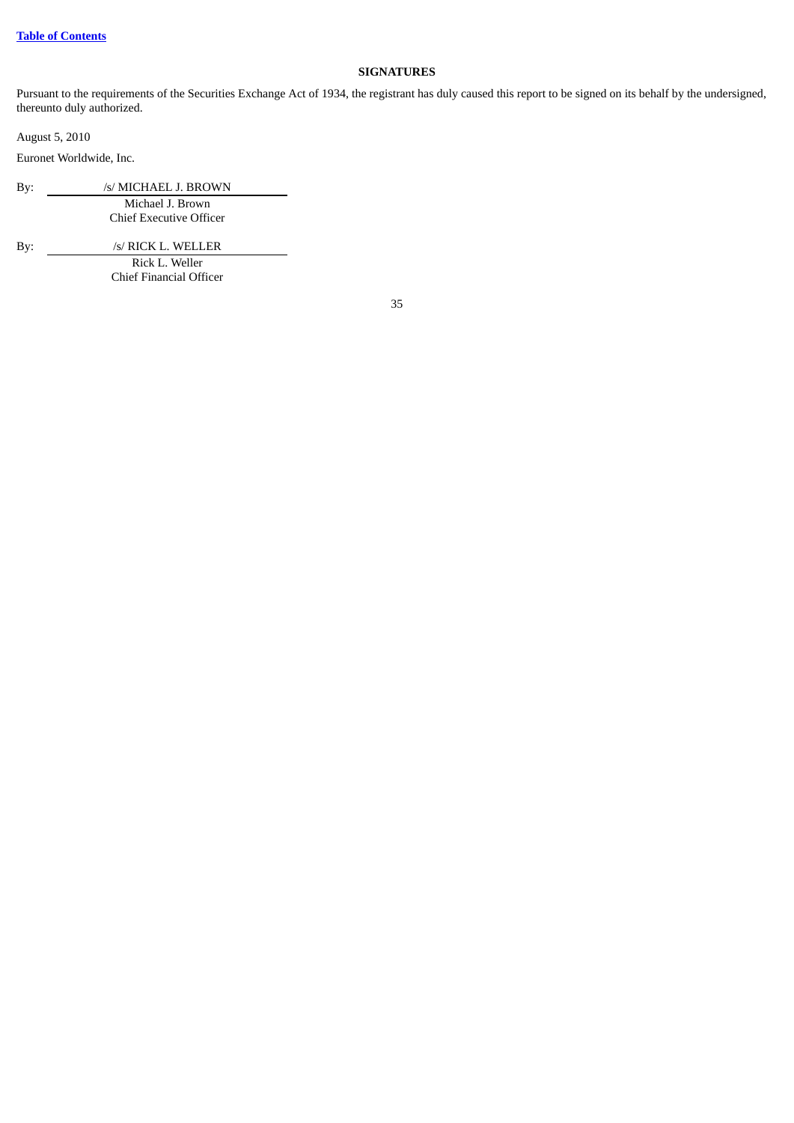# **SIGNATURES**

Pursuant to the requirements of the Securities Exchange Act of 1934, the registrant has duly caused this report to be signed on its behalf by the undersigned, thereunto duly authorized.

August 5, 2010

Euronet Worldwide, Inc.

| By: | /s/ MICHAEL J. BROWN    |
|-----|-------------------------|
|     | Michael J. Brown        |
|     | Chief Executive Officer |

By: /s/ RICK L. WELLER Rick L. Weller Chief Financial Officer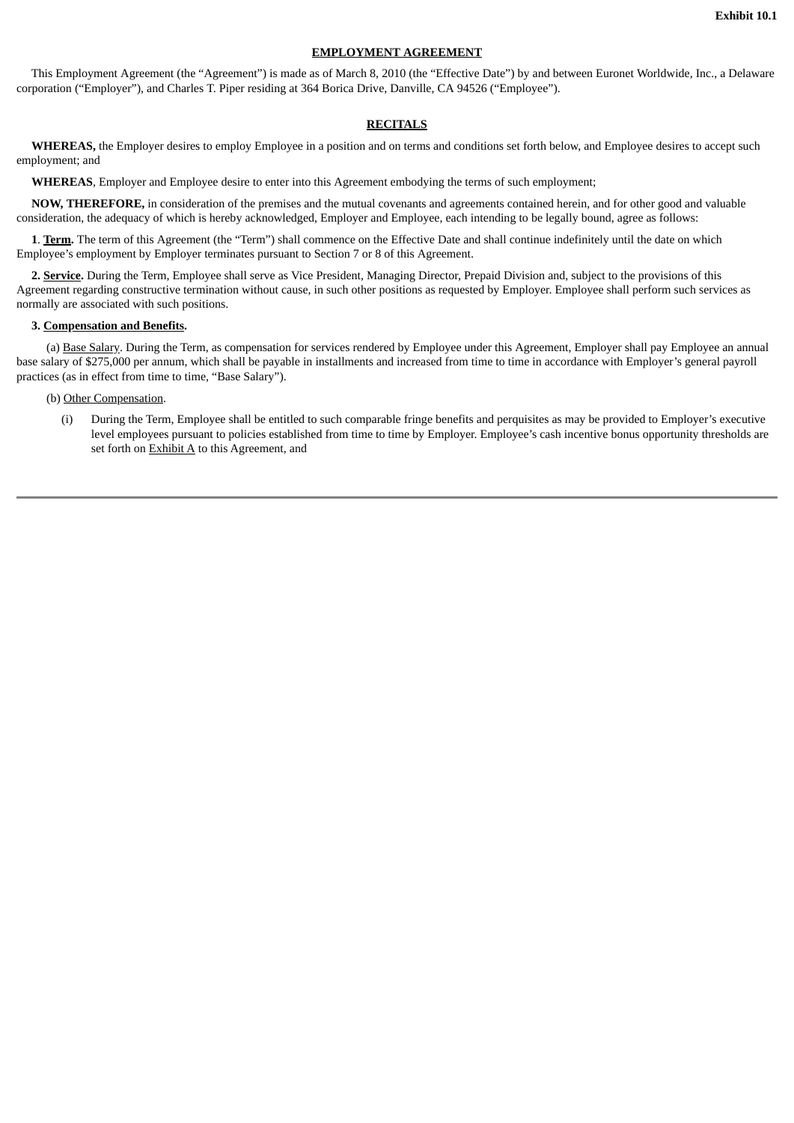# **EMPLOYMENT AGREEMENT**

This Employment Agreement (the "Agreement") is made as of March 8, 2010 (the "Effective Date") by and between Euronet Worldwide, Inc., a Delaware corporation ("Employer"), and Charles T. Piper residing at 364 Borica Drive, Danville, CA 94526 ("Employee").

# **RECITALS**

**WHEREAS,** the Employer desires to employ Employee in a position and on terms and conditions set forth below, and Employee desires to accept such employment; and

**WHEREAS**, Employer and Employee desire to enter into this Agreement embodying the terms of such employment;

**NOW, THEREFORE,** in consideration of the premises and the mutual covenants and agreements contained herein, and for other good and valuable consideration, the adequacy of which is hereby acknowledged, Employer and Employee, each intending to be legally bound, agree as follows:

**1**. **Term.** The term of this Agreement (the "Term") shall commence on the Effective Date and shall continue indefinitely until the date on which Employee's employment by Employer terminates pursuant to Section 7 or 8 of this Agreement.

**2. Service.** During the Term, Employee shall serve as Vice President, Managing Director, Prepaid Division and, subject to the provisions of this Agreement regarding constructive termination without cause, in such other positions as requested by Employer. Employee shall perform such services as normally are associated with such positions.

# **3. Compensation and Benefits.**

(a) Base Salary. During the Term, as compensation for services rendered by Employee under this Agreement, Employer shall pay Employee an annual base salary of \$275,000 per annum, which shall be payable in installments and increased from time to time in accordance with Employer's general payroll practices (as in effect from time to time, "Base Salary").

(b) Other Compensation.

(i) During the Term, Employee shall be entitled to such comparable fringe benefits and perquisites as may be provided to Employer's executive level employees pursuant to policies established from time to time by Employer. Employee's cash incentive bonus opportunity thresholds are set forth on Exhibit A to this Agreement, and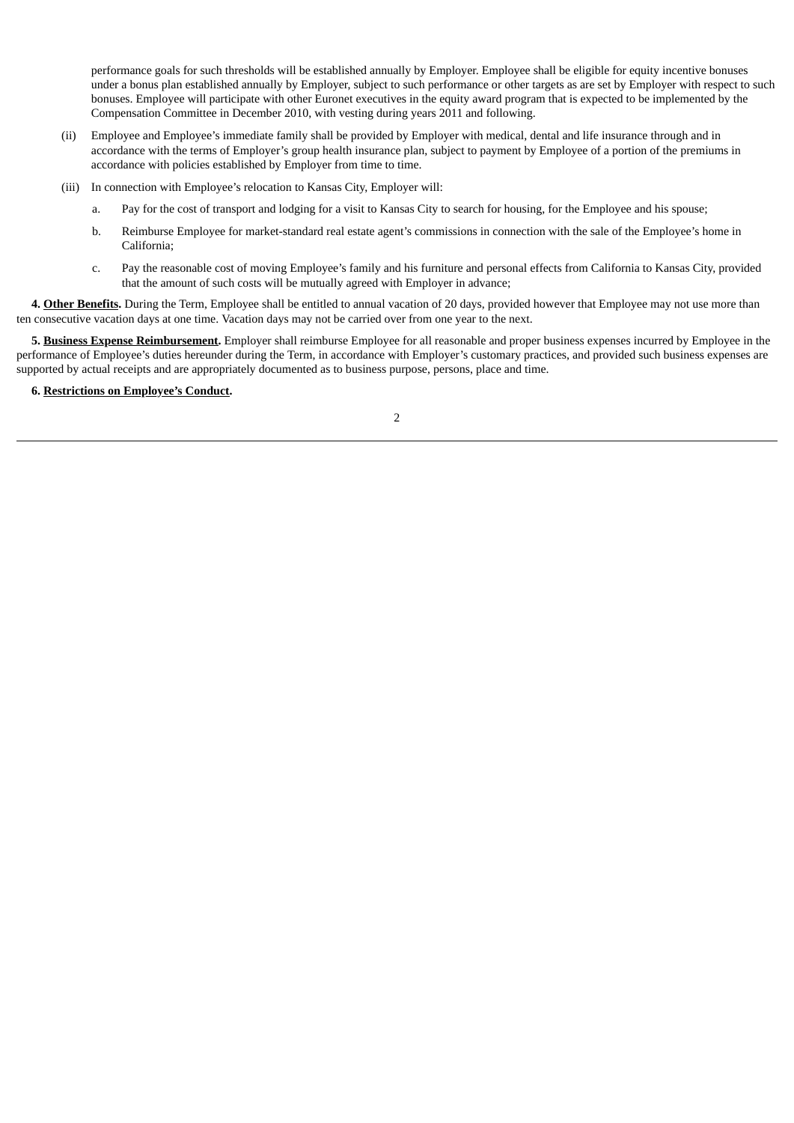performance goals for such thresholds will be established annually by Employer. Employee shall be eligible for equity incentive bonuses under a bonus plan established annually by Employer, subject to such performance or other targets as are set by Employer with respect to such bonuses. Employee will participate with other Euronet executives in the equity award program that is expected to be implemented by the Compensation Committee in December 2010, with vesting during years 2011 and following.

- (ii) Employee and Employee's immediate family shall be provided by Employer with medical, dental and life insurance through and in accordance with the terms of Employer's group health insurance plan, subject to payment by Employee of a portion of the premiums in accordance with policies established by Employer from time to time.
- (iii) In connection with Employee's relocation to Kansas City, Employer will:
	- a. Pay for the cost of transport and lodging for a visit to Kansas City to search for housing, for the Employee and his spouse;
	- b. Reimburse Employee for market-standard real estate agent's commissions in connection with the sale of the Employee's home in California;
	- c. Pay the reasonable cost of moving Employee's family and his furniture and personal effects from California to Kansas City, provided that the amount of such costs will be mutually agreed with Employer in advance;

**4. Other Benefits.** During the Term, Employee shall be entitled to annual vacation of 20 days, provided however that Employee may not use more than ten consecutive vacation days at one time. Vacation days may not be carried over from one year to the next.

**5. Business Expense Reimbursement.** Employer shall reimburse Employee for all reasonable and proper business expenses incurred by Employee in the performance of Employee's duties hereunder during the Term, in accordance with Employer's customary practices, and provided such business expenses are supported by actual receipts and are appropriately documented as to business purpose, persons, place and time.

**6. Restrictions on Employee's Conduct.**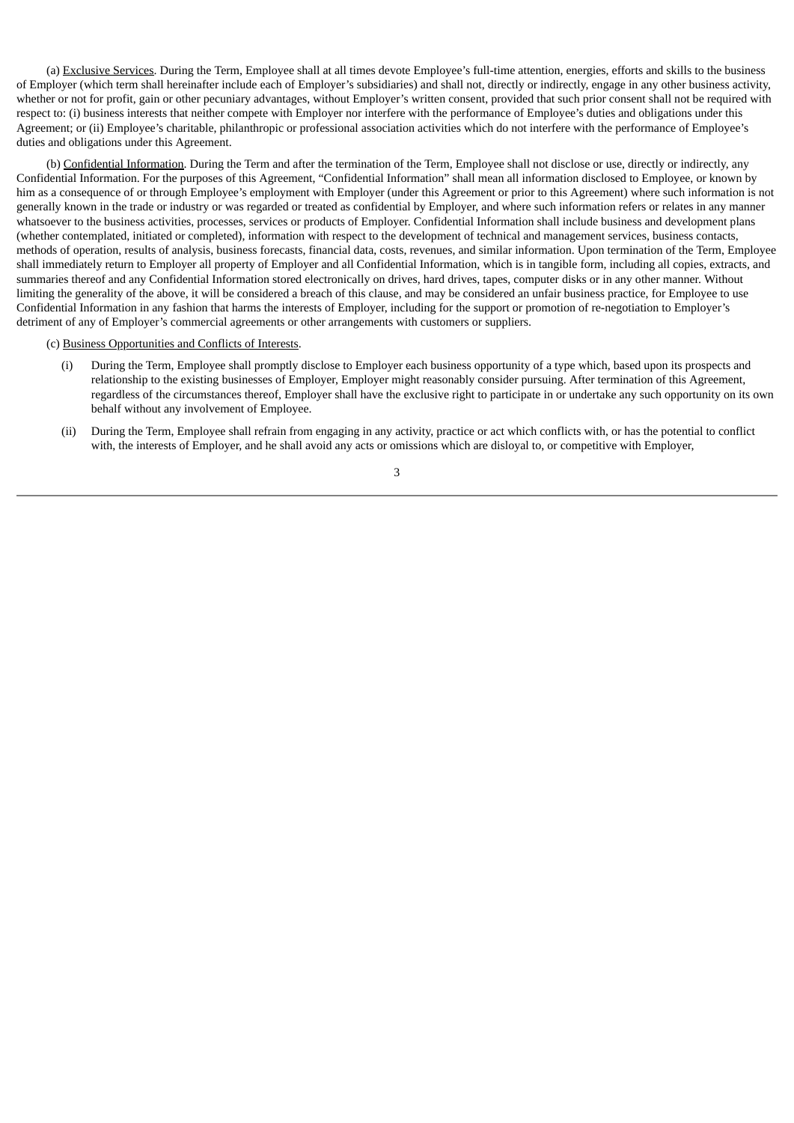(a) Exclusive Services. During the Term, Employee shall at all times devote Employee's full-time attention, energies, efforts and skills to the business of Employer (which term shall hereinafter include each of Employer's subsidiaries) and shall not, directly or indirectly, engage in any other business activity, whether or not for profit, gain or other pecuniary advantages, without Employer's written consent, provided that such prior consent shall not be required with respect to: (i) business interests that neither compete with Employer nor interfere with the performance of Employee's duties and obligations under this Agreement; or (ii) Employee's charitable, philanthropic or professional association activities which do not interfere with the performance of Employee's duties and obligations under this Agreement.

(b) Confidential Information. During the Term and after the termination of the Term, Employee shall not disclose or use, directly or indirectly, any Confidential Information. For the purposes of this Agreement, "Confidential Information" shall mean all information disclosed to Employee, or known by him as a consequence of or through Employee's employment with Employer (under this Agreement or prior to this Agreement) where such information is not generally known in the trade or industry or was regarded or treated as confidential by Employer, and where such information refers or relates in any manner whatsoever to the business activities, processes, services or products of Employer. Confidential Information shall include business and development plans (whether contemplated, initiated or completed), information with respect to the development of technical and management services, business contacts, methods of operation, results of analysis, business forecasts, financial data, costs, revenues, and similar information. Upon termination of the Term, Employee shall immediately return to Employer all property of Employer and all Confidential Information, which is in tangible form, including all copies, extracts, and summaries thereof and any Confidential Information stored electronically on drives, hard drives, tapes, computer disks or in any other manner. Without limiting the generality of the above, it will be considered a breach of this clause, and may be considered an unfair business practice, for Employee to use Confidential Information in any fashion that harms the interests of Employer, including for the support or promotion of re-negotiation to Employer's detriment of any of Employer's commercial agreements or other arrangements with customers or suppliers.

## (c) Business Opportunities and Conflicts of Interests.

- (i) During the Term, Employee shall promptly disclose to Employer each business opportunity of a type which, based upon its prospects and relationship to the existing businesses of Employer, Employer might reasonably consider pursuing. After termination of this Agreement, regardless of the circumstances thereof, Employer shall have the exclusive right to participate in or undertake any such opportunity on its own behalf without any involvement of Employee.
- (ii) During the Term, Employee shall refrain from engaging in any activity, practice or act which conflicts with, or has the potential to conflict with, the interests of Employer, and he shall avoid any acts or omissions which are disloyal to, or competitive with Employer,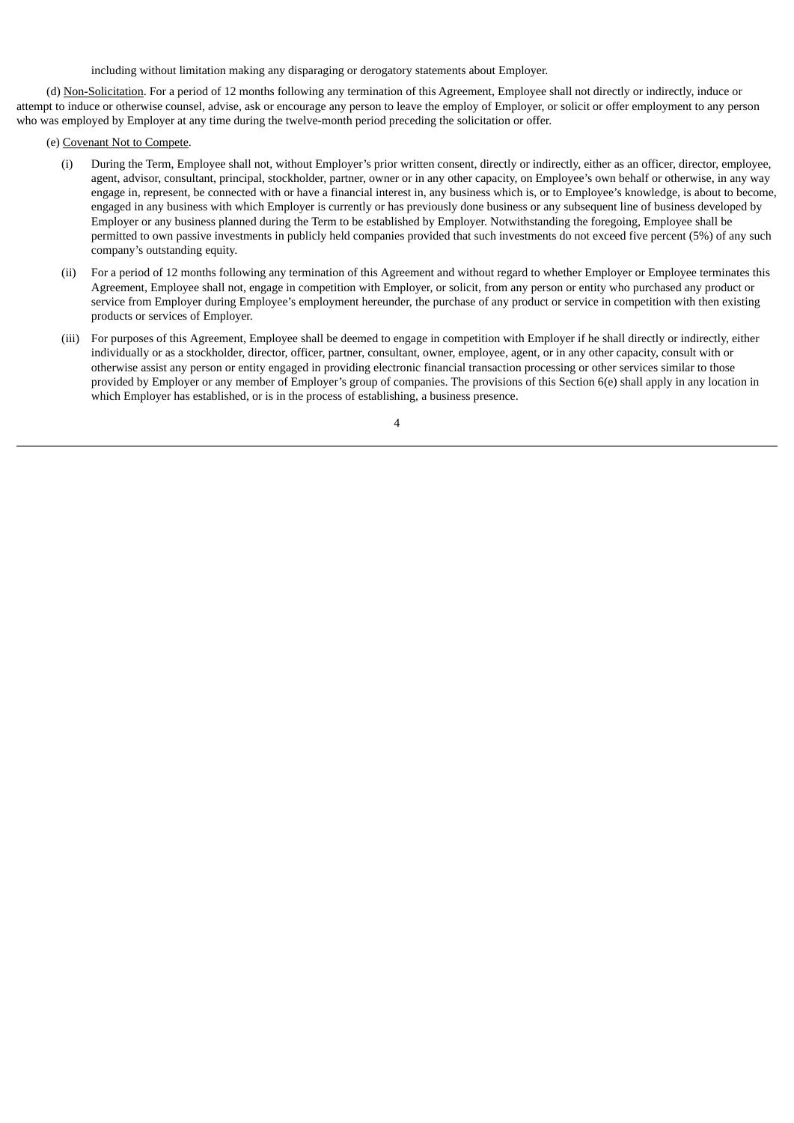including without limitation making any disparaging or derogatory statements about Employer.

(d) Non-Solicitation. For a period of 12 months following any termination of this Agreement, Employee shall not directly or indirectly, induce or attempt to induce or otherwise counsel, advise, ask or encourage any person to leave the employ of Employer, or solicit or offer employment to any person who was employed by Employer at any time during the twelve-month period preceding the solicitation or offer.

(e) Covenant Not to Compete.

- (i) During the Term, Employee shall not, without Employer's prior written consent, directly or indirectly, either as an officer, director, employee, agent, advisor, consultant, principal, stockholder, partner, owner or in any other capacity, on Employee's own behalf or otherwise, in any way engage in, represent, be connected with or have a financial interest in, any business which is, or to Employee's knowledge, is about to become, engaged in any business with which Employer is currently or has previously done business or any subsequent line of business developed by Employer or any business planned during the Term to be established by Employer. Notwithstanding the foregoing, Employee shall be permitted to own passive investments in publicly held companies provided that such investments do not exceed five percent (5%) of any such company's outstanding equity.
- (ii) For a period of 12 months following any termination of this Agreement and without regard to whether Employer or Employee terminates this Agreement, Employee shall not, engage in competition with Employer, or solicit, from any person or entity who purchased any product or service from Employer during Employee's employment hereunder, the purchase of any product or service in competition with then existing products or services of Employer.
- (iii) For purposes of this Agreement, Employee shall be deemed to engage in competition with Employer if he shall directly or indirectly, either individually or as a stockholder, director, officer, partner, consultant, owner, employee, agent, or in any other capacity, consult with or otherwise assist any person or entity engaged in providing electronic financial transaction processing or other services similar to those provided by Employer or any member of Employer's group of companies. The provisions of this Section 6(e) shall apply in any location in which Employer has established, or is in the process of establishing, a business presence.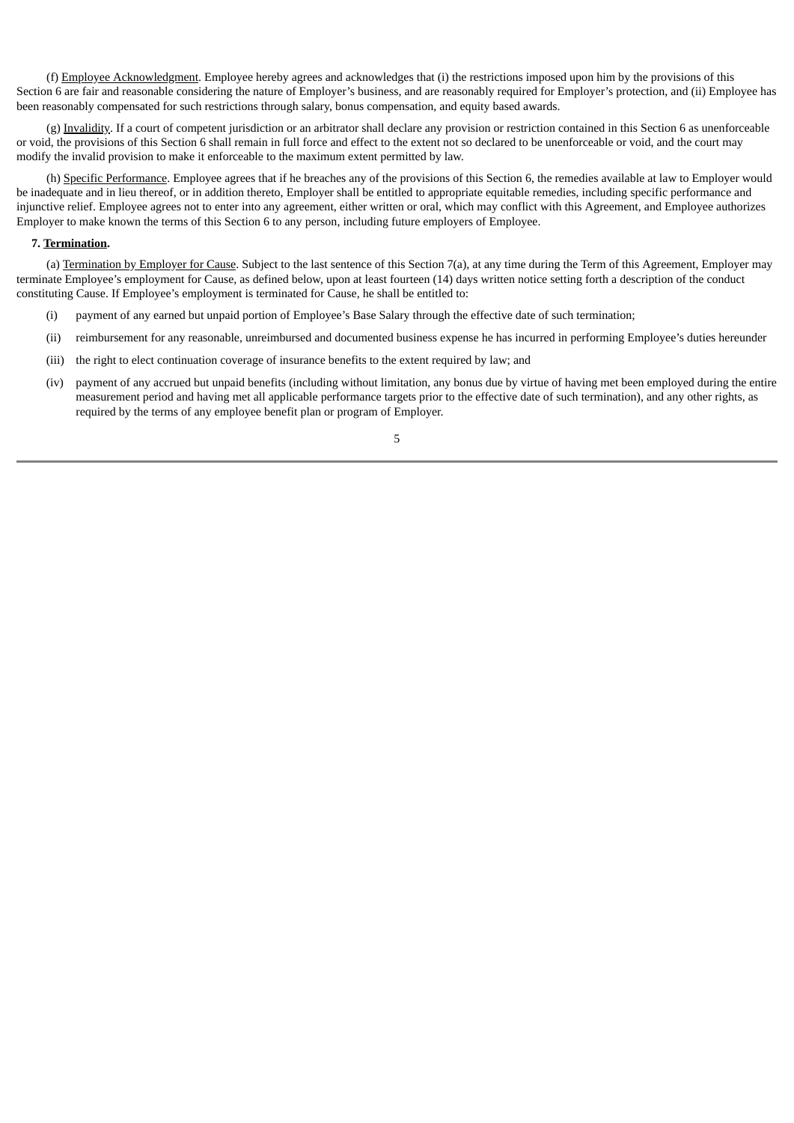(f) Employee Acknowledgment. Employee hereby agrees and acknowledges that (i) the restrictions imposed upon him by the provisions of this Section 6 are fair and reasonable considering the nature of Employer's business, and are reasonably required for Employer's protection, and (ii) Employee has been reasonably compensated for such restrictions through salary, bonus compensation, and equity based awards.

(g) Invalidity. If a court of competent jurisdiction or an arbitrator shall declare any provision or restriction contained in this Section 6 as unenforceable or void, the provisions of this Section 6 shall remain in full force and effect to the extent not so declared to be unenforceable or void, and the court may modify the invalid provision to make it enforceable to the maximum extent permitted by law.

(h) Specific Performance. Employee agrees that if he breaches any of the provisions of this Section 6, the remedies available at law to Employer would be inadequate and in lieu thereof, or in addition thereto, Employer shall be entitled to appropriate equitable remedies, including specific performance and injunctive relief. Employee agrees not to enter into any agreement, either written or oral, which may conflict with this Agreement, and Employee authorizes Employer to make known the terms of this Section 6 to any person, including future employers of Employee.

# **7. Termination.**

(a) Termination by Employer for Cause. Subject to the last sentence of this Section 7(a), at any time during the Term of this Agreement, Employer may terminate Employee's employment for Cause, as defined below, upon at least fourteen (14) days written notice setting forth a description of the conduct constituting Cause. If Employee's employment is terminated for Cause, he shall be entitled to:

- (i) payment of any earned but unpaid portion of Employee's Base Salary through the effective date of such termination;
- (ii) reimbursement for any reasonable, unreimbursed and documented business expense he has incurred in performing Employee's duties hereunder
- (iii) the right to elect continuation coverage of insurance benefits to the extent required by law; and
- (iv) payment of any accrued but unpaid benefits (including without limitation, any bonus due by virtue of having met been employed during the entire measurement period and having met all applicable performance targets prior to the effective date of such termination), and any other rights, as required by the terms of any employee benefit plan or program of Employer.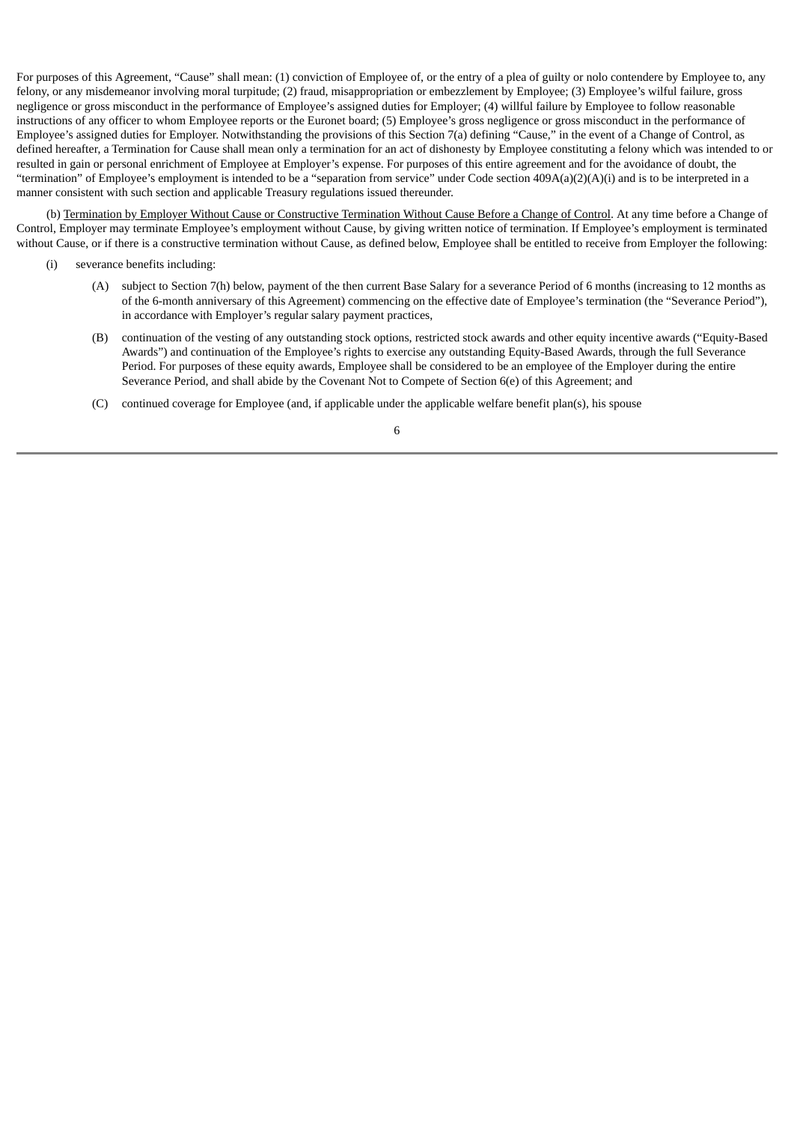For purposes of this Agreement, "Cause" shall mean: (1) conviction of Employee of, or the entry of a plea of guilty or nolo contendere by Employee to, any felony, or any misdemeanor involving moral turpitude; (2) fraud, misappropriation or embezzlement by Employee; (3) Employee's wilful failure, gross negligence or gross misconduct in the performance of Employee's assigned duties for Employer; (4) willful failure by Employee to follow reasonable instructions of any officer to whom Employee reports or the Euronet board; (5) Employee's gross negligence or gross misconduct in the performance of Employee's assigned duties for Employer. Notwithstanding the provisions of this Section 7(a) defining "Cause," in the event of a Change of Control, as defined hereafter, a Termination for Cause shall mean only a termination for an act of dishonesty by Employee constituting a felony which was intended to or resulted in gain or personal enrichment of Employee at Employer's expense. For purposes of this entire agreement and for the avoidance of doubt, the "termination" of Employee's employment is intended to be a "separation from service" under Code section 409A(a)(2)(A)(i) and is to be interpreted in a manner consistent with such section and applicable Treasury regulations issued thereunder.

(b) Termination by Employer Without Cause or Constructive Termination Without Cause Before a Change of Control. At any time before a Change of Control, Employer may terminate Employee's employment without Cause, by giving written notice of termination. If Employee's employment is terminated without Cause, or if there is a constructive termination without Cause, as defined below, Employee shall be entitled to receive from Employer the following:

- severance benefits including:
	- (A) subject to Section 7(h) below, payment of the then current Base Salary for a severance Period of 6 months (increasing to 12 months as of the 6-month anniversary of this Agreement) commencing on the effective date of Employee's termination (the "Severance Period"), in accordance with Employer's regular salary payment practices,
	- (B) continuation of the vesting of any outstanding stock options, restricted stock awards and other equity incentive awards ("Equity-Based Awards") and continuation of the Employee's rights to exercise any outstanding Equity-Based Awards, through the full Severance Period. For purposes of these equity awards, Employee shall be considered to be an employee of the Employer during the entire Severance Period, and shall abide by the Covenant Not to Compete of Section 6(e) of this Agreement; and
	- (C) continued coverage for Employee (and, if applicable under the applicable welfare benefit plan(s), his spouse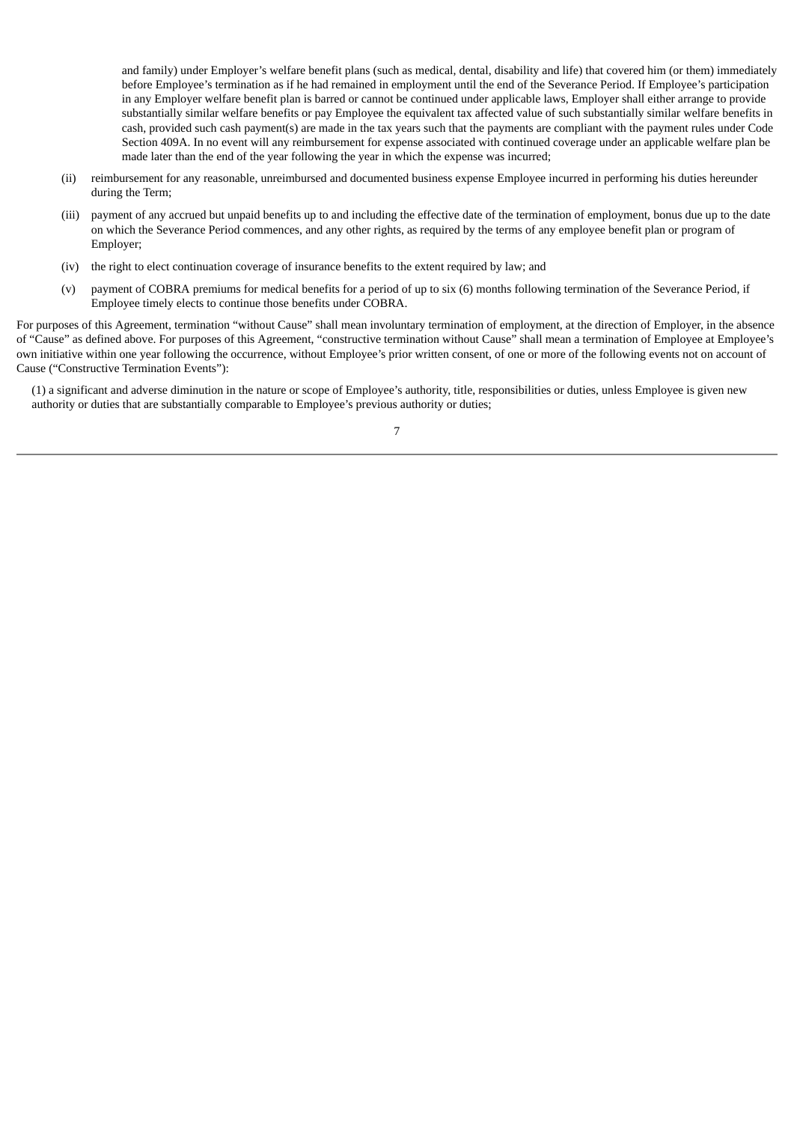and family) under Employer's welfare benefit plans (such as medical, dental, disability and life) that covered him (or them) immediately before Employee's termination as if he had remained in employment until the end of the Severance Period. If Employee's participation in any Employer welfare benefit plan is barred or cannot be continued under applicable laws, Employer shall either arrange to provide substantially similar welfare benefits or pay Employee the equivalent tax affected value of such substantially similar welfare benefits in cash, provided such cash payment(s) are made in the tax years such that the payments are compliant with the payment rules under Code Section 409A. In no event will any reimbursement for expense associated with continued coverage under an applicable welfare plan be made later than the end of the year following the year in which the expense was incurred;

- (ii) reimbursement for any reasonable, unreimbursed and documented business expense Employee incurred in performing his duties hereunder during the Term;
- (iii) payment of any accrued but unpaid benefits up to and including the effective date of the termination of employment, bonus due up to the date on which the Severance Period commences, and any other rights, as required by the terms of any employee benefit plan or program of Employer;
- (iv) the right to elect continuation coverage of insurance benefits to the extent required by law; and
- (v) payment of COBRA premiums for medical benefits for a period of up to six (6) months following termination of the Severance Period, if Employee timely elects to continue those benefits under COBRA.

For purposes of this Agreement, termination "without Cause" shall mean involuntary termination of employment, at the direction of Employer, in the absence of "Cause" as defined above. For purposes of this Agreement, "constructive termination without Cause" shall mean a termination of Employee at Employee's own initiative within one year following the occurrence, without Employee's prior written consent, of one or more of the following events not on account of Cause ("Constructive Termination Events"):

(1) a significant and adverse diminution in the nature or scope of Employee's authority, title, responsibilities or duties, unless Employee is given new authority or duties that are substantially comparable to Employee's previous authority or duties;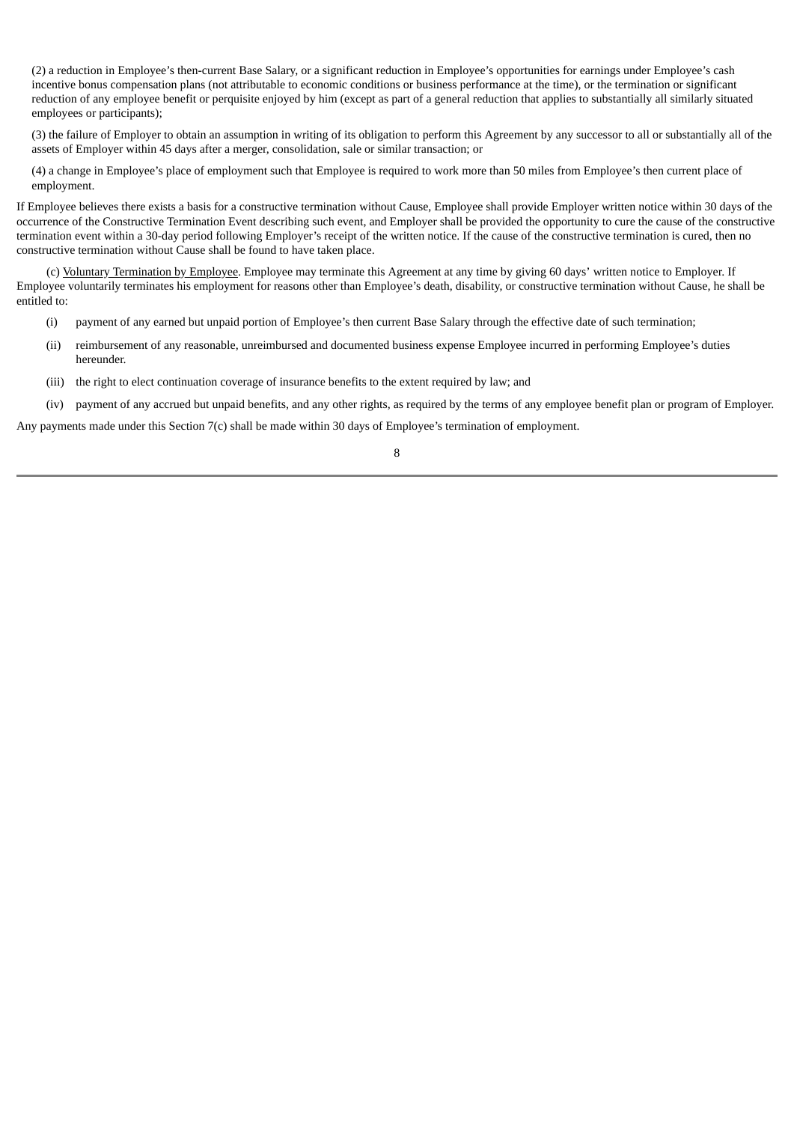(2) a reduction in Employee's then-current Base Salary, or a significant reduction in Employee's opportunities for earnings under Employee's cash incentive bonus compensation plans (not attributable to economic conditions or business performance at the time), or the termination or significant reduction of any employee benefit or perquisite enjoyed by him (except as part of a general reduction that applies to substantially all similarly situated employees or participants);

(3) the failure of Employer to obtain an assumption in writing of its obligation to perform this Agreement by any successor to all or substantially all of the assets of Employer within 45 days after a merger, consolidation, sale or similar transaction; or

(4) a change in Employee's place of employment such that Employee is required to work more than 50 miles from Employee's then current place of employment.

If Employee believes there exists a basis for a constructive termination without Cause, Employee shall provide Employer written notice within 30 days of the occurrence of the Constructive Termination Event describing such event, and Employer shall be provided the opportunity to cure the cause of the constructive termination event within a 30-day period following Employer's receipt of the written notice. If the cause of the constructive termination is cured, then no constructive termination without Cause shall be found to have taken place.

(c) Voluntary Termination by Employee. Employee may terminate this Agreement at any time by giving 60 days' written notice to Employer. If Employee voluntarily terminates his employment for reasons other than Employee's death, disability, or constructive termination without Cause, he shall be entitled to:

- (i) payment of any earned but unpaid portion of Employee's then current Base Salary through the effective date of such termination;
- (ii) reimbursement of any reasonable, unreimbursed and documented business expense Employee incurred in performing Employee's duties hereunder.
- (iii) the right to elect continuation coverage of insurance benefits to the extent required by law; and
- (iv) payment of any accrued but unpaid benefits, and any other rights, as required by the terms of any employee benefit plan or program of Employer.

Any payments made under this Section 7(c) shall be made within 30 days of Employee's termination of employment.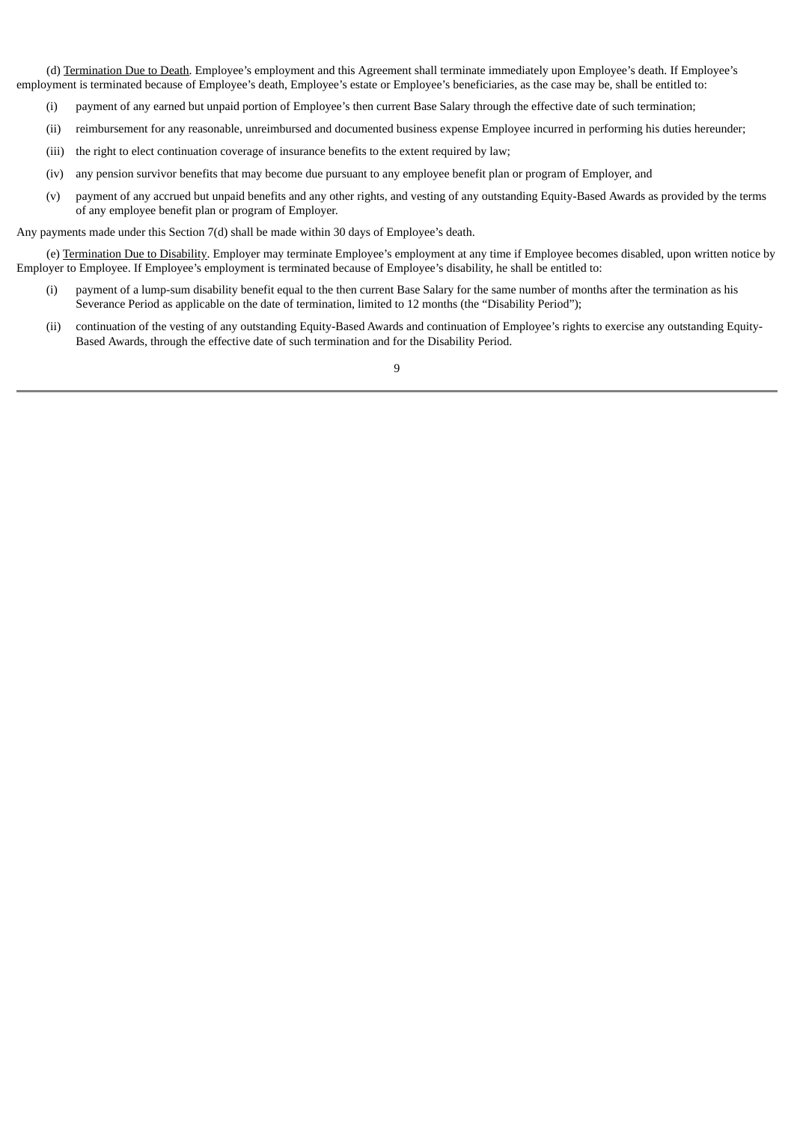(d) Termination Due to Death. Employee's employment and this Agreement shall terminate immediately upon Employee's death. If Employee's employment is terminated because of Employee's death, Employee's estate or Employee's beneficiaries, as the case may be, shall be entitled to:

- (i) payment of any earned but unpaid portion of Employee's then current Base Salary through the effective date of such termination;
- (ii) reimbursement for any reasonable, unreimbursed and documented business expense Employee incurred in performing his duties hereunder;
- (iii) the right to elect continuation coverage of insurance benefits to the extent required by law;
- (iv) any pension survivor benefits that may become due pursuant to any employee benefit plan or program of Employer, and
- (v) payment of any accrued but unpaid benefits and any other rights, and vesting of any outstanding Equity-Based Awards as provided by the terms of any employee benefit plan or program of Employer.

Any payments made under this Section 7(d) shall be made within 30 days of Employee's death.

(e) Termination Due to Disability. Employer may terminate Employee's employment at any time if Employee becomes disabled, upon written notice by Employer to Employee. If Employee's employment is terminated because of Employee's disability, he shall be entitled to:

- (i) payment of a lump-sum disability benefit equal to the then current Base Salary for the same number of months after the termination as his Severance Period as applicable on the date of termination, limited to 12 months (the "Disability Period");
- (ii) continuation of the vesting of any outstanding Equity-Based Awards and continuation of Employee's rights to exercise any outstanding Equity-Based Awards, through the effective date of such termination and for the Disability Period.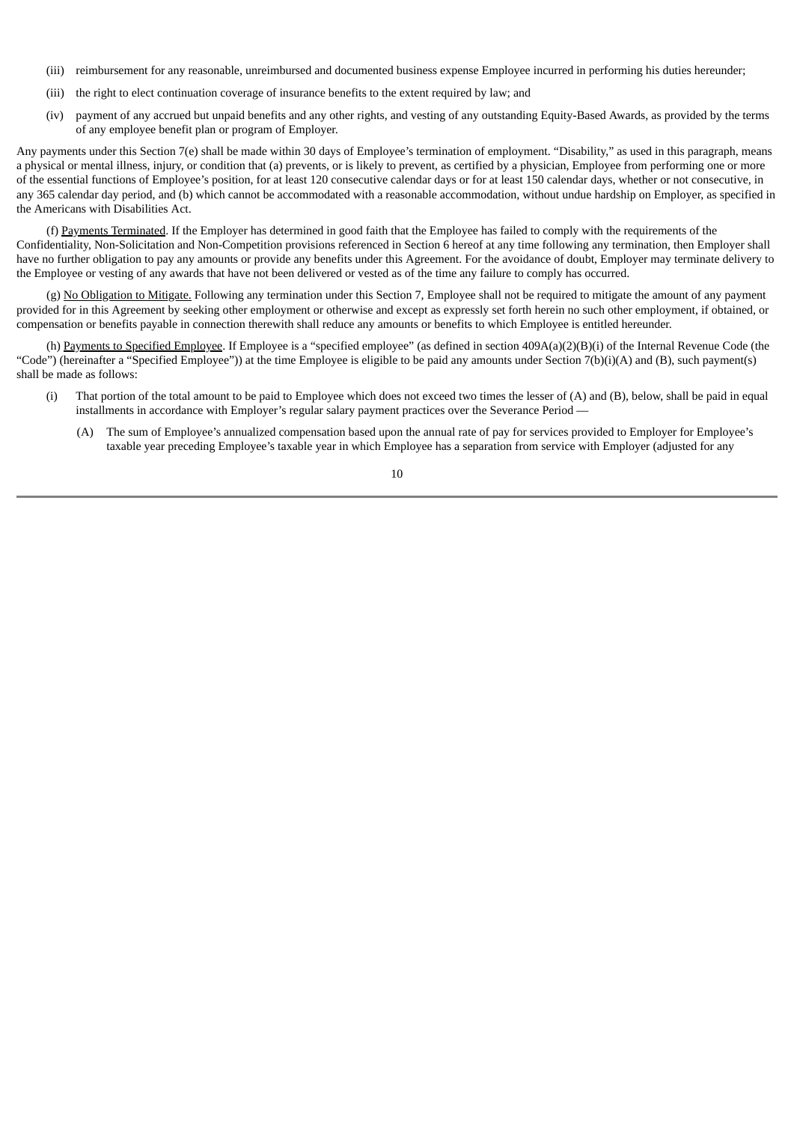- (iii) reimbursement for any reasonable, unreimbursed and documented business expense Employee incurred in performing his duties hereunder;
- (iii) the right to elect continuation coverage of insurance benefits to the extent required by law; and
- (iv) payment of any accrued but unpaid benefits and any other rights, and vesting of any outstanding Equity-Based Awards, as provided by the terms of any employee benefit plan or program of Employer.

Any payments under this Section 7(e) shall be made within 30 days of Employee's termination of employment. "Disability," as used in this paragraph, means a physical or mental illness, injury, or condition that (a) prevents, or is likely to prevent, as certified by a physician, Employee from performing one or more of the essential functions of Employee's position, for at least 120 consecutive calendar days or for at least 150 calendar days, whether or not consecutive, in any 365 calendar day period, and (b) which cannot be accommodated with a reasonable accommodation, without undue hardship on Employer, as specified in the Americans with Disabilities Act.

(f) Payments Terminated. If the Employer has determined in good faith that the Employee has failed to comply with the requirements of the Confidentiality, Non-Solicitation and Non-Competition provisions referenced in Section 6 hereof at any time following any termination, then Employer shall have no further obligation to pay any amounts or provide any benefits under this Agreement. For the avoidance of doubt, Employer may terminate delivery to the Employee or vesting of any awards that have not been delivered or vested as of the time any failure to comply has occurred.

(g) No Obligation to Mitigate. Following any termination under this Section 7, Employee shall not be required to mitigate the amount of any payment provided for in this Agreement by seeking other employment or otherwise and except as expressly set forth herein no such other employment, if obtained, or compensation or benefits payable in connection therewith shall reduce any amounts or benefits to which Employee is entitled hereunder.

(h) Payments to Specified Employee. If Employee is a "specified employee" (as defined in section 409A(a)(2)(B)(i) of the Internal Revenue Code (the "Code") (hereinafter a "Specified Employee")) at the time Employee is eligible to be paid any amounts under Section  $7(b)(i)(A)$  and  $(B)$ , such payment(s) shall be made as follows:

- (i) That portion of the total amount to be paid to Employee which does not exceed two times the lesser of (A) and (B), below, shall be paid in equal installments in accordance with Employer's regular salary payment practices over the Severance Period —
	- (A) The sum of Employee's annualized compensation based upon the annual rate of pay for services provided to Employer for Employee's taxable year preceding Employee's taxable year in which Employee has a separation from service with Employer (adjusted for any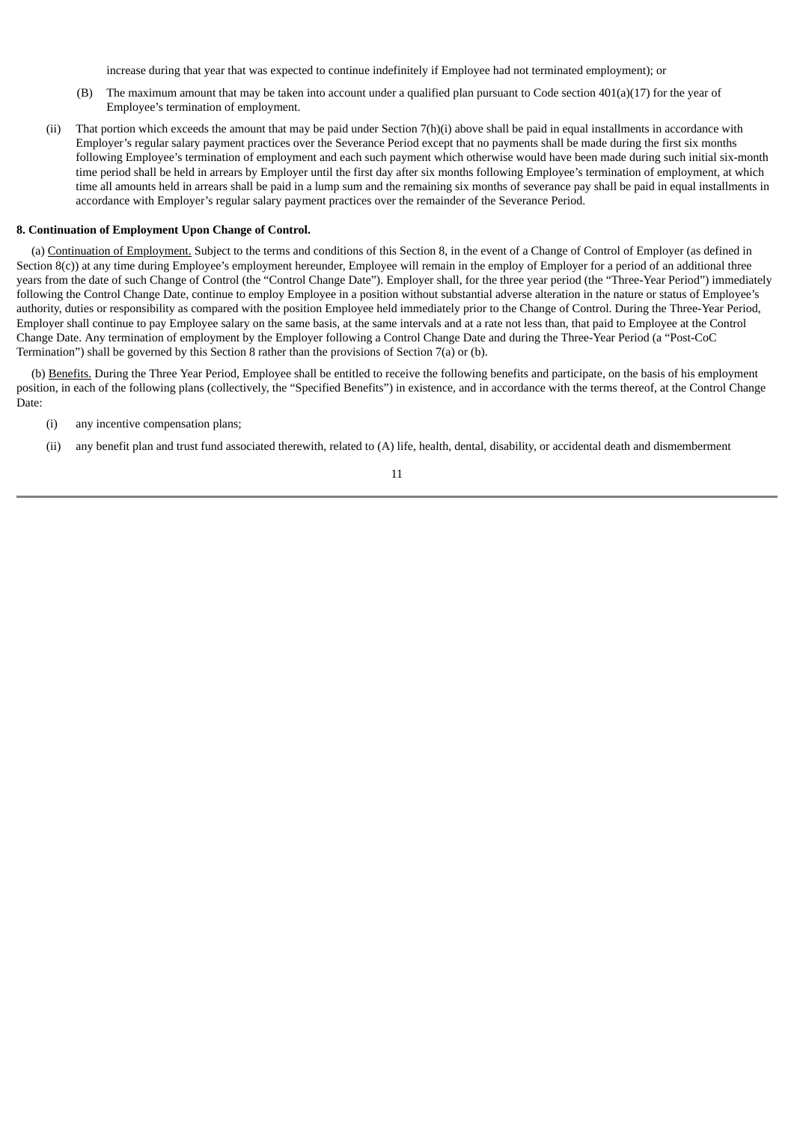increase during that year that was expected to continue indefinitely if Employee had not terminated employment); or

- (B) The maximum amount that may be taken into account under a qualified plan pursuant to Code section  $401(a)(17)$  for the year of Employee's termination of employment.
- (ii) That portion which exceeds the amount that may be paid under Section 7(h)(i) above shall be paid in equal installments in accordance with Employer's regular salary payment practices over the Severance Period except that no payments shall be made during the first six months following Employee's termination of employment and each such payment which otherwise would have been made during such initial six-month time period shall be held in arrears by Employer until the first day after six months following Employee's termination of employment, at which time all amounts held in arrears shall be paid in a lump sum and the remaining six months of severance pay shall be paid in equal installments in accordance with Employer's regular salary payment practices over the remainder of the Severance Period.

#### **8. Continuation of Employment Upon Change of Control.**

(a) Continuation of Employment. Subject to the terms and conditions of this Section 8, in the event of a Change of Control of Employer (as defined in Section  $8(c)$ ) at any time during Employee's employment hereunder, Employee will remain in the employ of Employer for a period of an additional three years from the date of such Change of Control (the "Control Change Date"). Employer shall, for the three year period (the "Three-Year Period") immediately following the Control Change Date, continue to employ Employee in a position without substantial adverse alteration in the nature or status of Employee's authority, duties or responsibility as compared with the position Employee held immediately prior to the Change of Control. During the Three-Year Period, Employer shall continue to pay Employee salary on the same basis, at the same intervals and at a rate not less than, that paid to Employee at the Control Change Date. Any termination of employment by the Employer following a Control Change Date and during the Three-Year Period (a "Post-CoC Termination") shall be governed by this Section 8 rather than the provisions of Section 7(a) or (b).

(b) Benefits. During the Three Year Period, Employee shall be entitled to receive the following benefits and participate, on the basis of his employment position, in each of the following plans (collectively, the "Specified Benefits") in existence, and in accordance with the terms thereof, at the Control Change Date:

- (i) any incentive compensation plans;
- (ii) any benefit plan and trust fund associated therewith, related to (A) life, health, dental, disability, or accidental death and dismemberment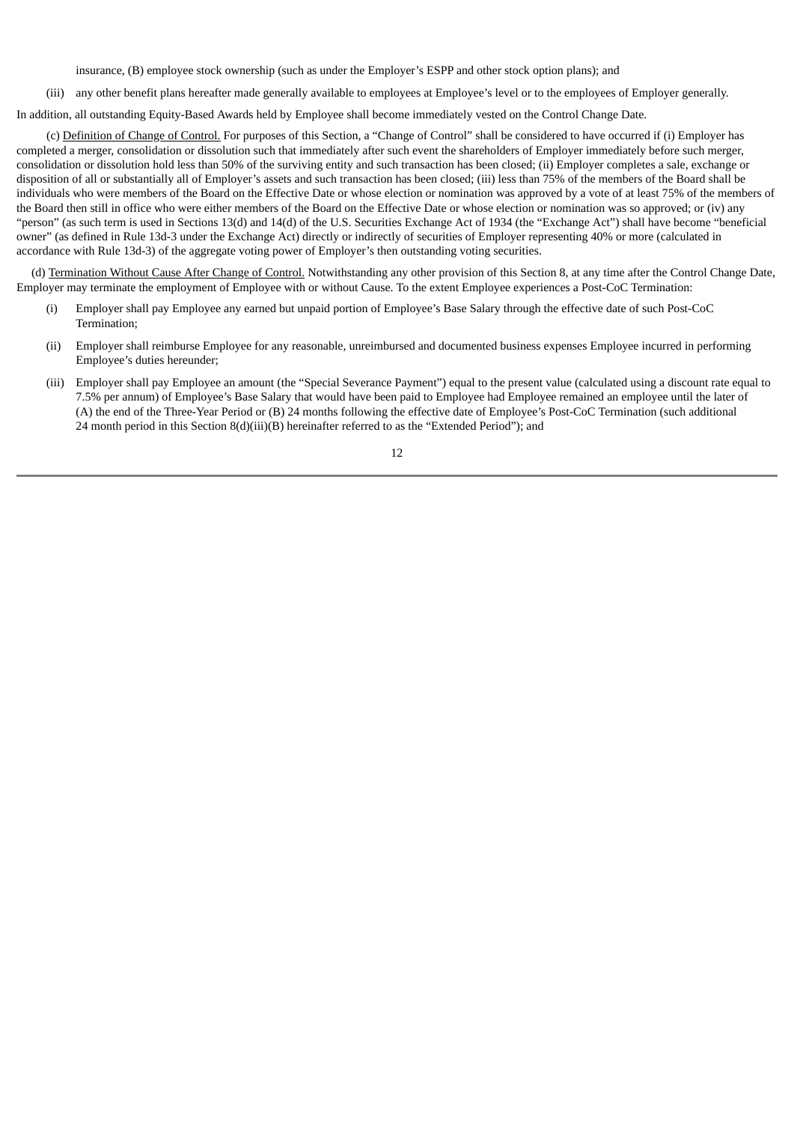insurance, (B) employee stock ownership (such as under the Employer's ESPP and other stock option plans); and

(iii) any other benefit plans hereafter made generally available to employees at Employee's level or to the employees of Employer generally.

In addition, all outstanding Equity-Based Awards held by Employee shall become immediately vested on the Control Change Date.

(c) Definition of Change of Control. For purposes of this Section, a "Change of Control" shall be considered to have occurred if (i) Employer has completed a merger, consolidation or dissolution such that immediately after such event the shareholders of Employer immediately before such merger, consolidation or dissolution hold less than 50% of the surviving entity and such transaction has been closed; (ii) Employer completes a sale, exchange or disposition of all or substantially all of Employer's assets and such transaction has been closed; (iii) less than 75% of the members of the Board shall be individuals who were members of the Board on the Effective Date or whose election or nomination was approved by a vote of at least 75% of the members of the Board then still in office who were either members of the Board on the Effective Date or whose election or nomination was so approved; or (iv) any "person" (as such term is used in Sections 13(d) and 14(d) of the U.S. Securities Exchange Act of 1934 (the "Exchange Act") shall have become "beneficial owner" (as defined in Rule 13d-3 under the Exchange Act) directly or indirectly of securities of Employer representing 40% or more (calculated in accordance with Rule 13d-3) of the aggregate voting power of Employer's then outstanding voting securities.

(d) Termination Without Cause After Change of Control. Notwithstanding any other provision of this Section 8, at any time after the Control Change Date, Employer may terminate the employment of Employee with or without Cause. To the extent Employee experiences a Post-CoC Termination:

- (i) Employer shall pay Employee any earned but unpaid portion of Employee's Base Salary through the effective date of such Post-CoC Termination;
- (ii) Employer shall reimburse Employee for any reasonable, unreimbursed and documented business expenses Employee incurred in performing Employee's duties hereunder;
- (iii) Employer shall pay Employee an amount (the "Special Severance Payment") equal to the present value (calculated using a discount rate equal to 7.5% per annum) of Employee's Base Salary that would have been paid to Employee had Employee remained an employee until the later of (A) the end of the Three-Year Period or (B) 24 months following the effective date of Employee's Post-CoC Termination (such additional 24 month period in this Section 8(d)(iii)(B) hereinafter referred to as the "Extended Period"); and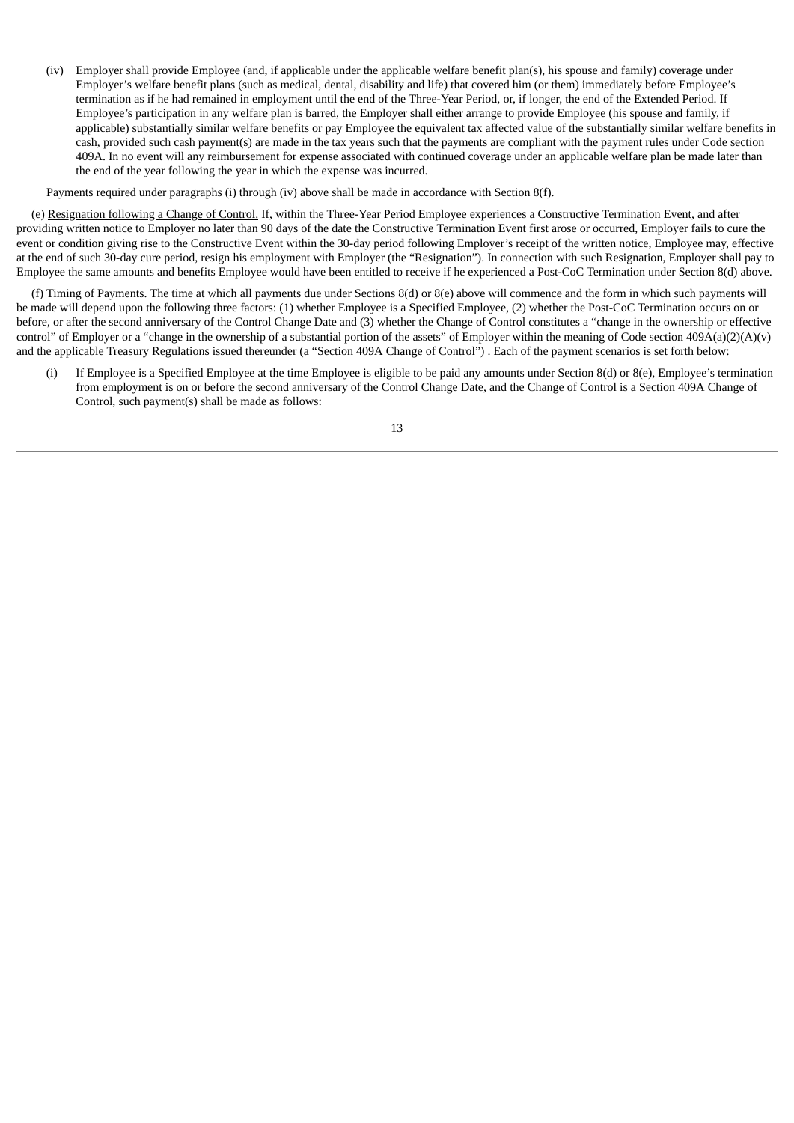(iv) Employer shall provide Employee (and, if applicable under the applicable welfare benefit plan(s), his spouse and family) coverage under Employer's welfare benefit plans (such as medical, dental, disability and life) that covered him (or them) immediately before Employee's termination as if he had remained in employment until the end of the Three-Year Period, or, if longer, the end of the Extended Period. If Employee's participation in any welfare plan is barred, the Employer shall either arrange to provide Employee (his spouse and family, if applicable) substantially similar welfare benefits or pay Employee the equivalent tax affected value of the substantially similar welfare benefits in cash, provided such cash payment(s) are made in the tax years such that the payments are compliant with the payment rules under Code section 409A. In no event will any reimbursement for expense associated with continued coverage under an applicable welfare plan be made later than the end of the year following the year in which the expense was incurred.

Payments required under paragraphs (i) through (iv) above shall be made in accordance with Section 8(f).

(e) Resignation following a Change of Control. If, within the Three-Year Period Employee experiences a Constructive Termination Event, and after providing written notice to Employer no later than 90 days of the date the Constructive Termination Event first arose or occurred, Employer fails to cure the event or condition giving rise to the Constructive Event within the 30-day period following Employer's receipt of the written notice, Employee may, effective at the end of such 30-day cure period, resign his employment with Employer (the "Resignation"). In connection with such Resignation, Employer shall pay to Employee the same amounts and benefits Employee would have been entitled to receive if he experienced a Post-CoC Termination under Section 8(d) above.

(f) Timing of Payments. The time at which all payments due under Sections  $8(d)$  or  $8(e)$  above will commence and the form in which such payments will be made will depend upon the following three factors: (1) whether Employee is a Specified Employee, (2) whether the Post-CoC Termination occurs on or before, or after the second anniversary of the Control Change Date and (3) whether the Change of Control constitutes a "change in the ownership or effective control" of Employer or a "change in the ownership of a substantial portion of the assets" of Employer within the meaning of Code section 409A(a)(2)(A)(v) and the applicable Treasury Regulations issued thereunder (a "Section 409A Change of Control") . Each of the payment scenarios is set forth below:

If Employee is a Specified Employee at the time Employee is eligible to be paid any amounts under Section 8(d) or 8(e), Employee's termination from employment is on or before the second anniversary of the Control Change Date, and the Change of Control is a Section 409A Change of Control, such payment(s) shall be made as follows: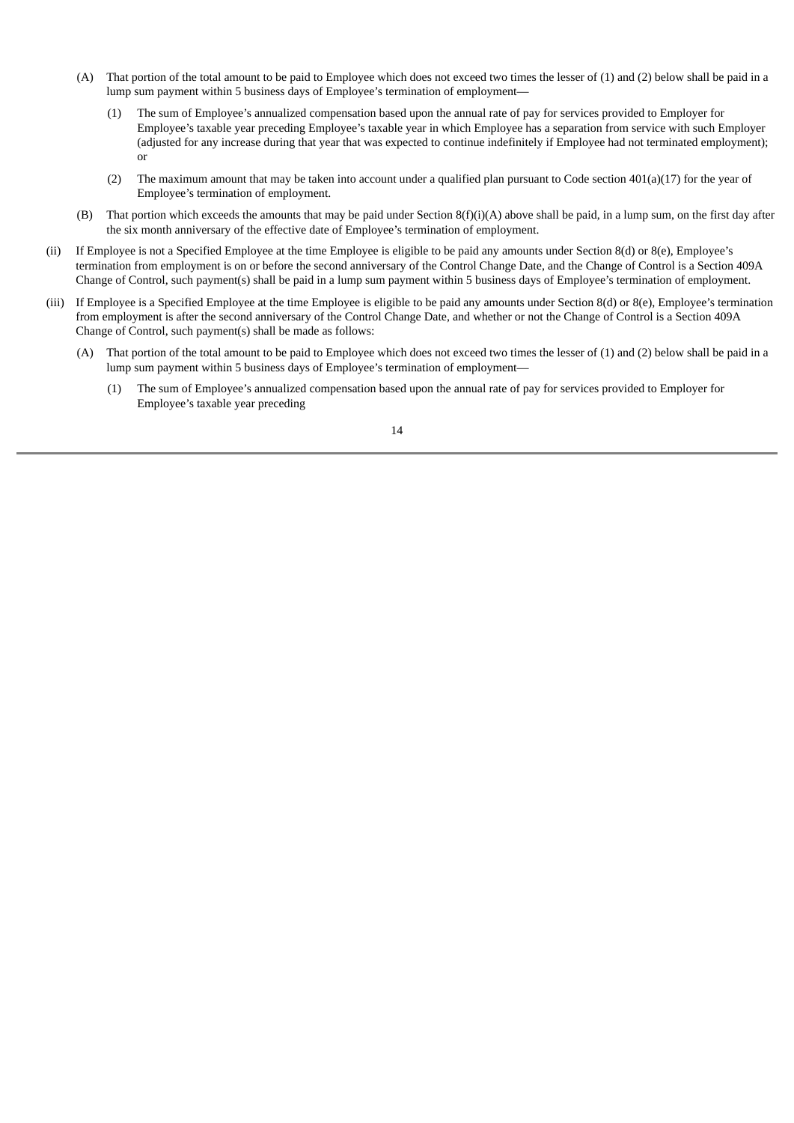- (A) That portion of the total amount to be paid to Employee which does not exceed two times the lesser of (1) and (2) below shall be paid in a lump sum payment within 5 business days of Employee's termination of employment—
	- (1) The sum of Employee's annualized compensation based upon the annual rate of pay for services provided to Employer for Employee's taxable year preceding Employee's taxable year in which Employee has a separation from service with such Employer (adjusted for any increase during that year that was expected to continue indefinitely if Employee had not terminated employment); or
	- (2) The maximum amount that may be taken into account under a qualified plan pursuant to Code section  $401(a)(17)$  for the year of Employee's termination of employment.
- (B) That portion which exceeds the amounts that may be paid under Section  $8(f)(i)(A)$  above shall be paid, in a lump sum, on the first day after the six month anniversary of the effective date of Employee's termination of employment.
- (ii) If Employee is not a Specified Employee at the time Employee is eligible to be paid any amounts under Section 8(d) or 8(e), Employee's termination from employment is on or before the second anniversary of the Control Change Date, and the Change of Control is a Section 409A Change of Control, such payment(s) shall be paid in a lump sum payment within 5 business days of Employee's termination of employment.
- (iii) If Employee is a Specified Employee at the time Employee is eligible to be paid any amounts under Section 8(d) or 8(e), Employee's termination from employment is after the second anniversary of the Control Change Date, and whether or not the Change of Control is a Section 409A Change of Control, such payment(s) shall be made as follows:
	- (A) That portion of the total amount to be paid to Employee which does not exceed two times the lesser of (1) and (2) below shall be paid in a lump sum payment within 5 business days of Employee's termination of employment—
		- (1) The sum of Employee's annualized compensation based upon the annual rate of pay for services provided to Employer for Employee's taxable year preceding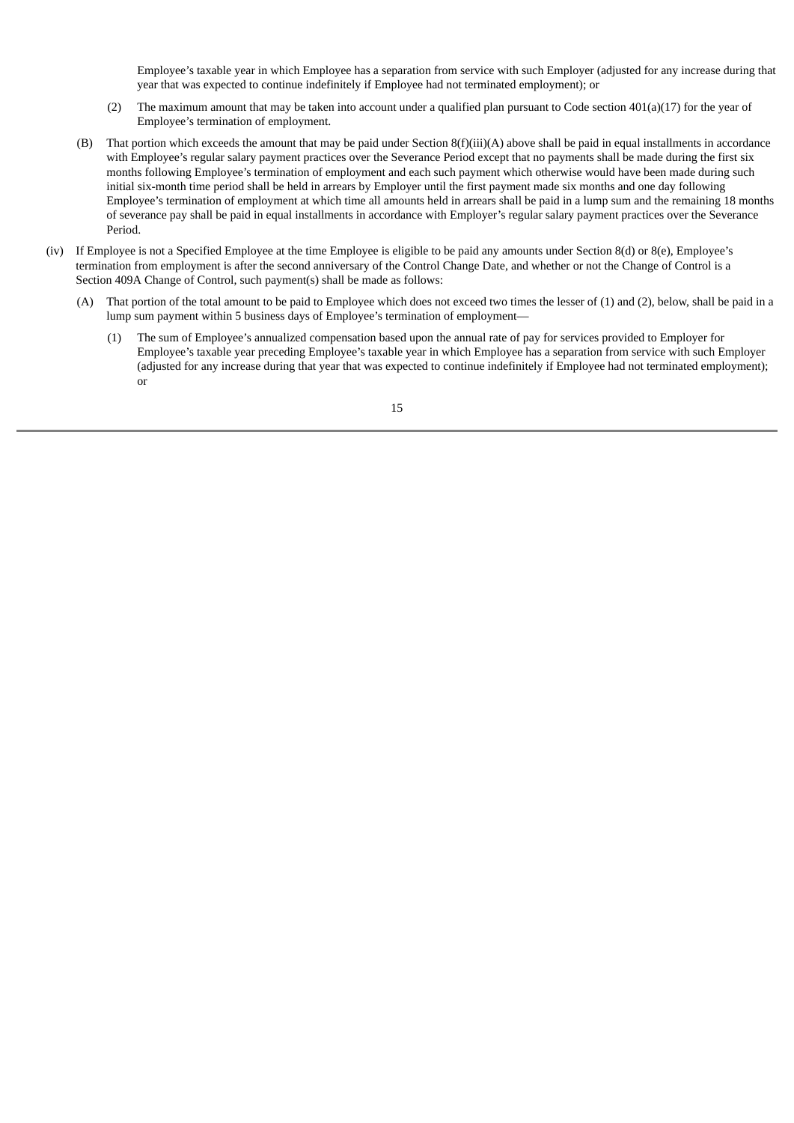Employee's taxable year in which Employee has a separation from service with such Employer (adjusted for any increase during that year that was expected to continue indefinitely if Employee had not terminated employment); or

- (2) The maximum amount that may be taken into account under a qualified plan pursuant to Code section  $401(a)(17)$  for the year of Employee's termination of employment.
- (B) That portion which exceeds the amount that may be paid under Section 8(f)(iii)(A) above shall be paid in equal installments in accordance with Employee's regular salary payment practices over the Severance Period except that no payments shall be made during the first six months following Employee's termination of employment and each such payment which otherwise would have been made during such initial six-month time period shall be held in arrears by Employer until the first payment made six months and one day following Employee's termination of employment at which time all amounts held in arrears shall be paid in a lump sum and the remaining 18 months of severance pay shall be paid in equal installments in accordance with Employer's regular salary payment practices over the Severance Period.
- (iv) If Employee is not a Specified Employee at the time Employee is eligible to be paid any amounts under Section 8(d) or 8(e), Employee's termination from employment is after the second anniversary of the Control Change Date, and whether or not the Change of Control is a Section 409A Change of Control, such payment(s) shall be made as follows:
	- (A) That portion of the total amount to be paid to Employee which does not exceed two times the lesser of (1) and (2), below, shall be paid in a lump sum payment within 5 business days of Employee's termination of employment—
		- (1) The sum of Employee's annualized compensation based upon the annual rate of pay for services provided to Employer for Employee's taxable year preceding Employee's taxable year in which Employee has a separation from service with such Employer (adjusted for any increase during that year that was expected to continue indefinitely if Employee had not terminated employment); or
			- 15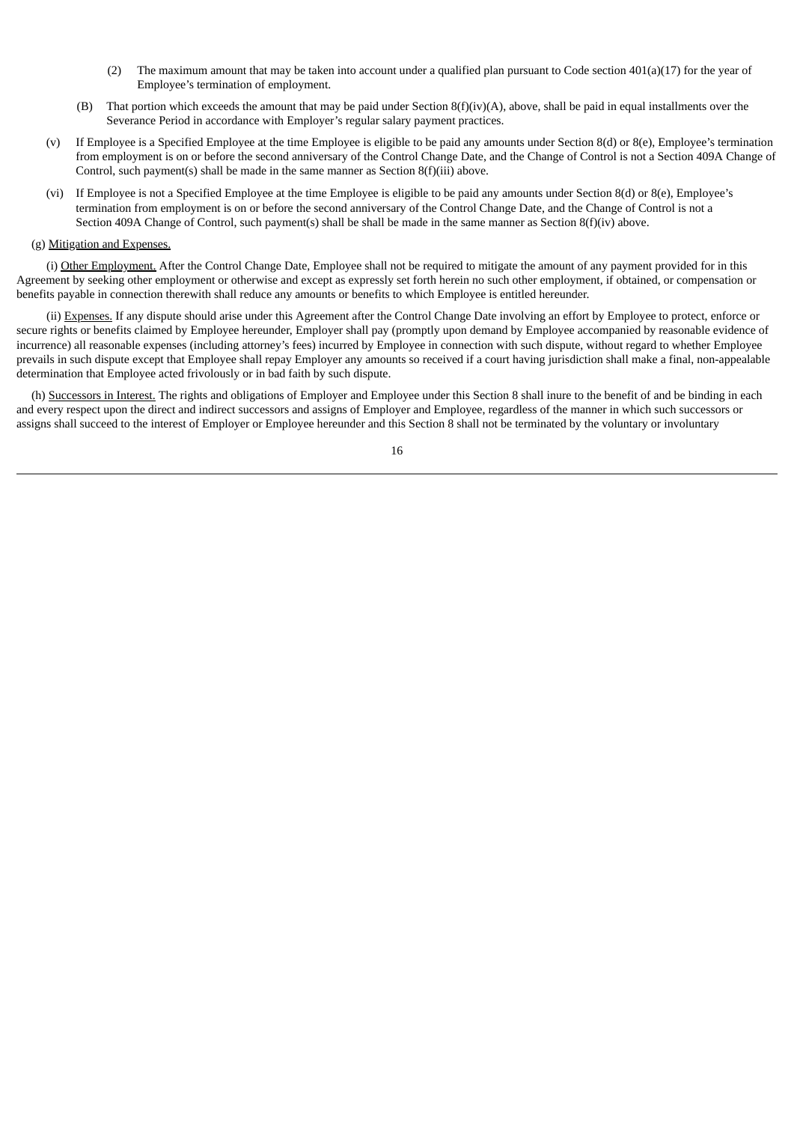- (2) The maximum amount that may be taken into account under a qualified plan pursuant to Code section  $401(a)(17)$  for the year of Employee's termination of employment.
- (B) That portion which exceeds the amount that may be paid under Section  $8(f)(iv)(A)$ , above, shall be paid in equal installments over the Severance Period in accordance with Employer's regular salary payment practices.
- (v) If Employee is a Specified Employee at the time Employee is eligible to be paid any amounts under Section 8(d) or 8(e), Employee's termination from employment is on or before the second anniversary of the Control Change Date, and the Change of Control is not a Section 409A Change of Control, such payment(s) shall be made in the same manner as Section 8(f)(iii) above.
- (vi) If Employee is not a Specified Employee at the time Employee is eligible to be paid any amounts under Section 8(d) or 8(e), Employee's termination from employment is on or before the second anniversary of the Control Change Date, and the Change of Control is not a Section 409A Change of Control, such payment(s) shall be shall be made in the same manner as Section 8(f)(iv) above.

# (g) Mitigation and Expenses.

(i) Other Employment. After the Control Change Date, Employee shall not be required to mitigate the amount of any payment provided for in this Agreement by seeking other employment or otherwise and except as expressly set forth herein no such other employment, if obtained, or compensation or benefits payable in connection therewith shall reduce any amounts or benefits to which Employee is entitled hereunder.

(ii) Expenses. If any dispute should arise under this Agreement after the Control Change Date involving an effort by Employee to protect, enforce or secure rights or benefits claimed by Employee hereunder, Employer shall pay (promptly upon demand by Employee accompanied by reasonable evidence of incurrence) all reasonable expenses (including attorney's fees) incurred by Employee in connection with such dispute, without regard to whether Employee prevails in such dispute except that Employee shall repay Employer any amounts so received if a court having jurisdiction shall make a final, non-appealable determination that Employee acted frivolously or in bad faith by such dispute.

(h) Successors in Interest. The rights and obligations of Employer and Employee under this Section 8 shall inure to the benefit of and be binding in each and every respect upon the direct and indirect successors and assigns of Employer and Employee, regardless of the manner in which such successors or assigns shall succeed to the interest of Employer or Employee hereunder and this Section 8 shall not be terminated by the voluntary or involuntary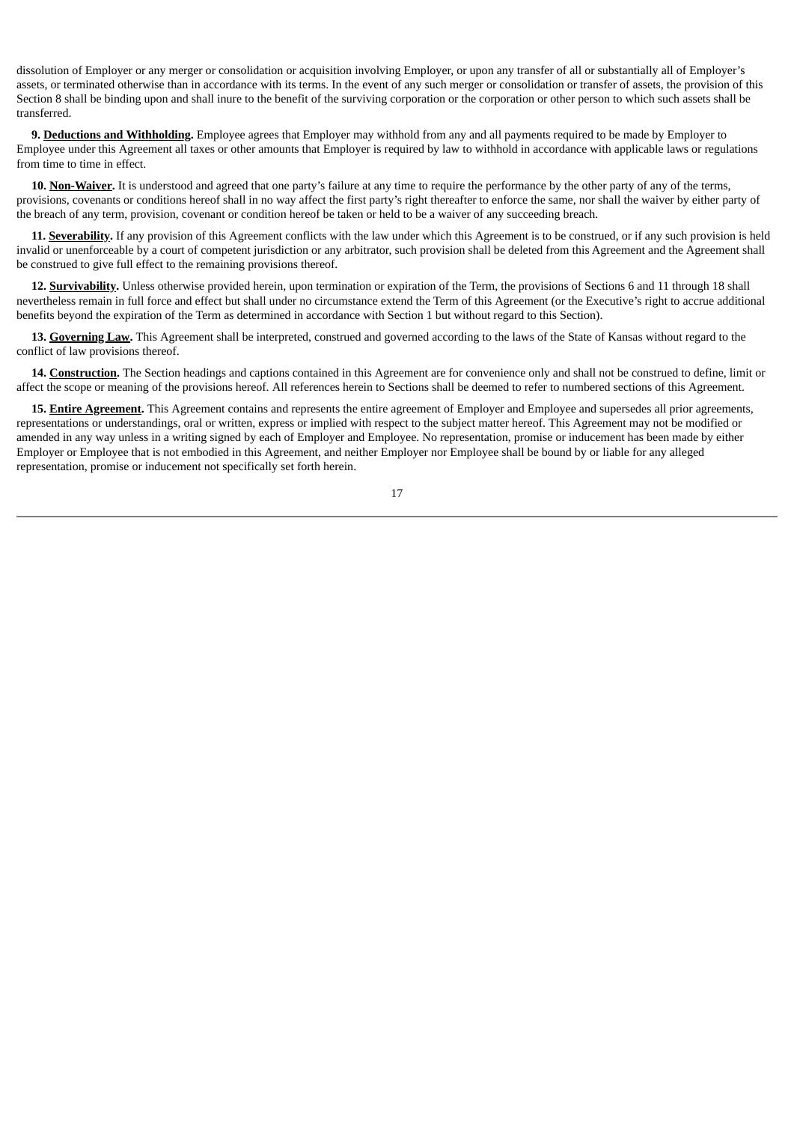dissolution of Employer or any merger or consolidation or acquisition involving Employer, or upon any transfer of all or substantially all of Employer's assets, or terminated otherwise than in accordance with its terms. In the event of any such merger or consolidation or transfer of assets, the provision of this Section 8 shall be binding upon and shall inure to the benefit of the surviving corporation or the corporation or other person to which such assets shall be transferred.

**9. Deductions and Withholding.** Employee agrees that Employer may withhold from any and all payments required to be made by Employer to Employee under this Agreement all taxes or other amounts that Employer is required by law to withhold in accordance with applicable laws or regulations from time to time in effect.

**10. Non-Waiver.** It is understood and agreed that one party's failure at any time to require the performance by the other party of any of the terms, provisions, covenants or conditions hereof shall in no way affect the first party's right thereafter to enforce the same, nor shall the waiver by either party of the breach of any term, provision, covenant or condition hereof be taken or held to be a waiver of any succeeding breach.

**11. Severability.** If any provision of this Agreement conflicts with the law under which this Agreement is to be construed, or if any such provision is held invalid or unenforceable by a court of competent jurisdiction or any arbitrator, such provision shall be deleted from this Agreement and the Agreement shall be construed to give full effect to the remaining provisions thereof.

**12. Survivability.** Unless otherwise provided herein, upon termination or expiration of the Term, the provisions of Sections 6 and 11 through 18 shall nevertheless remain in full force and effect but shall under no circumstance extend the Term of this Agreement (or the Executive's right to accrue additional benefits beyond the expiration of the Term as determined in accordance with Section 1 but without regard to this Section).

**13. Governing Law.** This Agreement shall be interpreted, construed and governed according to the laws of the State of Kansas without regard to the conflict of law provisions thereof.

**14. Construction.** The Section headings and captions contained in this Agreement are for convenience only and shall not be construed to define, limit or affect the scope or meaning of the provisions hereof. All references herein to Sections shall be deemed to refer to numbered sections of this Agreement.

**15. Entire Agreement.** This Agreement contains and represents the entire agreement of Employer and Employee and supersedes all prior agreements, representations or understandings, oral or written, express or implied with respect to the subject matter hereof. This Agreement may not be modified or amended in any way unless in a writing signed by each of Employer and Employee. No representation, promise or inducement has been made by either Employer or Employee that is not embodied in this Agreement, and neither Employer nor Employee shall be bound by or liable for any alleged representation, promise or inducement not specifically set forth herein.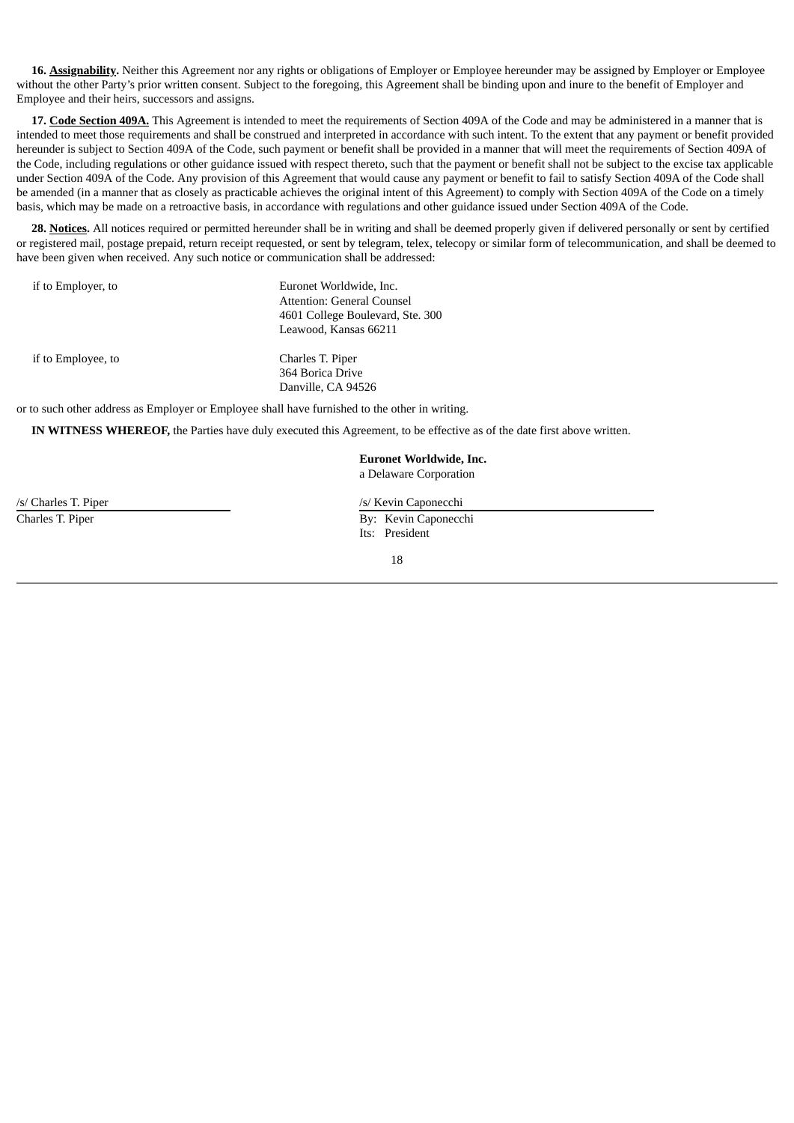**16. Assignability.** Neither this Agreement nor any rights or obligations of Employer or Employee hereunder may be assigned by Employer or Employee without the other Party's prior written consent. Subject to the foregoing, this Agreement shall be binding upon and inure to the benefit of Employer and Employee and their heirs, successors and assigns.

**17. Code Section 409A.** This Agreement is intended to meet the requirements of Section 409A of the Code and may be administered in a manner that is intended to meet those requirements and shall be construed and interpreted in accordance with such intent. To the extent that any payment or benefit provided hereunder is subject to Section 409A of the Code, such payment or benefit shall be provided in a manner that will meet the requirements of Section 409A of the Code, including regulations or other guidance issued with respect thereto, such that the payment or benefit shall not be subject to the excise tax applicable under Section 409A of the Code. Any provision of this Agreement that would cause any payment or benefit to fail to satisfy Section 409A of the Code shall be amended (in a manner that as closely as practicable achieves the original intent of this Agreement) to comply with Section 409A of the Code on a timely basis, which may be made on a retroactive basis, in accordance with regulations and other guidance issued under Section 409A of the Code.

**28. Notices.** All notices required or permitted hereunder shall be in writing and shall be deemed properly given if delivered personally or sent by certified or registered mail, postage prepaid, return receipt requested, or sent by telegram, telex, telecopy or similar form of telecommunication, and shall be deemed to have been given when received. Any such notice or communication shall be addressed:

| if to Employer, to | Euronet Worldwide, Inc.<br><b>Attention: General Counsel</b><br>4601 College Boulevard, Ste. 300<br>Leawood, Kansas 66211 |
|--------------------|---------------------------------------------------------------------------------------------------------------------------|
| if to Employee, to | Charles T. Piper<br>364 Borica Drive<br>Danville, CA 94526                                                                |

or to such other address as Employer or Employee shall have furnished to the other in writing.

**IN WITNESS WHEREOF,** the Parties have duly executed this Agreement, to be effective as of the date first above written.

a Delaware Corporation

**Euronet Worldwide, Inc.**

/s/ Charles T. Piper /s/ Charles T. Piper

Charles T. Piper By: Kevin Caponecchi Its: President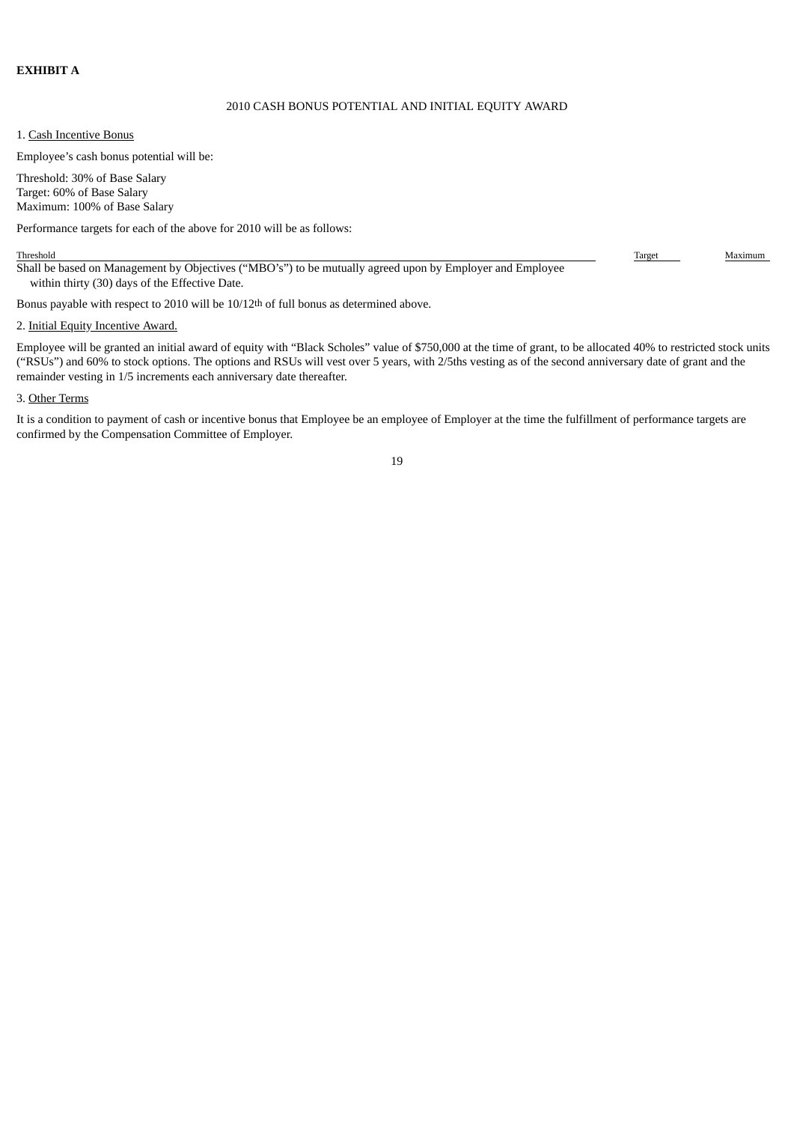#### 2010 CASH BONUS POTENTIAL AND INITIAL EQUITY AWARD

1. Cash Incentive Bonus

Employee's cash bonus potential will be:

Threshold: 30% of Base Salary Target: 60% of Base Salary Maximum: 100% of Base Salary

Performance targets for each of the above for 2010 will be as follows:

Threshold Target Maximum

Shall be based on Management by Objectives ("MBO's") to be mutually agreed upon by Employer and Employee within thirty (30) days of the Effective Date.

Bonus payable with respect to 2010 will be 10/12th of full bonus as determined above.

## 2. Initial Equity Incentive Award.

Employee will be granted an initial award of equity with "Black Scholes" value of \$750,000 at the time of grant, to be allocated 40% to restricted stock units ("RSUs") and 60% to stock options. The options and RSUs will vest over 5 years, with 2/5ths vesting as of the second anniversary date of grant and the remainder vesting in 1/5 increments each anniversary date thereafter.

## 3. Other Terms

It is a condition to payment of cash or incentive bonus that Employee be an employee of Employer at the time the fulfillment of performance targets are confirmed by the Compensation Committee of Employer.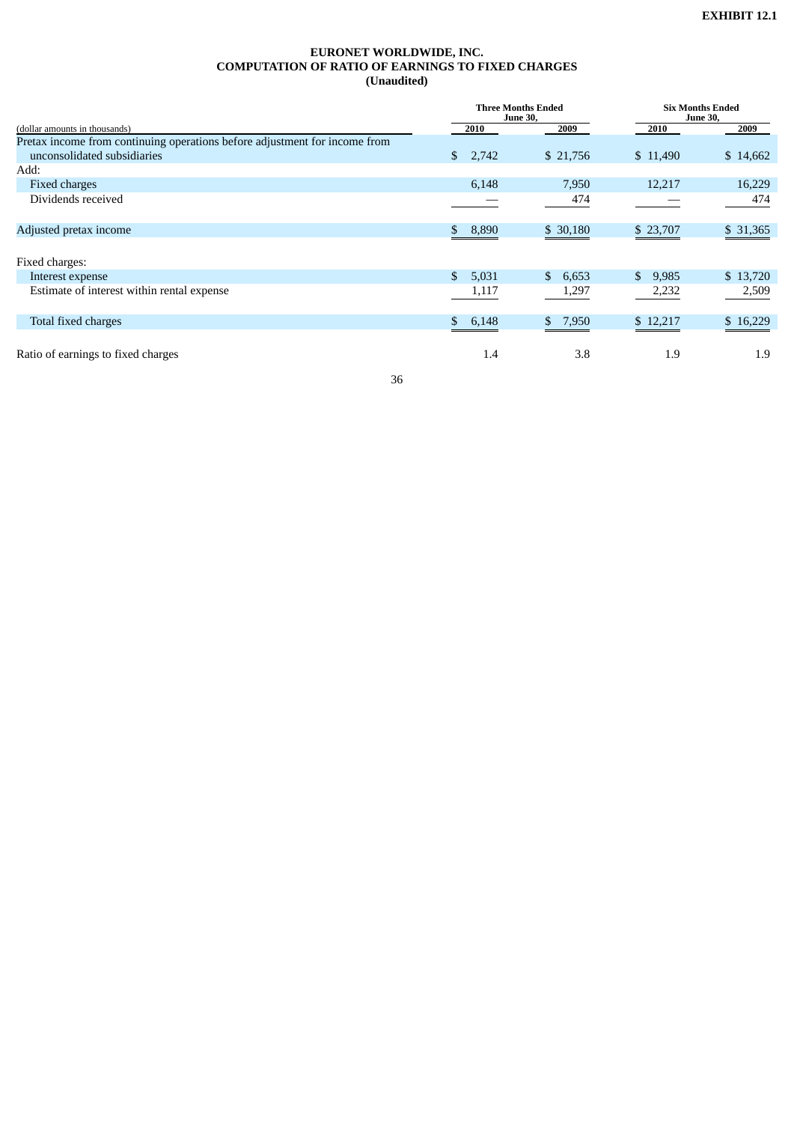# **EURONET WORLDWIDE, INC. COMPUTATION OF RATIO OF EARNINGS TO FIXED CHARGES (Unaudited)**

|                                                                            | <b>Three Months Ended</b> | <b>June 30,</b> |             | <b>Six Months Ended</b><br><b>June 30,</b> |  |
|----------------------------------------------------------------------------|---------------------------|-----------------|-------------|--------------------------------------------|--|
| (dollar amounts in thousands)                                              | 2010                      | 2009            | 2010        | 2009                                       |  |
| Pretax income from continuing operations before adjustment for income from |                           |                 |             |                                            |  |
| unconsolidated subsidiaries                                                | \$<br>2,742               | \$21,756        | \$11,490    | \$14,662                                   |  |
| Add:                                                                       |                           |                 |             |                                            |  |
| Fixed charges                                                              | 6,148                     | 7,950           | 12,217      | 16,229                                     |  |
| Dividends received                                                         |                           | 474             |             | 474                                        |  |
|                                                                            |                           |                 |             |                                            |  |
| Adjusted pretax income                                                     | 8,890<br>S.               | \$30,180        | \$ 23,707   | \$ 31,365                                  |  |
| Fixed charges:                                                             |                           |                 |             |                                            |  |
| Interest expense                                                           | \$<br>5,031               | 6,653<br>\$     | \$<br>9,985 | \$13,720                                   |  |
| Estimate of interest within rental expense                                 | 1,117                     | 1,297           | 2,232       | 2,509                                      |  |
| Total fixed charges                                                        | \$.<br>6,148              | 7,950<br>\$.    | \$12,217    | \$16,229                                   |  |
| Ratio of earnings to fixed charges                                         | 1.4                       | 3.8             | 1.9         | 1.9                                        |  |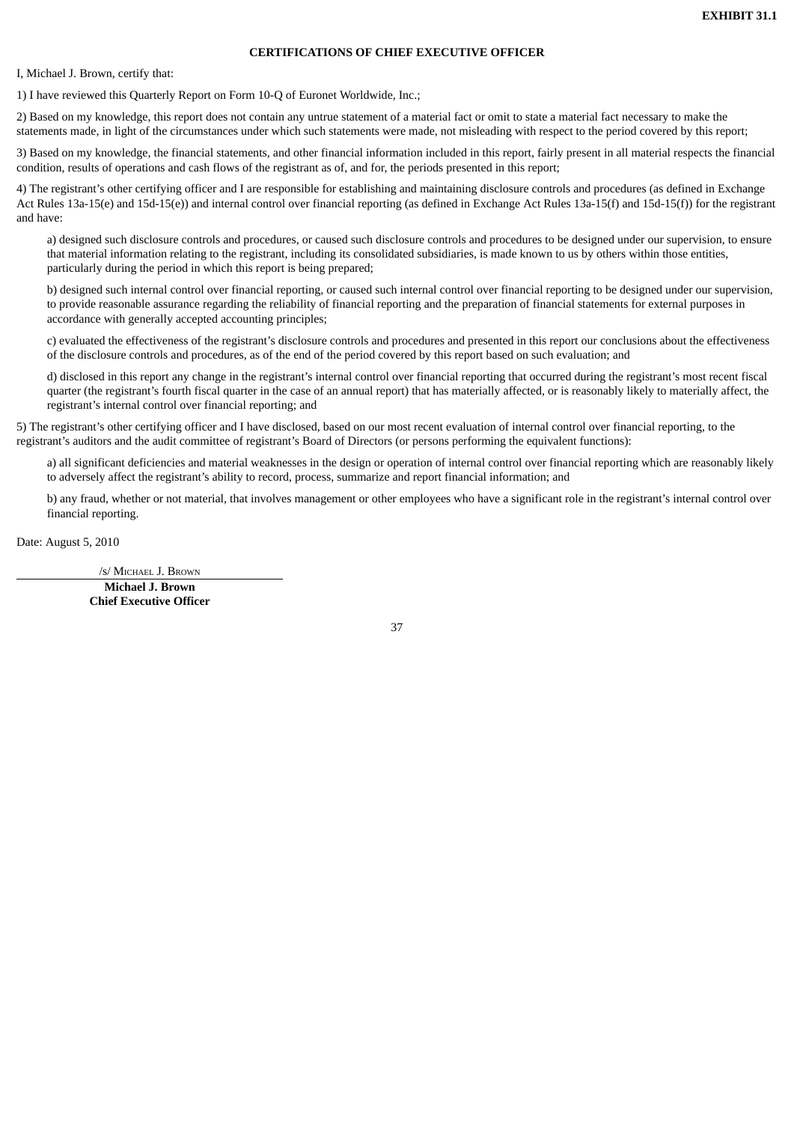# **CERTIFICATIONS OF CHIEF EXECUTIVE OFFICER**

I, Michael J. Brown, certify that:

1) I have reviewed this Quarterly Report on Form 10-Q of Euronet Worldwide, Inc.;

2) Based on my knowledge, this report does not contain any untrue statement of a material fact or omit to state a material fact necessary to make the statements made, in light of the circumstances under which such statements were made, not misleading with respect to the period covered by this report;

3) Based on my knowledge, the financial statements, and other financial information included in this report, fairly present in all material respects the financial condition, results of operations and cash flows of the registrant as of, and for, the periods presented in this report;

4) The registrant's other certifying officer and I are responsible for establishing and maintaining disclosure controls and procedures (as defined in Exchange Act Rules 13a-15(e) and 15d-15(e)) and internal control over financial reporting (as defined in Exchange Act Rules 13a-15(f) and 15d-15(f)) for the registrant and have:

a) designed such disclosure controls and procedures, or caused such disclosure controls and procedures to be designed under our supervision, to ensure that material information relating to the registrant, including its consolidated subsidiaries, is made known to us by others within those entities, particularly during the period in which this report is being prepared;

b) designed such internal control over financial reporting, or caused such internal control over financial reporting to be designed under our supervision, to provide reasonable assurance regarding the reliability of financial reporting and the preparation of financial statements for external purposes in accordance with generally accepted accounting principles;

c) evaluated the effectiveness of the registrant's disclosure controls and procedures and presented in this report our conclusions about the effectiveness of the disclosure controls and procedures, as of the end of the period covered by this report based on such evaluation; and

d) disclosed in this report any change in the registrant's internal control over financial reporting that occurred during the registrant's most recent fiscal quarter (the registrant's fourth fiscal quarter in the case of an annual report) that has materially affected, or is reasonably likely to materially affect, the registrant's internal control over financial reporting; and

5) The registrant's other certifying officer and I have disclosed, based on our most recent evaluation of internal control over financial reporting, to the registrant's auditors and the audit committee of registrant's Board of Directors (or persons performing the equivalent functions):

a) all significant deficiencies and material weaknesses in the design or operation of internal control over financial reporting which are reasonably likely to adversely affect the registrant's ability to record, process, summarize and report financial information; and

b) any fraud, whether or not material, that involves management or other employees who have a significant role in the registrant's internal control over financial reporting.

Date: August 5, 2010

/s/ MICHAEL J. BROWN

**Michael J. Brown Chief Executive Officer**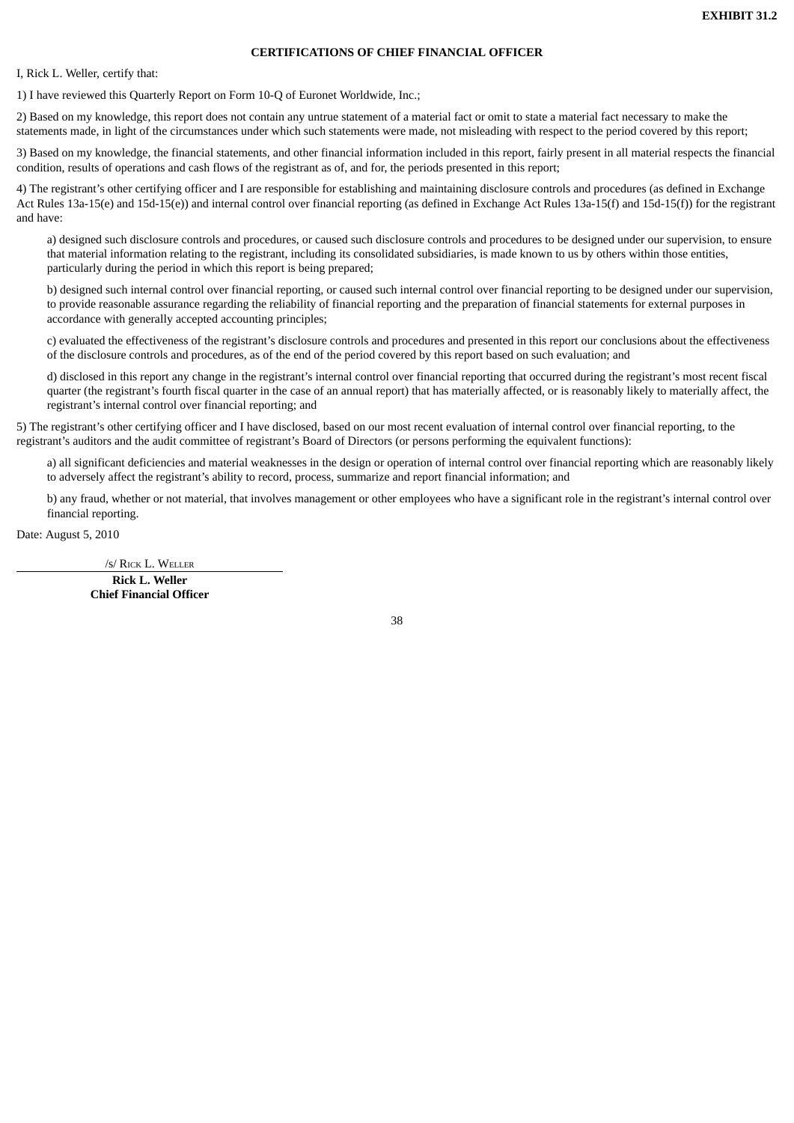# **CERTIFICATIONS OF CHIEF FINANCIAL OFFICER**

I, Rick L. Weller, certify that:

1) I have reviewed this Quarterly Report on Form 10-Q of Euronet Worldwide, Inc.;

2) Based on my knowledge, this report does not contain any untrue statement of a material fact or omit to state a material fact necessary to make the statements made, in light of the circumstances under which such statements were made, not misleading with respect to the period covered by this report;

3) Based on my knowledge, the financial statements, and other financial information included in this report, fairly present in all material respects the financial condition, results of operations and cash flows of the registrant as of, and for, the periods presented in this report;

4) The registrant's other certifying officer and I are responsible for establishing and maintaining disclosure controls and procedures (as defined in Exchange Act Rules 13a-15(e) and 15d-15(e)) and internal control over financial reporting (as defined in Exchange Act Rules 13a-15(f) and 15d-15(f)) for the registrant and have:

a) designed such disclosure controls and procedures, or caused such disclosure controls and procedures to be designed under our supervision, to ensure that material information relating to the registrant, including its consolidated subsidiaries, is made known to us by others within those entities, particularly during the period in which this report is being prepared;

b) designed such internal control over financial reporting, or caused such internal control over financial reporting to be designed under our supervision, to provide reasonable assurance regarding the reliability of financial reporting and the preparation of financial statements for external purposes in accordance with generally accepted accounting principles;

c) evaluated the effectiveness of the registrant's disclosure controls and procedures and presented in this report our conclusions about the effectiveness of the disclosure controls and procedures, as of the end of the period covered by this report based on such evaluation; and

d) disclosed in this report any change in the registrant's internal control over financial reporting that occurred during the registrant's most recent fiscal quarter (the registrant's fourth fiscal quarter in the case of an annual report) that has materially affected, or is reasonably likely to materially affect, the registrant's internal control over financial reporting; and

5) The registrant's other certifying officer and I have disclosed, based on our most recent evaluation of internal control over financial reporting, to the registrant's auditors and the audit committee of registrant's Board of Directors (or persons performing the equivalent functions):

a) all significant deficiencies and material weaknesses in the design or operation of internal control over financial reporting which are reasonably likely to adversely affect the registrant's ability to record, process, summarize and report financial information; and

b) any fraud, whether or not material, that involves management or other employees who have a significant role in the registrant's internal control over financial reporting.

Date: August 5, 2010

/s/ RICK L. WELLER

**Rick L. Weller Chief Financial Officer**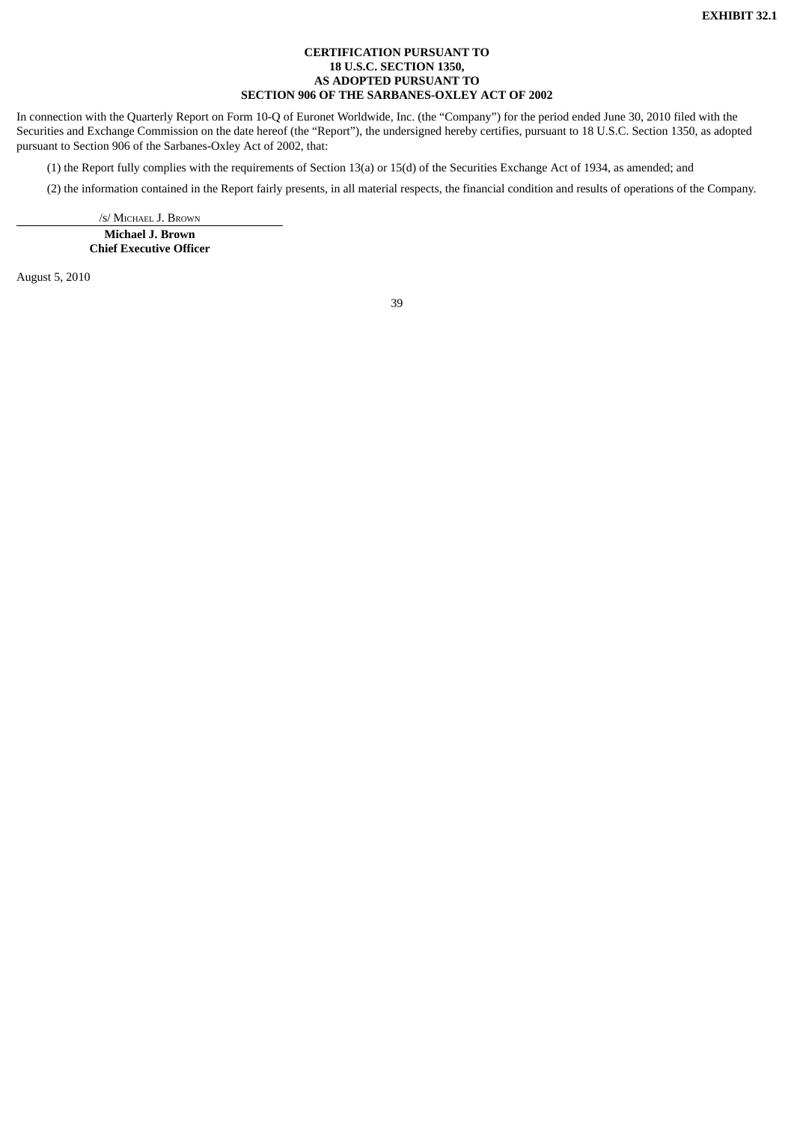# **CERTIFICATION PURSUANT TO 18 U.S.C. SECTION 1350, AS ADOPTED PURSUANT TO SECTION 906 OF THE SARBANES-OXLEY ACT OF 2002**

In connection with the Quarterly Report on Form 10-Q of Euronet Worldwide, Inc. (the "Company") for the period ended June 30, 2010 filed with the Securities and Exchange Commission on the date hereof (the "Report"), the undersigned hereby certifies, pursuant to 18 U.S.C. Section 1350, as adopted pursuant to Section 906 of the Sarbanes-Oxley Act of 2002, that:

(1) the Report fully complies with the requirements of Section 13(a) or 15(d) of the Securities Exchange Act of 1934, as amended; and

(2) the information contained in the Report fairly presents, in all material respects, the financial condition and results of operations of the Company.

/s/ MICHAEL J. BROWN

**Michael J. Brown Chief Executive Officer**

August 5, 2010